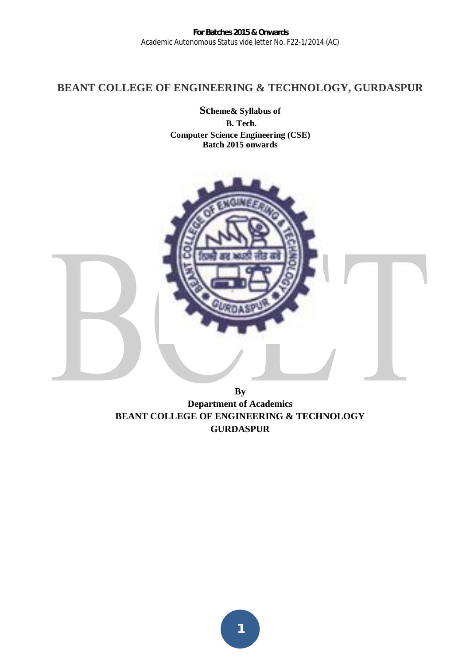# **BEANT COLLEGE OF ENGINEERING & TECHNOLOGY, GURDASPUR**

**Scheme& Syllabus of B. Tech. Computer Science Engineering (CSE) Batch 2015 onwards**



**By Department of Academics BEANT COLLEGE OF ENGINEERING & TECHNOLOGY GURDASPUR**

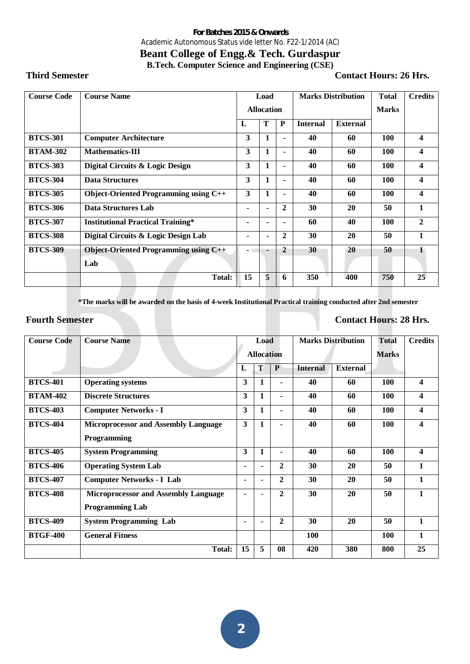# **Beant College of Engg.& Tech. Gurdaspur B.Tech. Computer Science and Engineering (CSE)**

**Third Semester Contact Hours: 26 Hrs.** 

| <b>Course Code</b> | <b>Course Name</b>                           |                | Load              |                |                 | <b>Marks Distribution</b> | <b>Total</b> | <b>Credits</b>   |
|--------------------|----------------------------------------------|----------------|-------------------|----------------|-----------------|---------------------------|--------------|------------------|
|                    |                                              |                | <b>Allocation</b> |                |                 |                           | <b>Marks</b> |                  |
|                    |                                              | L              | T                 | P              | <b>Internal</b> | <b>External</b>           |              |                  |
| <b>BTCS-301</b>    | <b>Computer Architecture</b>                 | 3              | 1                 | $\blacksquare$ | 40              | 60                        | 100          | $\boldsymbol{4}$ |
| <b>BTAM-302</b>    | <b>Mathematics-III</b>                       | 3              | 1                 | ۰              | 40              | 60                        | 100          | 4                |
| <b>BTCS-303</b>    | Digital Circuits & Logic Design              | 3              | 1                 |                | 40              | 60                        | 100          | $\boldsymbol{4}$ |
| <b>BTCS-304</b>    | <b>Data Structures</b>                       | 3              | 1                 | -              | 40              | 60                        | 100          | $\boldsymbol{4}$ |
| <b>BTCS-305</b>    | <b>Object-Oriented Programming using C++</b> | 3              | 1                 | ۰              | 40              | 60                        | 100          | $\boldsymbol{4}$ |
| <b>BTCS-306</b>    | <b>Data Structures Lab</b>                   | ۰              | ٠                 | $\mathbf{2}$   | 30              | 20                        | 50           | $\mathbf{1}$     |
| <b>BTCS-307</b>    | <b>Institutional Practical Training*</b>     | ۰              |                   |                | 60              | 40                        | 100          | $\mathbf{2}$     |
| <b>BTCS-308</b>    | Digital Circuits & Logic Design Lab          | ۰              | ۰                 | $\mathbf{2}$   | 30              | 20                        | 50           | 1                |
| <b>BTCS-309</b>    | <b>Object-Oriented Programming using C++</b> | $\blacksquare$ | ٠                 | $\overline{2}$ | 30              | 20                        | 50           | 1                |
|                    | Lab                                          |                |                   |                |                 |                           |              |                  |
|                    | Total:                                       | 15             | 5                 | 6              | 350             | 400                       | 750          | 25               |

**\*The marks will be awarded on the basis of 4-week Institutional Practical training conducted after 2nd semester** 

#### **Fourth Semester Contact Hours: 28 Hrs.**

| <b>Course Code</b> | <b>Course Name</b>                          |                   | Load           |                  |                 | <b>Marks Distribution</b> | <b>Total</b> | <b>Credits</b> |
|--------------------|---------------------------------------------|-------------------|----------------|------------------|-----------------|---------------------------|--------------|----------------|
|                    |                                             | <b>Allocation</b> |                |                  |                 | <b>Marks</b>              |              |                |
|                    |                                             | L                 | T              | $\mathbf{P}$     | <b>Internal</b> | <b>External</b>           |              |                |
| <b>BTCS-401</b>    | <b>Operating systems</b>                    | 3                 |                | ٠                | 40              | 60                        | 100          | 4              |
| <b>BTAM-402</b>    | <b>Discrete Structures</b>                  | 3                 |                | $\blacksquare$   | 40              | 60                        | 100          | 4              |
| <b>BTCS-403</b>    | <b>Computer Networks - I</b>                | 3                 | 1              | ٠                | 40              | 60                        | 100          | 4              |
| <b>BTCS-404</b>    | <b>Microprocessor and Assembly Language</b> | 3                 |                | $\blacksquare$   | 40              | 60                        | 100          | 4              |
|                    | Programming                                 |                   |                |                  |                 |                           |              |                |
| <b>BTCS-405</b>    | <b>System Programming</b>                   | 3                 | 1              | ٠                | 40              | 60                        | 100          | 4              |
| <b>BTCS-406</b>    | <b>Operating System Lab</b>                 | ۰                 | ۰              | $\boldsymbol{2}$ | 30              | 20                        | 50           | $\mathbf{1}$   |
| <b>BTCS-407</b>    | <b>Computer Networks - I Lab</b>            | ٠                 |                | $\mathbf{2}$     | 30              | 20                        | 50           | $\mathbf{1}$   |
| <b>BTCS-408</b>    | <b>Microprocessor and Assembly Language</b> | ٠                 |                | $\mathbf{2}$     | 30              | 20                        | 50           | $\mathbf{1}$   |
|                    | <b>Programming Lab</b>                      |                   |                |                  |                 |                           |              |                |
| <b>BTCS-409</b>    | <b>System Programming Lab</b>               | ٠                 | $\blacksquare$ | $\mathbf{2}$     | 30              | 20                        | 50           | $\mathbf{1}$   |
| <b>BTGF-400</b>    | <b>General Fitness</b>                      |                   |                |                  | 100             |                           | 100          | $\mathbf{1}$   |
|                    | <b>Total:</b>                               | 15                | 5              | 08               | 420             | 380                       | 800          | 25             |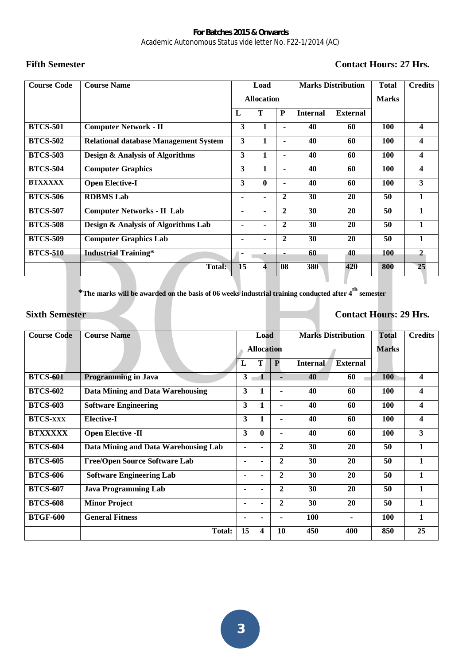# Fifth Semester **Contact Hours: 27 Hrs.**

| <b>Course Code</b> | <b>Course Name</b>                           |                   | Load           |              |                 | <b>Marks Distribution</b> | <b>Total</b> | <b>Credits</b>          |
|--------------------|----------------------------------------------|-------------------|----------------|--------------|-----------------|---------------------------|--------------|-------------------------|
|                    |                                              | <b>Allocation</b> |                |              |                 |                           | <b>Marks</b> |                         |
|                    |                                              | L                 | T              | ${\bf P}$    | <b>Internal</b> | <b>External</b>           |              |                         |
| <b>BTCS-501</b>    | <b>Computer Network - II</b>                 | 3                 | 1              |              | 40              | 60                        | <b>100</b>   | $\overline{\mathbf{4}}$ |
| <b>BTCS-502</b>    | <b>Relational database Management System</b> | 3                 | 1              |              | 40              | 60                        | 100          | $\overline{\mathbf{4}}$ |
| <b>BTCS-503</b>    | <b>Design &amp; Analysis of Algorithms</b>   | 3                 | 1              | ٠            | 40              | 60                        | 100          | $\overline{\mathbf{4}}$ |
| <b>BTCS-504</b>    | <b>Computer Graphics</b>                     | 3                 | 1              |              | 40              | 60                        | 100          | $\overline{\mathbf{4}}$ |
| <b>BTXXXXX</b>     | <b>Open Elective-I</b>                       | 3                 | $\bf{0}$       | ٠            | 40              | 60                        | 100          | 3                       |
| <b>BTCS-506</b>    | <b>RDBMS</b> Lab                             | ۰                 | $\blacksquare$ | $\mathbf{2}$ | 30              | 20                        | 50           | $\mathbf{1}$            |
| <b>BTCS-507</b>    | <b>Computer Networks - II Lab</b>            | ۰                 | $\blacksquare$ | $\mathbf{2}$ | 30              | 20                        | 50           | $\mathbf{1}$            |
| <b>BTCS-508</b>    | Design & Analysis of Algorithms Lab          | ۰                 |                | $\mathbf{2}$ | 30              | 20                        | 50           | $\mathbf{1}$            |
| <b>BTCS-509</b>    | <b>Computer Graphics Lab</b>                 | $\blacksquare$    | $\blacksquare$ | $\mathbf{2}$ | 30              | 20                        | 50           | $\mathbf{1}$            |
| <b>BTCS-510</b>    | <b>Industrial Training*</b>                  | ۰                 |                |              | 60              | 40                        | 100          | $\mathbf{2}$            |
|                    | Total:                                       | 15                | 4              | 08           | 380             | 420                       | 800          | 25                      |
|                    |                                              |                   |                |              |                 |                           |              |                         |

**\*The marks will be awarded on the basis of 06 weeks industrial training conducted after 4th semester** 

# **Sixth Semester Contact Hours: 29 Hrs.**

| <b>Course Code</b> | <b>Course Name</b>                   |                   | Load |                  | <b>Marks Distribution</b> |                 | <b>Total</b> | <b>Credits</b>          |
|--------------------|--------------------------------------|-------------------|------|------------------|---------------------------|-----------------|--------------|-------------------------|
|                    |                                      | <b>Allocation</b> |      |                  |                           |                 | <b>Marks</b> |                         |
|                    |                                      | L                 | T    | $\mathbf{P}$     | <b>Internal</b>           | <b>External</b> |              |                         |
| <b>BTCS-601</b>    | <b>Programming in Java</b>           | 3                 | 1    | ٠                | 40                        | 60              | <b>100</b>   | $\overline{\mathbf{4}}$ |
| <b>BTCS-602</b>    | Data Mining and Data Warehousing     | 3                 | 1    | $\blacksquare$   | 40                        | 60              | 100          | 4                       |
| <b>BTCS-603</b>    | <b>Software Engineering</b>          | 3                 |      | $\blacksquare$   | 40                        | 60              | 100          | 4                       |
| <b>BTCS-XXX</b>    | <b>Elective-I</b>                    | 3                 |      | ۰                | 40                        | 60              | 100          | 4                       |
| <b>BTXXXXX</b>     | <b>Open Elective -II</b>             | 3                 | 0    | ٠                | 40                        | 60              | 100          | $\mathbf{3}$            |
| <b>BTCS-604</b>    | Data Mining and Data Warehousing Lab | ۰.                |      | $\mathbf{2}$     | 30                        | 20              | 50           | 1                       |
| <b>BTCS-605</b>    | <b>Free/Open Source Software Lab</b> | ۰.                |      | $\mathbf{2}$     | 30                        | 20              | 50           | 1                       |
| <b>BTCS-606</b>    | <b>Software Engineering Lab</b>      | ٠                 |      | $\boldsymbol{2}$ | 30                        | 20              | 50           | 1                       |
| <b>BTCS-607</b>    | <b>Java Programming Lab</b>          | ۰.                |      | $\mathbf{2}$     | 30                        | 20              | 50           | $\mathbf{1}$            |
| <b>BTCS-608</b>    | <b>Minor Project</b>                 | ٠                 |      | $\mathbf{2}$     | 30                        | 20              | 50           | 1                       |
| <b>BTGF-600</b>    | <b>General Fitness</b>               | ۰.                | ۰    | ٠                | 100                       | $\blacksquare$  | 100          | 1                       |
|                    | Total:                               | 15                | 4    | 10               | 450                       | 400             | 850          | 25                      |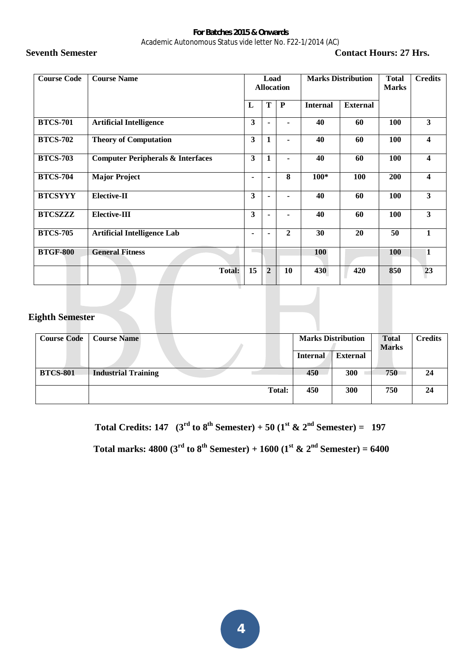# **Seventh Semester Contact Hours: 27 Hrs.**

| <b>Course Code</b> | <b>Course Name</b>                           |    | <b>Marks Distribution</b><br>Load<br><b>Allocation</b> |                |                 | <b>Total</b><br><b>Marks</b> | <b>Credits</b> |                         |
|--------------------|----------------------------------------------|----|--------------------------------------------------------|----------------|-----------------|------------------------------|----------------|-------------------------|
|                    |                                              | L  | T                                                      | P              | <b>Internal</b> | <b>External</b>              |                |                         |
| <b>BTCS-701</b>    | <b>Artificial Intelligence</b>               | 3  |                                                        |                | 40              | 60                           | 100            | $\mathbf{3}$            |
| <b>BTCS-702</b>    | <b>Theory of Computation</b>                 | 3  | 1                                                      |                | 40              | 60                           | 100            | $\overline{\mathbf{4}}$ |
| <b>BTCS-703</b>    | <b>Computer Peripherals &amp; Interfaces</b> | 3  | 1                                                      | $\blacksquare$ | 40              | 60                           | 100            | $\boldsymbol{4}$        |
| <b>BTCS-704</b>    | <b>Major Project</b>                         | ۰. |                                                        | 8              | $100*$          | 100                          | <b>200</b>     | $\overline{\mathbf{4}}$ |
| <b>BTCSYYY</b>     | <b>Elective-II</b>                           | 3  |                                                        |                | 40              | 60                           | 100            | 3                       |
| <b>BTCSZZZ</b>     | <b>Elective-III</b>                          | 3  |                                                        |                | 40              | 60                           | <b>100</b>     | 3                       |
| <b>BTCS-705</b>    | <b>Artificial Intelligence Lab</b>           | ۰. | $\blacksquare$                                         | $\overline{2}$ | 30              | 20                           | 50             | $\mathbf{1}$            |
| <b>BTGF-800</b>    | <b>General Fitness</b>                       |    |                                                        |                | <b>100</b>      |                              | <b>100</b>     | 1                       |
|                    | <b>Total:</b>                                | 15 | $\overline{2}$                                         | 10             | 430             | 420                          | 850            | 23                      |

#### **Eighth Semester**

| <b>Course Code</b> | <b>Course Name</b>         | <b>Marks Distribution</b> |                 | <b>Total</b><br><b>Marks</b> | <b>Credits</b> |
|--------------------|----------------------------|---------------------------|-----------------|------------------------------|----------------|
|                    |                            | <b>Internal</b>           | <b>External</b> |                              |                |
| <b>BTCS-801</b>    | <b>Industrial Training</b> | 450                       | 300             | 750                          | 24             |
|                    | <b>Total:</b>              | 450                       | 300             | 750                          | 24             |

**Total Credits: 147** ( $3^{\text{rd}}$  to  $8^{\text{th}}$  Semester) + 50 ( $1^{\text{st}}$  &  $2^{\text{nd}}$  Semester) = 197

 **Total marks: 4800 (3<sup><sup>***rd</sup>* **to 8<sup>***th***</sup> Semester) + 1600 (1<sup>***st***</sup> & 2<sup>***nd***</sup> Semester) = 6400**</sup></sup>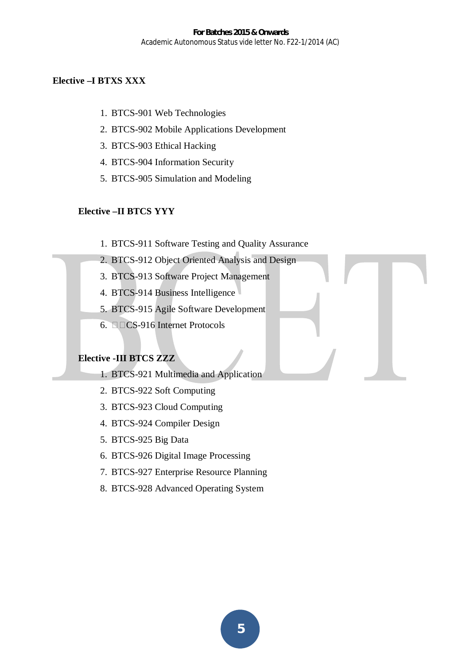# **Elective –I BTXS XXX**

- 1. BTCS-901 Web Technologies
- 2. BTCS-902 Mobile Applications Development
- 3. BTCS-903 Ethical Hacking
- 4. BTCS-904 Information Security
- 5. BTCS-905 Simulation and Modeling

# **Elective –II BTCS YYY**

- 1. BTCS-911 Software Testing and Quality Assurance
- 2. BTCS-912 Object Oriented Analysis and Design
- 3. BTCS-913 Software Project Management
- 4. BTCS-914 Business Intelligence
- 5. BTCS-915 Agile Software Development
- 6.  $\square$  CS-916 Internet Protocols

# **Elective -III BTCS ZZZ**

- 1. BTCS-921 Multimedia and Application
- 2. BTCS-922 Soft Computing
- 3. BTCS-923 Cloud Computing
- 4. BTCS-924 Compiler Design
- 5. BTCS-925 Big Data
- 6. BTCS-926 Digital Image Processing
- 7. BTCS-927 Enterprise Resource Planning
- 8. BTCS-928 Advanced Operating System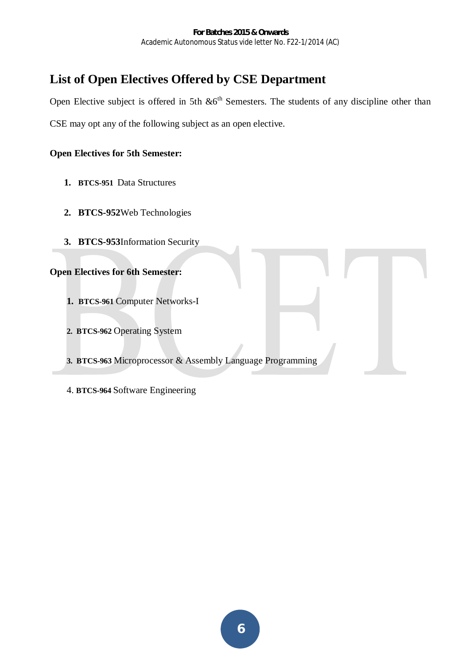# **List of Open Electives Offered by CSE Department**

Open Elective subject is offered in 5th  $\&6^{th}$  Semesters. The students of any discipline other than CSE may opt any of the following subject as an open elective.

# **Open Electives for 5th Semester:**

- **1. BTCS-951** Data Structures
- **2. BTCS-952**Web Technologies
- **3. BTCS-953**Information Security

# **Open Electives for 6th Semester:**

- **1. BTCS-961** Computer Networks-I
- **2. BTCS-962** Operating System
- **3. BTCS-963** Microprocessor & Assembly Language Programming
- 4. **BTCS-964** Software Engineering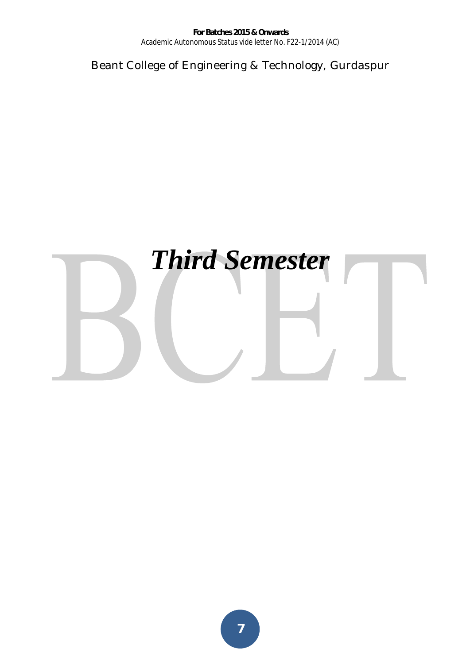Beant College of Engineering & Technology, Gurdaspur

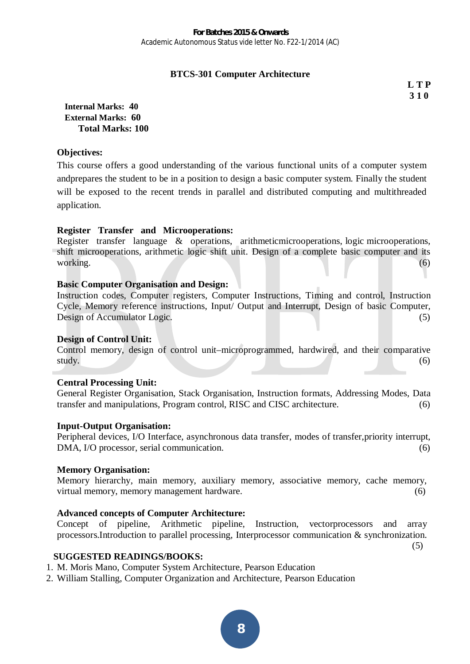# **BTCS-301 Computer Architecture**

**L T P 3 1 0** 

**Internal Marks: 40 External Marks: 60 Total Marks: 100** 

#### **Objectives:**

This course offers a good understanding of the various functional units of a computer system andprepares the student to be in a position to design a basic computer system. Finally the student will be exposed to the recent trends in parallel and distributed computing and multithreaded application.

#### **Register Transfer and Microoperations:**

Register transfer language & operations, arithmeticmicrooperations, logic microoperations, shift microoperations, arithmetic logic shift unit. Design of a complete basic computer and its working. (6)

#### **Basic Computer Organisation and Design:**

Instruction codes, Computer registers, Computer Instructions, Timing and control, Instruction Cycle, Memory reference instructions, Input/ Output and Interrupt, Design of basic Computer, Design of Accumulator Logic. (5)

#### **Design of Control Unit:**

Control memory, design of control unit–microprogrammed, hardwired, and their comparative study. (6)

#### **Central Processing Unit:**

General Register Organisation, Stack Organisation, Instruction formats, Addressing Modes, Data transfer and manipulations, Program control, RISC and CISC architecture. (6)

#### **Input-Output Organisation:**

Peripheral devices, I/O Interface, asynchronous data transfer, modes of transfer,priority interrupt, DMA, I/O processor, serial communication. (6)

#### **Memory Organisation:**

Memory hierarchy, main memory, auxiliary memory, associative memory, cache memory, virtual memory, memory management hardware. (6)

#### **Advanced concepts of Computer Architecture:**

Concept of pipeline, Arithmetic pipeline, Instruction, vectorprocessors and array processors.Introduction to parallel processing, Interprocessor communication & synchronization.

(5)

**SUGGESTED READINGS/BOOKS:**

- 1. M. Moris Mano, Computer System Architecture, Pearson Education
- 2. William Stalling, Computer Organization and Architecture, Pearson Education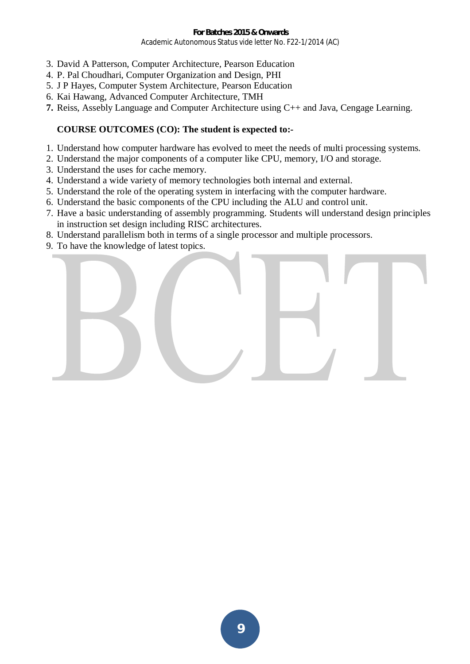- 3. David A Patterson, Computer Architecture, Pearson Education
- 4. P. Pal Choudhari, Computer Organization and Design, PHI
- 5. J P Hayes, Computer System Architecture, Pearson Education
- 6. Kai Hawang, Advanced Computer Architecture, TMH
- **7.** Reiss, Assebly Language and Computer Architecture using C++ and Java, Cengage Learning.

## **COURSE OUTCOMES (CO): The student is expected to:-**

- 1. Understand how computer hardware has evolved to meet the needs of multi processing systems.
- 2. Understand the major components of a computer like CPU, memory, I/O and storage.
- 3. Understand the uses for cache memory.
- 4. Understand a wide variety of memory technologies both internal and external.
- 5. Understand the role of the operating system in interfacing with the computer hardware.
- 6. Understand the basic components of the CPU including the ALU and control unit.
- 7. Have a basic understanding of assembly programming. Students will understand design principles in instruction set design including RISC architectures.
- 8. Understand parallelism both in terms of a single processor and multiple processors.
- 9. To have the knowledge of latest topics.

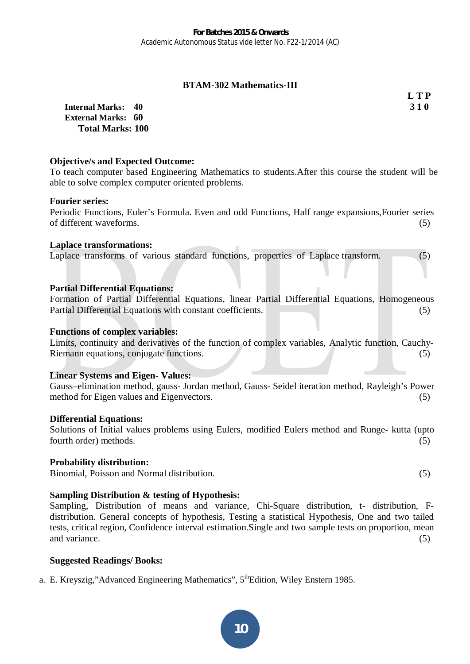## **BTAM-302 Mathematics-III**

**L T P** 

**Internal Marks: 40 3 1 0 External Marks: 60 Total Marks: 100** 

## **Objective/s and Expected Outcome:**

To teach computer based Engineering Mathematics to students.After this course the student will be able to solve complex computer oriented problems.

#### **Fourier series:**

Periodic Functions, Euler's Formula. Even and odd Functions, Half range expansions,Fourier series of different waveforms. (5)

#### **Laplace transformations:**

Laplace transforms of various standard functions, properties of Laplace transform. (5)

#### **Partial Differential Equations:**

Formation of Partial Differential Equations, linear Partial Differential Equations, Homogeneous Partial Differential Equations with constant coefficients. (5)

#### **Functions of complex variables:**

Limits, continuity and derivatives of the function of complex variables, Analytic function, Cauchy-Riemann equations, conjugate functions. (5)

#### **Linear Systems and Eigen- Values:**

Gauss–elimination method, gauss- Jordan method, Gauss- Seidel iteration method, Rayleigh's Power method for Eigen values and Eigenvectors. (5)

#### **Differential Equations:**

Solutions of Initial values problems using Eulers, modified Eulers method and Runge- kutta (upto fourth order) methods. (5)

#### **Probability distribution:**

Binomial, Poisson and Normal distribution.(5)

#### **Sampling Distribution & testing of Hypothesis:**

Sampling, Distribution of means and variance, Chi-Square distribution, t- distribution, Fdistribution. General concepts of hypothesis, Testing a statistical Hypothesis, One and two tailed tests, critical region, Confidence interval estimation.Single and two sample tests on proportion, mean and variance. (5)

# **Suggested Readings/ Books:**

a. E. Kreyszig,"Advanced Engineering Mathematics", 5<sup>th</sup>Edition, Wiley Enstern 1985.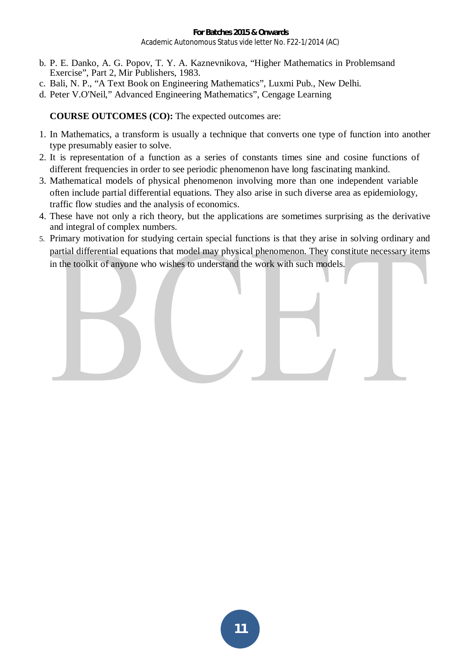- b. P. E. Danko, A. G. Popov, T. Y. A. Kaznevnikova, "Higher Mathematics in Problemsand Exercise", Part 2, Mir Publishers, 1983.
- c. Bali, N. P., "A Text Book on Engineering Mathematics", Luxmi Pub., New Delhi.
- d. Peter V.O'Neil," Advanced Engineering Mathematics", Cengage Learning

**COURSE OUTCOMES (CO):** The expected outcomes are:

- 1. In Mathematics, a transform is usually a technique that converts one type of function into another type presumably easier to solve.
- 2. It is representation of a function as a series of constants times sine and cosine functions of different frequencies in order to see periodic phenomenon have long fascinating mankind.
- 3. Mathematical models of physical phenomenon involving more than one independent variable often include partial differential equations. They also arise in such diverse area as epidemiology, traffic flow studies and the analysis of economics.
- 4. These have not only a rich theory, but the applications are sometimes surprising as the derivative and integral of complex numbers.
- 5. Primary motivation for studying certain special functions is that they arise in solving ordinary and partial differential equations that model may physical phenomenon. They constitute necessary items in the toolkit of anyone who wishes to understand the work with such models.

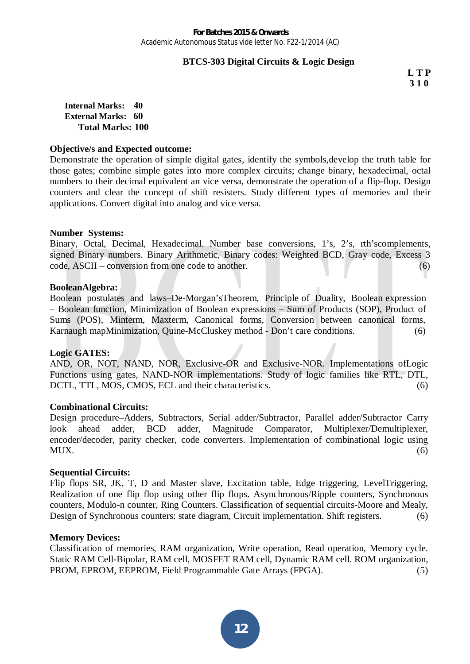## **BTCS-303 Digital Circuits & Logic Design**

**L T P 3 1 0** 

**Internal Marks: 40 External Marks: 60 Total Marks: 100** 

#### **Objective/s and Expected outcome:**

Demonstrate the operation of simple digital gates, identify the symbols,develop the truth table for those gates; combine simple gates into more complex circuits; change binary, hexadecimal, octal numbers to their decimal equivalent an vice versa, demonstrate the operation of a flip-flop. Design counters and clear the concept of shift resisters. Study different types of memories and their applications. Convert digital into analog and vice versa.

#### **Number Systems:**

Binary, Octal, Decimal, Hexadecimal. Number base conversions, 1's, 2's, rth'scomplements, signed Binary numbers. Binary Arithmetic, Binary codes: Weighted BCD, Gray code, Excess 3 code, ASCII – conversion from one code to another. (6)

#### **BooleanAlgebra:**

Boolean postulates and laws–De-Morgan'sTheorem, Principle of Duality, Boolean expression – Boolean function, Minimization of Boolean expressions – Sum of Products (SOP), Product of Sums (POS), Minterm, Maxterm, Canonical forms, Conversion between canonical forms, Karnaugh mapMinimization, Quine-McCluskey method - Don't care conditions. (6)

#### **Logic GATES:**

AND, OR, NOT, NAND, NOR, Exclusive-OR and Exclusive-NOR. Implementations ofLogic Functions using gates, NAND-NOR implementations. Study of logic families like RTL, DTL, DCTL, TTL, MOS, CMOS, ECL and their characteristics. (6)

#### **Combinational Circuits:**

Design procedure–Adders, Subtractors, Serial adder/Subtractor, Parallel adder/Subtractor Carry look ahead adder, BCD adder, Magnitude Comparator, Multiplexer/Demultiplexer, encoder/decoder, parity checker, code converters. Implementation of combinational logic using  $MUX.$  (6)

#### **Sequential Circuits:**

Flip flops SR, JK, T, D and Master slave, Excitation table, Edge triggering, LevelTriggering, Realization of one flip flop using other flip flops. Asynchronous/Ripple counters, Synchronous counters, Modulo-n counter, Ring Counters. Classification of sequential circuits-Moore and Mealy, Design of Synchronous counters: state diagram, Circuit implementation. Shift registers. (6)

#### **Memory Devices:**

Classification of memories, RAM organization, Write operation, Read operation, Memory cycle. Static RAM Cell-Bipolar, RAM cell, MOSFET RAM cell, Dynamic RAM cell. ROM organization, PROM, EPROM, EEPROM, Field Programmable Gate Arrays (FPGA). (5)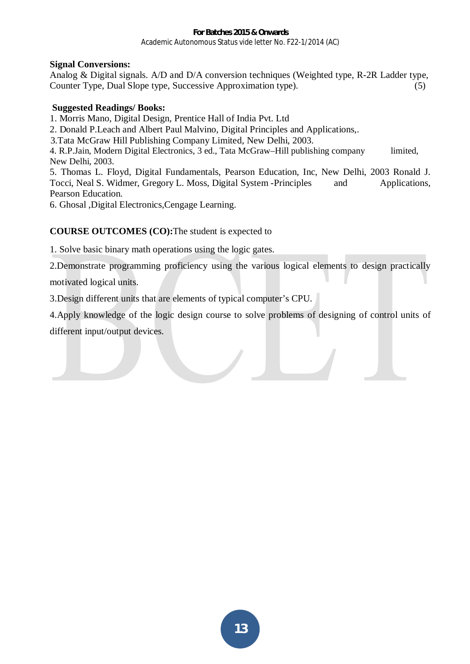# **Signal Conversions:**

Analog & Digital signals. A/D and D/A conversion techniques (Weighted type, R-2R Ladder type, Counter Type, Dual Slope type, Successive Approximation type). (5)

# **Suggested Readings/ Books:**

- 1. Morris Mano, Digital Design, Prentice Hall of India Pvt. Ltd
- 2. Donald P.Leach and Albert Paul Malvino, Digital Principles and Applications,.

3.Tata McGraw Hill Publishing Company Limited, New Delhi, 2003.

4. R.P.Jain, Modern Digital Electronics, 3 ed., Tata McGraw–Hill publishing company limited, New Delhi, 2003.

5. Thomas L. Floyd, Digital Fundamentals, Pearson Education, Inc, New Delhi, 2003 Ronald J. Tocci, Neal S. Widmer, Gregory L. Moss, Digital System -Principles and Applications, Pearson Education.

6. Ghosal ,Digital Electronics,Cengage Learning.

# **COURSE OUTCOMES (CO):**The student is expected to

1. Solve basic binary math operations using the logic gates.

2.Demonstrate programming proficiency using the various logical elements to design practically motivated logical units.

3.Design different units that are elements of typical computer's CPU.

4.Apply knowledge of the logic design course to solve problems of designing of control units of different input/output devices.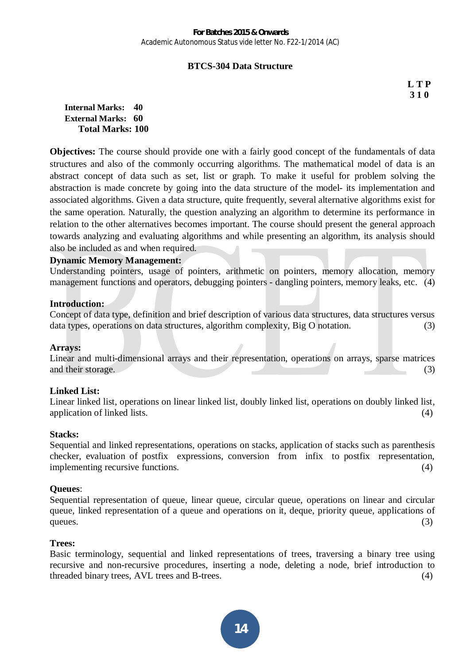#### **BTCS-304 Data Structure**

**L T P 3 1 0** 

**Internal Marks: 40 External Marks: 60 Total Marks: 100** 

**Objectives:** The course should provide one with a fairly good concept of the fundamentals of data structures and also of the commonly occurring algorithms. The mathematical model of data is an abstract concept of data such as set, list or graph. To make it useful for problem solving the abstraction is made concrete by going into the data structure of the model- its implementation and associated algorithms. Given a data structure, quite frequently, several alternative algorithms exist for the same operation. Naturally, the question analyzing an algorithm to determine its performance in relation to the other alternatives becomes important. The course should present the general approach towards analyzing and evaluating algorithms and while presenting an algorithm, its analysis should also be included as and when required.

#### **Dynamic Memory Management:**

Understanding pointers, usage of pointers, arithmetic on pointers, memory allocation, memory management functions and operators, debugging pointers - dangling pointers, memory leaks, etc. (4)

#### **Introduction:**

Concept of data type, definition and brief description of various data structures, data structures versus data types, operations on data structures, algorithm complexity, Big O notation. (3)

#### **Arrays:**

Linear and multi-dimensional arrays and their representation, operations on arrays, sparse matrices and their storage. (3)

#### **Linked List:**

Linear linked list, operations on linear linked list, doubly linked list, operations on doubly linked list, application of linked lists.  $(4)$ 

#### **Stacks:**

Sequential and linked representations, operations on stacks, application of stacks such as parenthesis checker, evaluation of postfix expressions, conversion from infix to postfix representation, implementing recursive functions. (4)

#### **Queues**:

Sequential representation of queue, linear queue, circular queue, operations on linear and circular queue, linked representation of a queue and operations on it, deque, priority queue, applications of queues.  $(3)$ 

#### **Trees:**

Basic terminology, sequential and linked representations of trees, traversing a binary tree using recursive and non-recursive procedures, inserting a node, deleting a node, brief introduction to threaded binary trees, AVL trees and B-trees. (4)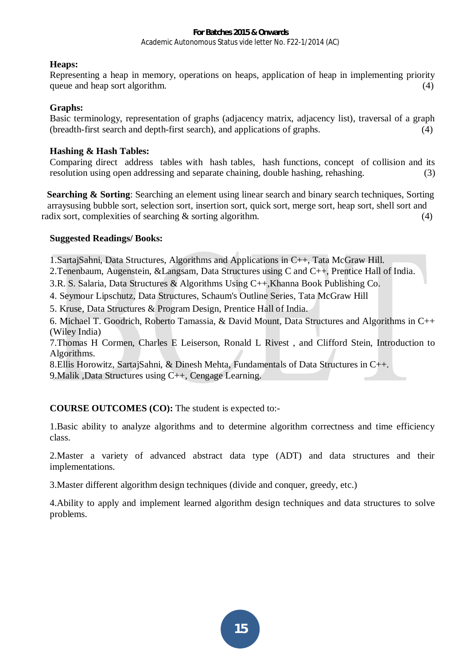## **Heaps:**

Representing a heap in memory, operations on heaps, application of heap in implementing priority queue and heap sort algorithm.  $(4)$ 

#### **Graphs:**

Basic terminology, representation of graphs (adjacency matrix, adjacency list), traversal of a graph (breadth-first search and depth-first search), and applications of graphs. (4)

## **Hashing & Hash Tables:**

Comparing direct address tables with hash tables, hash functions, concept of collision and its resolution using open addressing and separate chaining, double hashing, rehashing. (3)

**Searching & Sorting:** Searching an element using linear search and binary search techniques, Sorting arraysusing bubble sort, selection sort, insertion sort, quick sort, merge sort, heap sort, shell sort and radix sort, complexities of searching  $\&$  sorting algorithm.  $(4)$ 

#### **Suggested Readings/ Books:**

1.SartajSahni, Data Structures, Algorithms and Applications in C++, Tata McGraw Hill.

2.Tenenbaum, Augenstein, &Langsam, Data Structures using C and C++, Prentice Hall of India.

3.R. S. Salaria, Data Structures & Algorithms Using C++,Khanna Book Publishing Co.

4. Seymour Lipschutz, Data Structures, Schaum's Outline Series, Tata McGraw Hill

5. Kruse, Data Structures & Program Design, Prentice Hall of India.

6. Michael T. Goodrich, Roberto Tamassia, & David Mount, Data Structures and Algorithms in C++ (Wiley India)

7.Thomas H Cormen, Charles E Leiserson, Ronald L Rivest , and Clifford Stein, Introduction to Algorithms.

8.Ellis Horowitz, SartajSahni, & Dinesh Mehta, Fundamentals of Data Structures in C++.

9.Malik ,Data Structures using C++, Cengage Learning.

**COURSE OUTCOMES (CO):** The student is expected to:-

1.Basic ability to analyze algorithms and to determine algorithm correctness and time efficiency class.

2.Master a variety of advanced abstract data type (ADT) and data structures and their implementations.

3.Master different algorithm design techniques (divide and conquer, greedy, etc.)

4.Ability to apply and implement learned algorithm design techniques and data structures to solve problems.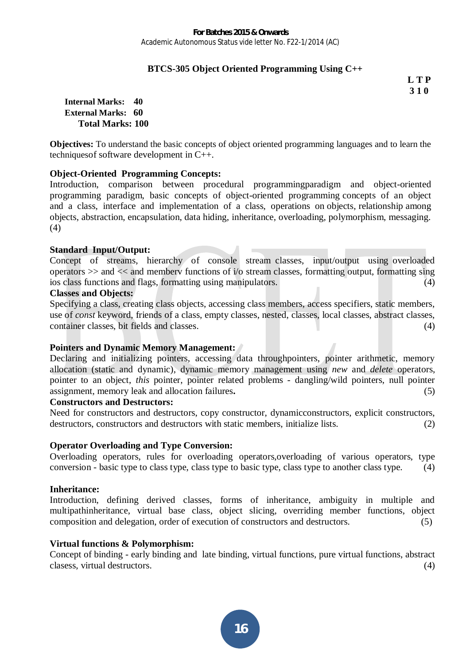# **BTCS-305 Object Oriented Programming Using C++**

**L T P 3 1 0** 

**Internal Marks: 40 External Marks: 60 Total Marks: 100** 

**Objectives:** To understand the basic concepts of object oriented programming languages and to learn the techniquesof software development in C++.

#### **Object-Oriented Programming Concepts:**

Introduction, comparison between procedural programmingparadigm and object-oriented programming paradigm, basic concepts of object-oriented programming concepts of an object and a class, interface and implementation of a class, operations on objects, relationship among objects, abstraction, encapsulation, data hiding, inheritance, overloading, polymorphism, messaging. (4)

#### **Standard Input/Output:**

Concept of streams, hierarchy of console stream classes, input/output using overloaded operators  $\gg$  and  $\ll$  and memberv functions of i/o stream classes, formatting output, formatting sing ios class functions and flags, formatting using manipulators. (4)

#### **Classes and Objects:**

Specifying a class, creating class objects, accessing class members, access specifiers, static members, use of *const* keyword, friends of a class, empty classes, nested, classes, local classes, abstract classes, container classes, bit fields and classes. (4) (4)

#### **Pointers and Dynamic Memory Management:**

Declaring and initializing pointers, accessing data throughpointers, pointer arithmetic, memory allocation (static and dynamic), dynamic memory management using *new* and *delete* operators, pointer to an object, *this* pointer, pointer related problems - dangling/wild pointers, null pointer assignment, memory leak and allocation failures**.** (5)

## **Constructors and Destructors:**

Need for constructors and destructors, copy constructor, dynamicconstructors, explicit constructors, destructors, constructors and destructors with static members, initialize lists. (2)

#### **Operator Overloading and Type Conversion:**

Overloading operators, rules for overloading operators,overloading of various operators, type conversion - basic type to class type, class type to basic type, class type to another class type. (4)

#### **Inheritance:**

Introduction, defining derived classes, forms of inheritance, ambiguity in multiple and multipathinheritance, virtual base class, object slicing, overriding member functions, object composition and delegation, order of execution of constructors and destructors. (5)

#### **Virtual functions & Polymorphism:**

Concept of binding - early binding and late binding, virtual functions, pure virtual functions, abstract clasess, virtual destructors. (4)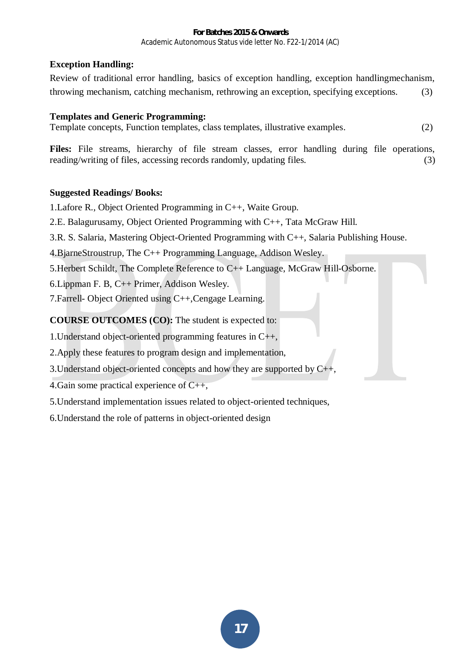# **Exception Handling:**

Review of traditional error handling, basics of exception handling, exception handlingmechanism, throwing mechanism, catching mechanism, rethrowing an exception, specifying exceptions. (3)

# **Templates and Generic Programming:**

Template concepts, Function templates, class templates, illustrative examples. (2)

Files: File streams, hierarchy of file stream classes, error handling during file operations, reading/writing of files, accessing records randomly, updating files. (3)

# **Suggested Readings/ Books:**

1.Lafore R., Object Oriented Programming in C++, Waite Group.

2.E. Balagurusamy, Object Oriented Programming with C++, Tata McGraw Hill.

3.R. S. Salaria, Mastering Object-Oriented Programming with C++, Salaria Publishing House.

4.BjarneStroustrup, The C++ Programming Language, Addison Wesley.

5.Herbert Schildt, The Complete Reference to C++ Language, McGraw Hill-Osborne.

6.Lippman F. B, C++ Primer, Addison Wesley.

7.Farrell- Object Oriented using C++,Cengage Learning.

**COURSE OUTCOMES (CO):** The student is expected to:

1.Understand object-oriented programming features in C++,

2.Apply these features to program design and implementation,

3. Understand object-oriented concepts and how they are supported by  $C_{++}$ ,

4. Gain some practical experience of  $C_{++}$ ,

5.Understand implementation issues related to object-oriented techniques,

6.Understand the role of patterns in object-oriented design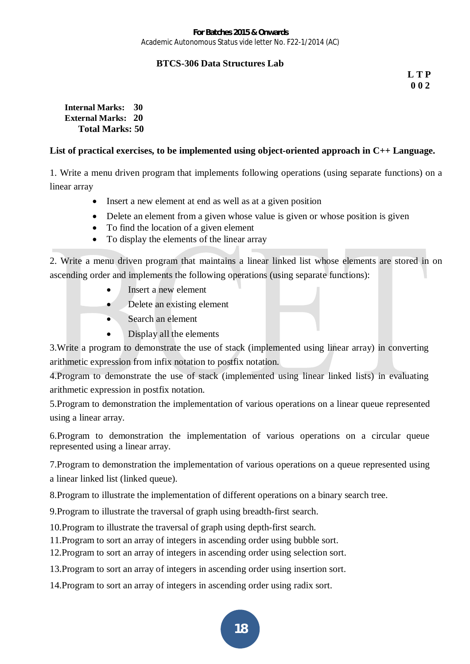# **BTCS-306 Data Structures Lab**

**L T P 0 0 2** 

**Internal Marks: 30 External Marks: 20 Total Marks: 50** 

# **List of practical exercises, to be implemented using object-oriented approach in C++ Language.**

1. Write a menu driven program that implements following operations (using separate functions) on a linear array

- Insert a new element at end as well as at a given position
- Delete an element from a given whose value is given or whose position is given
- To find the location of a given element
- To display the elements of the linear array

2. Write a menu driven program that maintains a linear linked list whose elements are stored in on ascending order and implements the following operations (using separate functions):

- $\bullet$  Insert a new element
- Delete an existing element
- Search an element
- $\bullet$  Display all the elements

3.Write a program to demonstrate the use of stack (implemented using linear array) in converting arithmetic expression from infix notation to postfix notation.

4.Program to demonstrate the use of stack (implemented using linear linked lists) in evaluating arithmetic expression in postfix notation.

5.Program to demonstration the implementation of various operations on a linear queue represented using a linear array.

6.Program to demonstration the implementation of various operations on a circular queue represented using a linear array.

7.Program to demonstration the implementation of various operations on a queue represented using a linear linked list (linked queue).

8.Program to illustrate the implementation of different operations on a binary search tree.

9.Program to illustrate the traversal of graph using breadth-first search.

10.Program to illustrate the traversal of graph using depth-first search.

11.Program to sort an array of integers in ascending order using bubble sort.

12.Program to sort an array of integers in ascending order using selection sort.

13.Program to sort an array of integers in ascending order using insertion sort.

14.Program to sort an array of integers in ascending order using radix sort.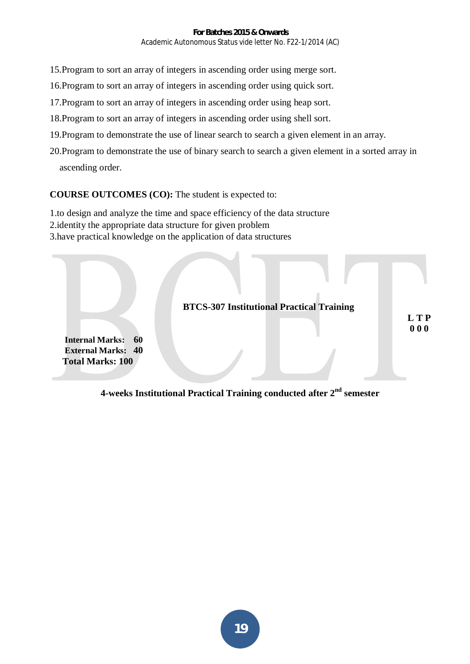- 15.Program to sort an array of integers in ascending order using merge sort.
- 16.Program to sort an array of integers in ascending order using quick sort.
- 17.Program to sort an array of integers in ascending order using heap sort.
- 18.Program to sort an array of integers in ascending order using shell sort.
- 19.Program to demonstrate the use of linear search to search a given element in an array.
- 20.Program to demonstrate the use of binary search to search a given element in a sorted array in ascending order.

#### **COURSE OUTCOMES (CO):** The student is expected to:

- 1.to design and analyze the time and space efficiency of the data structure
- 2.identity the appropriate data structure for given problem
- 3.have practical knowledge on the application of data structures



# **4-weeks Institutional Practical Training conducted after 2nd semester**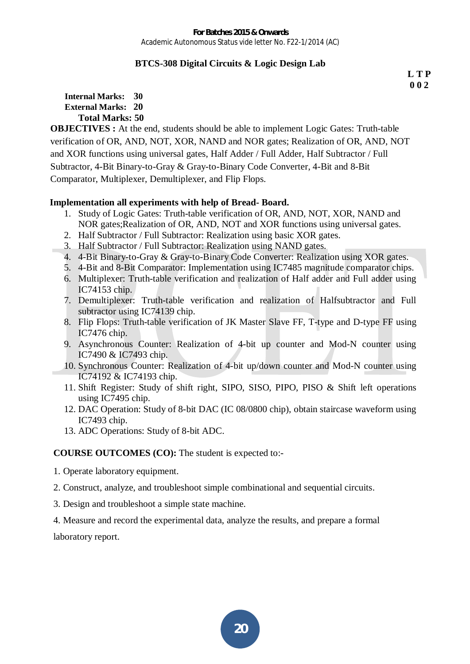# **BTCS-308 Digital Circuits & Logic Design Lab**

**L T P 0 0 2**

**Internal Marks: 30 External Marks: 20 Total Marks: 50** 

**OBJECTIVES :** At the end, students should be able to implement Logic Gates: Truth-table verification of OR, AND, NOT, XOR, NAND and NOR gates; Realization of OR, AND, NOT and XOR functions using universal gates, Half Adder / Full Adder, Half Subtractor / Full Subtractor, 4-Bit Binary-to-Gray & Gray-to-Binary Code Converter, 4-Bit and 8-Bit Comparator, Multiplexer, Demultiplexer, and Flip Flops.

# **Implementation all experiments with help of Bread- Board.**

- 1. Study of Logic Gates: Truth-table verification of OR, AND, NOT, XOR, NAND and NOR gates;Realization of OR, AND, NOT and XOR functions using universal gates.
- 2. Half Subtractor / Full Subtractor: Realization using basic XOR gates.
- 3. Half Subtractor / Full Subtractor: Realization using NAND gates.
- 4. 4-Bit Binary-to-Gray & Gray-to-Binary Code Converter: Realization using XOR gates.
- 5. 4-Bit and 8-Bit Comparator: Implementation using IC7485 magnitude comparator chips.
- 6. Multiplexer: Truth-table verification and realization of Half adder and Full adder using IC74153 chip.
- 7. Demultiplexer: Truth-table verification and realization of Halfsubtractor and Full subtractor using IC74139 chip.
- 8. Flip Flops: Truth-table verification of JK Master Slave FF, T-type and D-type FF using IC7476 chip.
- 9. Asynchronous Counter: Realization of 4-bit up counter and Mod-N counter using IC7490 & IC7493 chip.
- 10. Synchronous Counter: Realization of 4-bit up/down counter and Mod-N counter using IC74192 & IC74193 chip.
- 11. Shift Register: Study of shift right, SIPO, SISO, PIPO, PISO & Shift left operations using IC7495 chip.
- 12. DAC Operation: Study of 8-bit DAC (IC 08/0800 chip), obtain staircase waveform using IC7493 chip.
- 13. ADC Operations: Study of 8-bit ADC.

**COURSE OUTCOMES (CO):** The student is expected to:-

- 1. Operate laboratory equipment.
- 2. Construct, analyze, and troubleshoot simple combinational and sequential circuits.
- 3. Design and troubleshoot a simple state machine.
- 4. Measure and record the experimental data, analyze the results, and prepare a formal

laboratory report.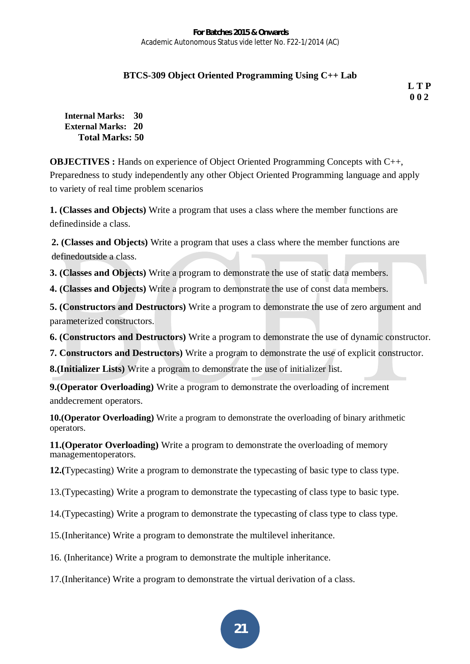# **BTCS-309 Object Oriented Programming Using C++ Lab**

*LTP*  **0 0 2**

**Internal Marks: 30 External Marks: 20 Total Marks: 50** 

**OBJECTIVES :** Hands on experience of Object Oriented Programming Concepts with C++, Preparedness to study independently any other Object Oriented Programming language and apply to variety of real time problem scenarios

**1. (Classes and Objects)** Write a program that uses a class where the member functions are definedinside a class.

**2. (Classes and Objects)** Write a program that uses a class where the member functions are definedoutside a class.

**3. (Classes and Objects)** Write a program to demonstrate the use of static data members.

**4. (Classes and Objects)** Write a program to demonstrate the use of const data members.

**5. (Constructors and Destructors)** Write a program to demonstrate the use of zero argument and parameterized constructors.

**6. (Constructors and Destructors)** Write a program to demonstrate the use of dynamic constructor.

**7. Constructors and Destructors)** Write a program to demonstrate the use of explicit constructor.

**8.(Initializer Lists)** Write a program to demonstrate the use of initializer list.

**9.(Operator Overloading)** Write a program to demonstrate the overloading of increment anddecrement operators.

**10.(Operator Overloading)** Write a program to demonstrate the overloading of binary arithmetic operators.

**11.(Operator Overloading)** Write a program to demonstrate the overloading of memory managementoperators.

**12.(**Typecasting) Write a program to demonstrate the typecasting of basic type to class type.

13.(Typecasting) Write a program to demonstrate the typecasting of class type to basic type.

14.(Typecasting) Write a program to demonstrate the typecasting of class type to class type.

15.(Inheritance) Write a program to demonstrate the multilevel inheritance.

16. (Inheritance) Write a program to demonstrate the multiple inheritance.

17.(Inheritance) Write a program to demonstrate the virtual derivation of a class.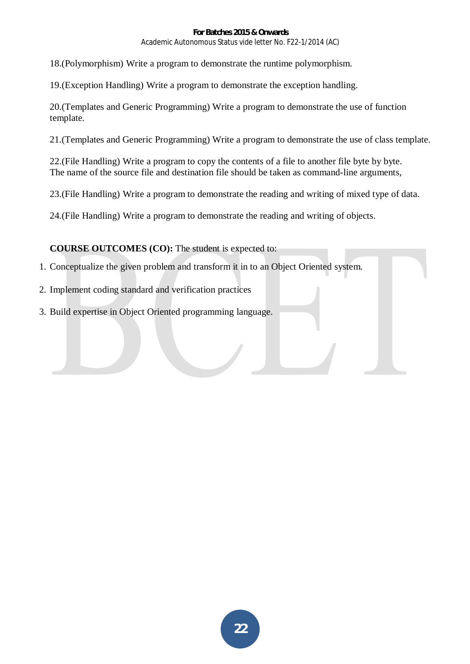18.(Polymorphism) Write a program to demonstrate the runtime polymorphism.

19.(Exception Handling) Write a program to demonstrate the exception handling.

20.(Templates and Generic Programming) Write a program to demonstrate the use of function template.

21.(Templates and Generic Programming) Write a program to demonstrate the use of class template.

22.(File Handling) Write a program to copy the contents of a file to another file byte by byte. The name of the source file and destination file should be taken as command-line arguments,

23.(File Handling) Write a program to demonstrate the reading and writing of mixed type of data.

24.(File Handling) Write a program to demonstrate the reading and writing of objects.

**COURSE OUTCOMES (CO):** The student is expected to:

1. Conceptualize the given problem and transform it in to an Object Oriented system.

2. Implement coding standard and verification practices

3. Build expertise in Object Oriented programming language.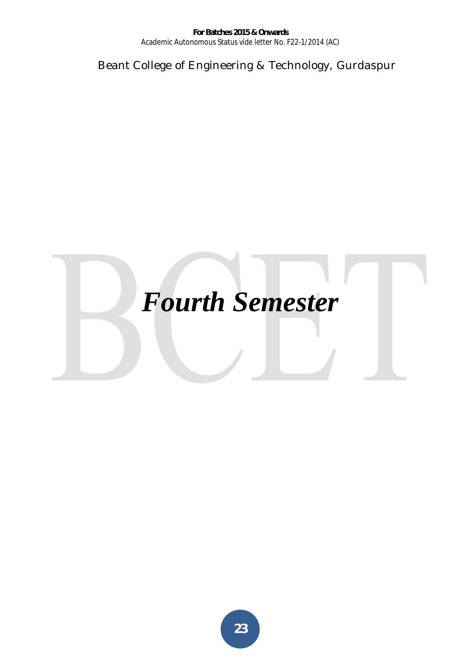Beant College of Engineering & Technology, Gurdaspur

# *Fourth Semester*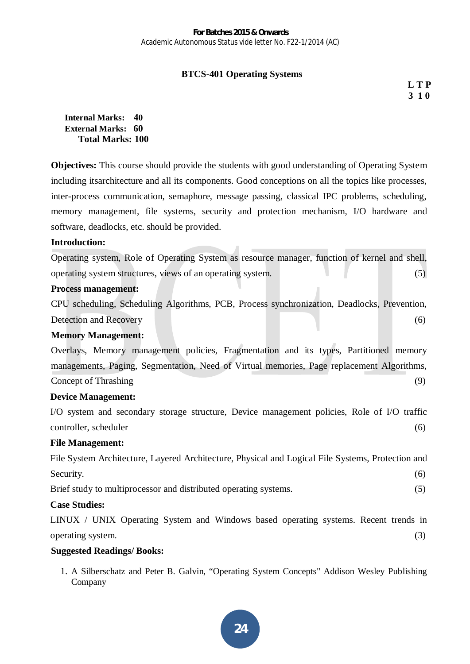# **BTCS-401 Operating Systems**

 **L T P 3 1 0** 

#### **Internal Marks: 40 External Marks: 60 Total Marks: 100**

**Objectives:** This course should provide the students with good understanding of Operating System including itsarchitecture and all its components. Good conceptions on all the topics like processes, inter-process communication, semaphore, message passing, classical IPC problems, scheduling, memory management, file systems, security and protection mechanism, I/O hardware and software, deadlocks, etc. should be provided.

#### **Introduction:**

Operating system, Role of Operating System as resource manager, function of kernel and shell, operating system structures, views of an operating system. (5)

#### **Process management:**

CPU scheduling, Scheduling Algorithms, PCB, Process synchronization, Deadlocks, Prevention, Detection and Recovery (6)

#### **Memory Management:**

Overlays, Memory management policies, Fragmentation and its types, Partitioned memory managements, Paging, Segmentation, Need of Virtual memories, Page replacement Algorithms, Concept of Thrashing (9)

# **Device Management:**

I/O system and secondary storage structure, Device management policies, Role of I/O traffic controller, scheduler (6)

#### **File Management:**

File System Architecture, Layered Architecture, Physical and Logical File Systems, Protection and Security. (6)

Brief study to multiprocessor and distributed operating systems. (5)

**Case Studies:** 

LINUX / UNIX Operating System and Windows based operating systems. Recent trends in operating system. (3)

# **Suggested Readings/ Books:**

1. A Silberschatz and Peter B. Galvin, "Operating System Concepts" Addison Wesley Publishing Company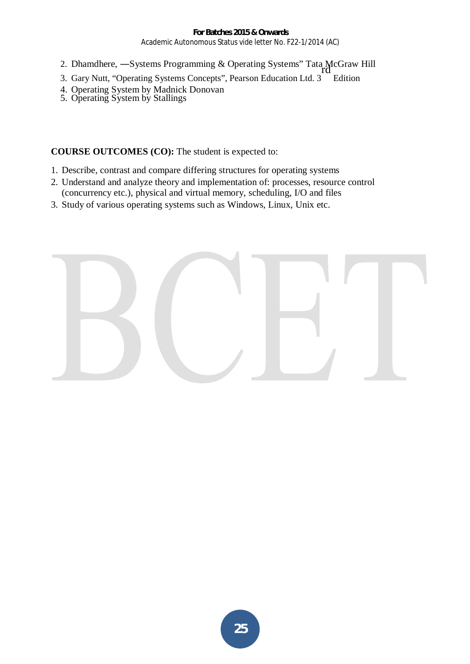- 2. Dhamdhere,  $-$ Systems Programming & Operating Systems" Tata McGraw Hill
- 3. Gary Nutt, "Operating Systems Concepts", Pearson Education Ltd. 3 Edition
- 4. Operating System by Madnick Donovan
- 5. Operating System by Stallings

**COURSE OUTCOMES (CO):** The student is expected to:

- 1. Describe, contrast and compare differing structures for operating systems
- 2. Understand and analyze theory and implementation of: processes, resource control (concurrency etc.), physical and virtual memory, scheduling, I/O and files
- 3. Study of various operating systems such as Windows, Linux, Unix etc.

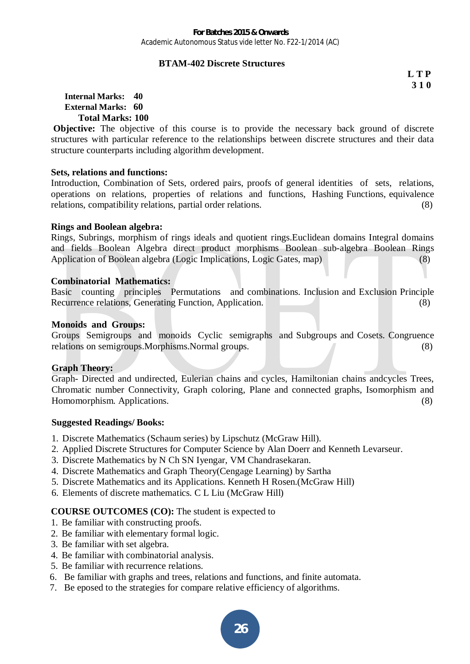#### **BTAM-402 Discrete Structures**

**L T P 3 1 0** 

#### **Internal Marks: 40 External Marks: 60 Total Marks: 100**

**Objective:** The objective of this course is to provide the necessary back ground of discrete structures with particular reference to the relationships between discrete structures and their data structure counterparts including algorithm development.

#### **Sets, relations and functions:**

Introduction, Combination of Sets, ordered pairs, proofs of general identities of sets, relations, operations on relations, properties of relations and functions, Hashing Functions, equivalence relations, compatibility relations, partial order relations. (8)

#### **Rings and Boolean algebra:**

Rings, Subrings, morphism of rings ideals and quotient rings.Euclidean domains Integral domains and fields Boolean Algebra direct product morphisms Boolean sub-algebra Boolean Rings Application of Boolean algebra (Logic Implications, Logic Gates, map) (8)

#### **Combinatorial Mathematics:**

Basic counting principles Permutations and combinations. Inclusion and Exclusion Principle Recurrence relations, Generating Function, Application. (8)

#### **Monoids and Groups:**

Groups Semigroups and monoids Cyclic semigraphs and Subgroups and Cosets. Congruence relations on semigroups.Morphisms.Normal groups. (8)

#### **Graph Theory:**

Graph- Directed and undirected, Eulerian chains and cycles, Hamiltonian chains andcycles Trees, Chromatic number Connectivity, Graph coloring, Plane and connected graphs, Isomorphism and Homomorphism. Applications. (8)

#### **Suggested Readings/ Books:**

- 1. Discrete Mathematics (Schaum series) by Lipschutz (McGraw Hill).
- 2. Applied Discrete Structures for Computer Science by Alan Doerr and Kenneth Levarseur.
- 3. Discrete Mathematics by N Ch SN Iyengar, VM Chandrasekaran.
- 4. Discrete Mathematics and Graph Theory(Cengage Learning) by Sartha
- 5. Discrete Mathematics and its Applications. Kenneth H Rosen.(McGraw Hill)
- 6. Elements of discrete mathematics. C L Liu (McGraw Hill)

# **COURSE OUTCOMES (CO):** The student is expected to

- 1. Be familiar with constructing proofs.
- 2. Be familiar with elementary formal logic.
- 3. Be familiar with set algebra.
- 4. Be familiar with combinatorial analysis.
- 5. Be familiar with recurrence relations.
- 6. Be familiar with graphs and trees, relations and functions, and finite automata.
- 7. Be eposed to the strategies for compare relative efficiency of algorithms.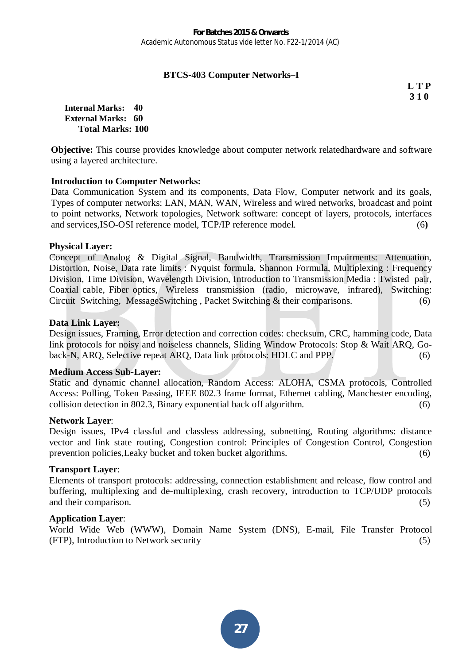## **BTCS-403 Computer Networks–I**

**L T P 3 1 0**

**Internal Marks: 40 External Marks: 60 Total Marks: 100** 

**Objective:** This course provides knowledge about computer network relatedhardware and software using a layered architecture.

#### **Introduction to Computer Networks:**

Data Communication System and its components, Data Flow, Computer network and its goals, Types of computer networks: LAN, MAN, WAN, Wireless and wired networks, broadcast and point to point networks, Network topologies, Network software: concept of layers, protocols, interfaces and services,ISO-OSI reference model, TCP/IP reference model. (6**)** 

#### **Physical Layer:**

Concept of Analog & Digital Signal, Bandwidth, Transmission Impairments: Attenuation, Distortion, Noise, Data rate limits : Nyquist formula, Shannon Formula, Multiplexing : Frequency Division, Time Division, Wavelength Division, Introduction to Transmission Media : Twisted pair, Coaxial cable, Fiber optics, Wireless transmission (radio, microwave, infrared), Switching: Circuit Switching, MessageSwitching , Packet Switching & their comparisons. (6)

#### **Data Link Layer:**

Design issues, Framing, Error detection and correction codes: checksum, CRC, hamming code, Data link protocols for noisy and noiseless channels, Sliding Window Protocols: Stop & Wait ARQ, Goback-N, ARQ, Selective repeat ARQ, Data link protocols: HDLC and PPP. (6)

#### **Medium Access Sub-Layer:**

Static and dynamic channel allocation, Random Access: ALOHA, CSMA protocols, Controlled Access: Polling, Token Passing, IEEE 802.3 frame format, Ethernet cabling, Manchester encoding, collision detection in 802.3, Binary exponential back off algorithm. (6)

#### **Network Layer**:

Design issues, IPv4 classful and classless addressing, subnetting, Routing algorithms: distance vector and link state routing, Congestion control: Principles of Congestion Control, Congestion prevention policies,Leaky bucket and token bucket algorithms. (6)

#### **Transport Layer**:

Elements of transport protocols: addressing, connection establishment and release, flow control and buffering, multiplexing and de-multiplexing, crash recovery, introduction to TCP/UDP protocols and their comparison. (5)

#### **Application Layer**:

World Wide Web (WWW), Domain Name System (DNS), E-mail, File Transfer Protocol (FTP), Introduction to Network security (5)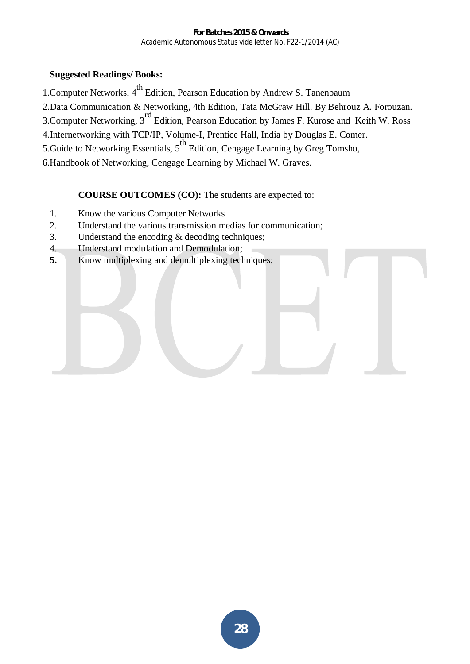# **Suggested Readings/ Books:**

1. Computer Networks, 4<sup>th</sup> Edition, Pearson Education by Andrew S. Tanenbaum

2.Data Communication & Networking, 4th Edition, Tata McGraw Hill. By Behrouz A. Forouzan.

3.Computer Networking, 3rd Edition, Pearson Education by James F. Kurose and Keith W. Ross

4.Internetworking with TCP/IP, Volume-I, Prentice Hall, India by Douglas E. Comer.

5.Guide to Networking Essentials,  $5^{\text{th}}$  Edition, Cengage Learning by Greg Tomsho,

6.Handbook of Networking, Cengage Learning by Michael W. Graves.

# **COURSE OUTCOMES (CO):** The students are expected to:

- 1. Know the various Computer Networks
- 2. Understand the various transmission medias for communication;
- 3. Understand the encoding & decoding techniques;
- 4. Understand modulation and Demodulation;
- **5.** Know multiplexing and demultiplexing techniques;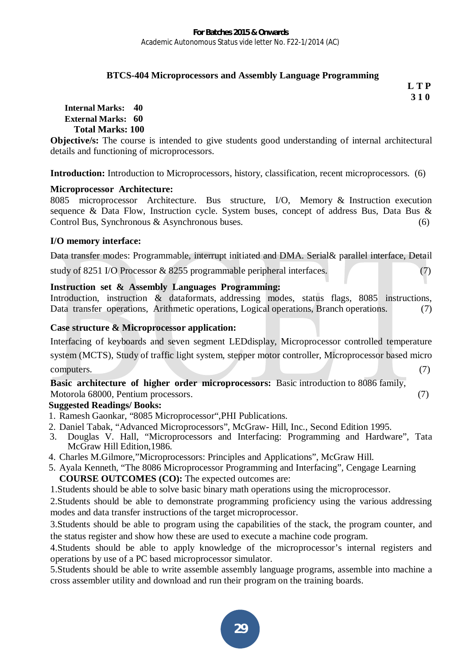## **BTCS-404 Microprocessors and Assembly Language Programming**

**L T P 3 1 0** 

**Internal Marks: 40 External Marks: 60 Total Marks: 100** 

**Objective/s:** The course is intended to give students good understanding of internal architectural details and functioning of microprocessors.

**Introduction:** Introduction to Microprocessors, history, classification, recent microprocessors. (6)

#### **Microprocessor Architecture:**

8085 microprocessor Architecture. Bus structure, I/O, Memory & Instruction execution sequence & Data Flow, Instruction cycle. System buses, concept of address Bus, Data Bus & Control Bus, Synchronous & Asynchronous buses. (6)

# **I/O memory interface:**

Data transfer modes: Programmable, interrupt initiated and DMA. Serial& parallel interface, Detail study of 8251 I/O Processor & 8255 programmable peripheral interfaces. (7)

# **Instruction set & Assembly Languages Programming:**

Introduction, instruction & dataformats, addressing modes, status flags, 8085 instructions, Data transfer operations, Arithmetic operations, Logical operations, Branch operations. (7)

# **Case structure & Microprocessor application:**

Interfacing of keyboards and seven segment LEDdisplay, Microprocessor controlled temperature system (MCTS), Study of traffic light system, stepper motor controller, Microprocessor based micro  $\epsilon$  computers. (7)

**Basic architecture of higher order microprocessors:** Basic introduction to 8086 family, Motorola 68000, Pentium processors. (7)

# **Suggested Readings/ Books:**

- 1. Ramesh Gaonkar, "8085 Microprocessor",PHI Publications.
- 2. Daniel Tabak, "Advanced Microprocessors", McGraw- Hill, Inc., Second Edition 1995.
- 3. Douglas V. Hall, "Microprocessors and Interfacing: Programming and Hardware", Tata McGraw Hill Edition,1986.
- 4. Charles M.Gilmore,"Microprocessors: Principles and Applications", McGraw Hill.
- 5. Ayala Kenneth, "The 8086 Microprocessor Programming and Interfacing", Cengage Learning **COURSE OUTCOMES (CO):** The expected outcomes are:
- 1.Students should be able to solve basic binary math operations using the microprocessor.

2.Students should be able to demonstrate programming proficiency using the various addressing modes and data transfer instructions of the target microprocessor.

3.Students should be able to program using the capabilities of the stack, the program counter, and the status register and show how these are used to execute a machine code program.

4.Students should be able to apply knowledge of the microprocessor's internal registers and operations by use of a PC based microprocessor simulator.

5.Students should be able to write assemble assembly language programs, assemble into machine a cross assembler utility and download and run their program on the training boards.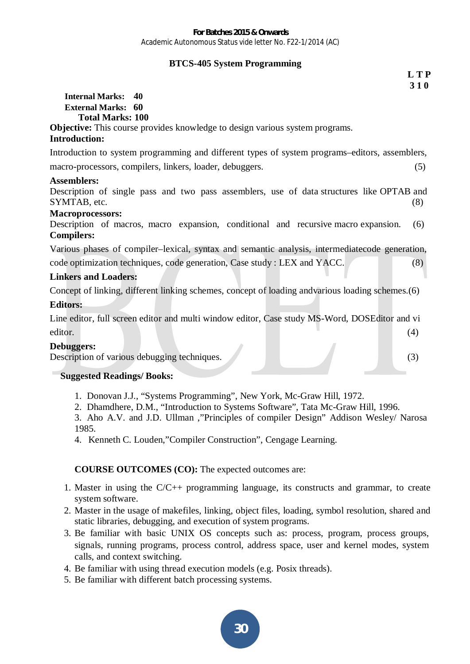#### **BTCS-405 System Programming**

| L T P                                                                                                       |
|-------------------------------------------------------------------------------------------------------------|
| 310                                                                                                         |
| <b>Internal Marks:</b><br>40                                                                                |
| <b>External Marks: 60</b>                                                                                   |
| <b>Total Marks: 100</b>                                                                                     |
| <b>Objective:</b> This course provides knowledge to design various system programs.<br><b>Introduction:</b> |
|                                                                                                             |
| Introduction to system programming and different types of system programs–editors, assemblers,              |
| macro-processors, compilers, linkers, loader, debuggers.<br>(5)                                             |
| <b>Assemblers:</b>                                                                                          |
| Description of single pass and two pass assemblers, use of data structures like OPTAB and                   |
| SYMTAB, etc.<br>(8)                                                                                         |
| <b>Macroprocessors:</b>                                                                                     |
| Description of macros, macro expansion, conditional and recursive macro expansion.<br>(6)                   |
| <b>Compilers:</b>                                                                                           |
| Various phases of compiler–lexical, syntax and semantic analysis, intermediatecode generation,              |
| code optimization techniques, code generation, Case study : LEX and YACC.<br>(8)                            |
| <b>Linkers and Loaders:</b>                                                                                 |
| Concept of linking, different linking schemes, concept of loading andvarious loading schemes. (6)           |
| <b>Editors:</b>                                                                                             |
| Line editor, full screen editor and multi window editor, Case study MS-Word, DOSEditor and vi               |
| editor.<br>(4)                                                                                              |
| Debuggers:                                                                                                  |
| Description of various debugging techniques.<br>(3)                                                         |
| <b>Suggested Readings/Books:</b>                                                                            |

- 1. Donovan J.J., "Systems Programming", New York, Mc-Graw Hill, 1972.
- 2. Dhamdhere, D.M., "Introduction to Systems Software", Tata Mc-Graw Hill, 1996.

3. Aho A.V. and J.D. Ullman ,"Principles of compiler Design" Addison Wesley/ Narosa 1985.

4. Kenneth C. Louden,"Compiler Construction", Cengage Learning.

**COURSE OUTCOMES (CO):** The expected outcomes are:

- 1. Master in using the C/C++ programming language, its constructs and grammar, to create system software.
- 2. Master in the usage of makefiles, linking, object files, loading, symbol resolution, shared and static libraries, debugging, and execution of system programs.
- 3. Be familiar with basic UNIX OS concepts such as: process, program, process groups, signals, running programs, process control, address space, user and kernel modes, system calls, and context switching.
- 4. Be familiar with using thread execution models (e.g. Posix threads).
- 5. Be familiar with different batch processing systems.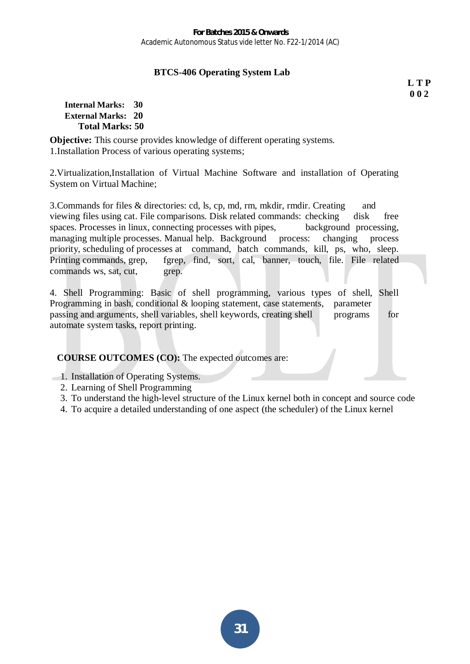# **BTCS-406 Operating System Lab**

**L T P 0 0 2**

#### **Internal Marks: 30 External Marks: 20 Total Marks: 50**

**Objective:** This course provides knowledge of different operating systems. 1.Installation Process of various operating systems;

2.Virtualization,Installation of Virtual Machine Software and installation of Operating System on Virtual Machine;

3.Commands for files & directories: cd, ls, cp, md, rm, mkdir, rmdir. Creating and viewing files using cat. File comparisons. Disk related commands: checking disk free spaces. Processes in linux, connecting processes with pipes, background processing, managing multiple processes. Manual help. Background process: changing process priority, scheduling of processes at command, batch commands, kill, ps, who, sleep. Printing commands, grep, fgrep, find, sort, cal, banner, touch, file. File related commands ws, sat, cut, grep.

4. Shell Programming: Basic of shell programming, various types of shell, Shell Programming in bash, conditional & looping statement, case statements, parameter passing and arguments, shell variables, shell keywords, creating shell programs for automate system tasks, report printing.

**COURSE OUTCOMES (CO):** The expected outcomes are:

- 1. Installation of Operating Systems.
	- 2. Learning of Shell Programming
	- 3. To understand the high-level structure of the Linux kernel both in concept and source code
	- 4. To acquire a detailed understanding of one aspect (the scheduler) of the Linux kernel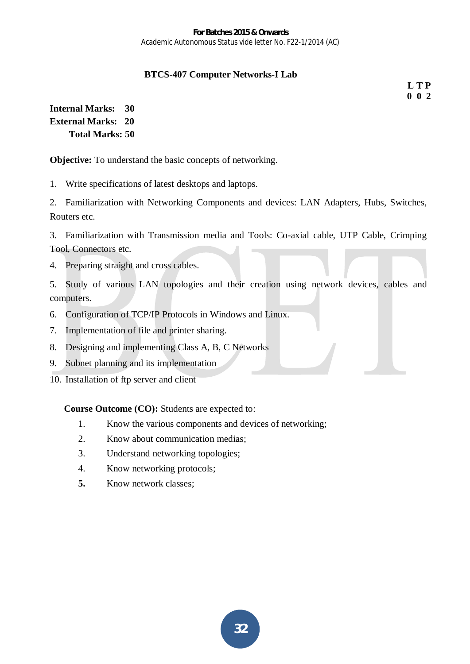# **BTCS-407 Computer Networks-I Lab**

**L T P 0 0 2**

**Internal Marks: 30 External Marks: 20 Total Marks: 50** 

**Objective:** To understand the basic concepts of networking.

1. Write specifications of latest desktops and laptops.

2. Familiarization with Networking Components and devices: LAN Adapters, Hubs, Switches, Routers etc.

3. Familiarization with Transmission media and Tools: Co-axial cable, UTP Cable, Crimping Tool, Connectors etc.

4. Preparing straight and cross cables.

5. Study of various LAN topologies and their creation using network devices, cables and computers.

- 6. Configuration of TCP/IP Protocols in Windows and Linux.
- 7. Implementation of file and printer sharing.
- 8. Designing and implementing Class A, B, C Networks
- 9. Subnet planning and its implementation
- 10. Installation of ftp server and client

**Course Outcome (CO):** Students are expected to:

- 1. Know the various components and devices of networking;
- 2. Know about communication medias;
- 3. Understand networking topologies;
- 4. Know networking protocols;
- **5.** Know network classes;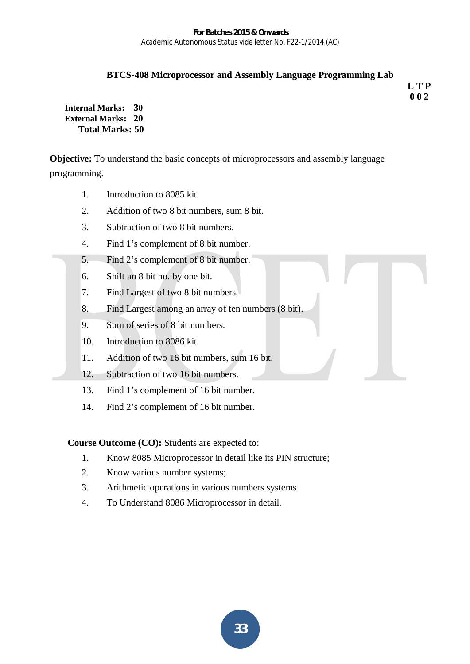#### **BTCS-408 Microprocessor and Assembly Language Programming Lab**

**L T P 0 0 2**

**Internal Marks: 30 External Marks: 20 Total Marks: 50** 

**Objective:** To understand the basic concepts of microprocessors and assembly language programming.

- 1. Introduction to 8085 kit.
- 2. Addition of two 8 bit numbers, sum 8 bit.
- 3. Subtraction of two 8 bit numbers.
- 4. Find 1's complement of 8 bit number.
- 5. Find 2's complement of 8 bit number.
- 6. Shift an 8 bit no. by one bit.
- 7. Find Largest of two 8 bit numbers.
- 8. Find Largest among an array of ten numbers (8 bit).
- 9. Sum of series of 8 bit numbers.
- 10. Introduction to 8086 kit.
- 11. Addition of two 16 bit numbers, sum 16 bit.
- 12. Subtraction of two 16 bit numbers.
- 13. Find 1's complement of 16 bit number.
- 14. Find 2's complement of 16 bit number.

**Course Outcome (CO):** Students are expected to:

- 1. Know 8085 Microprocessor in detail like its PIN structure;
- 2. Know various number systems;
- 3. Arithmetic operations in various numbers systems
- 4. To Understand 8086 Microprocessor in detail.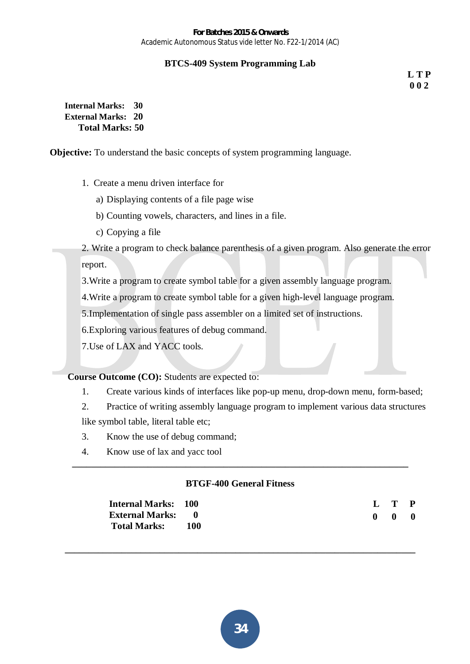# **BTCS-409 System Programming Lab**

**L T P 0 0 2**

**Internal Marks: 30 External Marks: 20 Total Marks: 50** 

**Objective:** To understand the basic concepts of system programming language.

- 1. Create a menu driven interface for
	- a) Displaying contents of a file page wise
	- b) Counting vowels, characters, and lines in a file.
	- c) Copying a file

2. Write a program to check balance parenthesis of a given program. Also generate the error report.

3.Write a program to create symbol table for a given assembly language program.

4.Write a program to create symbol table for a given high-level language program.

5.Implementation of single pass assembler on a limited set of instructions.

6.Exploring various features of debug command.

7.Use of LAX and YACC tools.

**Course Outcome (CO):** Students are expected to:

1. Create various kinds of interfaces like pop-up menu, drop-down menu, form-based;

2. Practice of writing assembly language program to implement various data structures like symbol table, literal table etc;

- 3. Know the use of debug command;
- 4. Know use of lax and yacc tool

# **BTGF-400 General Fitness**

**\_\_\_\_\_\_\_\_\_\_\_\_\_\_\_\_\_\_\_\_\_\_\_\_\_\_\_\_\_\_\_\_\_\_\_\_\_\_\_\_\_\_\_\_\_\_\_\_\_\_\_\_\_\_\_\_\_\_\_\_\_\_\_\_\_\_\_\_\_\_\_\_\_\_** 

**\_\_\_\_\_\_\_\_\_\_\_\_\_\_\_\_\_\_\_\_\_\_\_\_\_\_\_\_\_\_\_\_\_\_\_\_\_\_\_\_\_\_\_\_\_\_\_\_\_\_\_\_\_\_\_\_\_\_\_\_\_\_\_\_\_\_\_\_\_\_\_** 

| <b>Internal Marks: 100</b> |       |  | L T P               |  |
|----------------------------|-------|--|---------------------|--|
| <b>External Marks: 0</b>   |       |  | $0 \quad 0 \quad 0$ |  |
| <b>Total Marks:</b>        | - 100 |  |                     |  |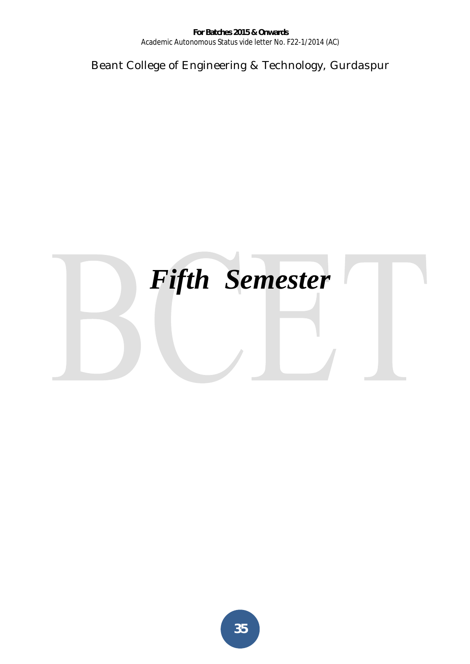Beant College of Engineering & Technology, Gurdaspur

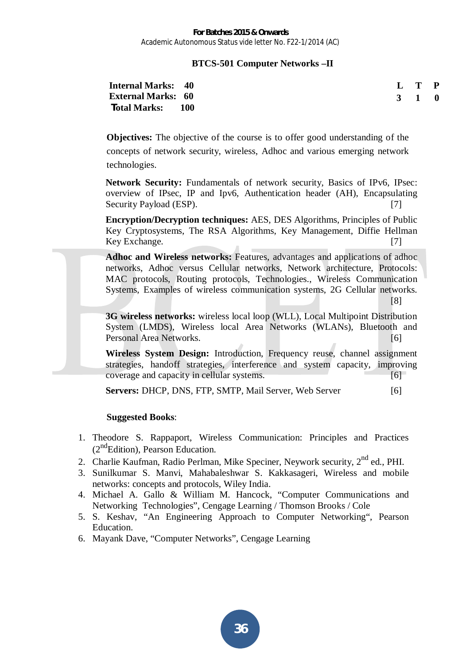#### **BTCS-501 Computer Networks –II**

| <b>Internal Marks: 40</b> |  | L T P |  |
|---------------------------|--|-------|--|
| <b>External Marks: 60</b> |  | 3 1 0 |  |
| <b>Total Marks:</b> 100   |  |       |  |

**Objectives:** The objective of the course is to offer good understanding of the concepts of network security, wireless, Adhoc and various emerging network technologies.

**Network Security:** Fundamentals of network security, Basics of IPv6, IPsec: overview of IPsec, IP and Ipv6, Authentication header (AH), Encapsulating Security Payload (ESP).

**Encryption/Decryption techniques:** AES, DES Algorithms, Principles of Public Key Cryptosystems, The RSA Algorithms, Key Management, Diffie Hellman Key Exchange.

**Adhoc and Wireless networks:** Features, advantages and applications of adhoc networks, Adhoc versus Cellular networks, Network architecture, Protocols: MAC protocols, Routing protocols, Technologies., Wireless Communication Systems, Examples of wireless communication systems, 2G Cellular networks. [8]

**3G wireless networks:** wireless local loop (WLL), Local Multipoint Distribution System (LMDS), Wireless local Area Networks (WLANs), Bluetooth and Personal Area Networks. [6]

**Wireless System Design:** Introduction, Frequency reuse, channel assignment strategies, handoff strategies, interference and system capacity, improving coverage and capacity in cellular systems. [6]

**Servers: DHCP, DNS, FTP, SMTP, Mail Server, Web Server [6]** 

#### **Suggested Books**:

- 1. Theodore S. Rappaport, Wireless Communication: Principles and Practices  $(2<sup>nd</sup> Edition)$ , Pearson Education.
- 2. Charlie Kaufman, Radio Perlman, Mike Speciner, Neywork security, 2<sup>nd</sup> ed., PHI.
- 3. Sunilkumar S. Manvi, Mahabaleshwar S. Kakkasageri, Wireless and mobile networks: concepts and protocols, Wiley India.
- 4. Michael A. Gallo & William M. Hancock, "Computer Communications and Networking Technologies", Cengage Learning / Thomson Brooks / Cole
- 5. S. Keshav, "An Engineering Approach to Computer Networking", Pearson Education.
- 6. Mayank Dave, "Computer Networks", Cengage Learning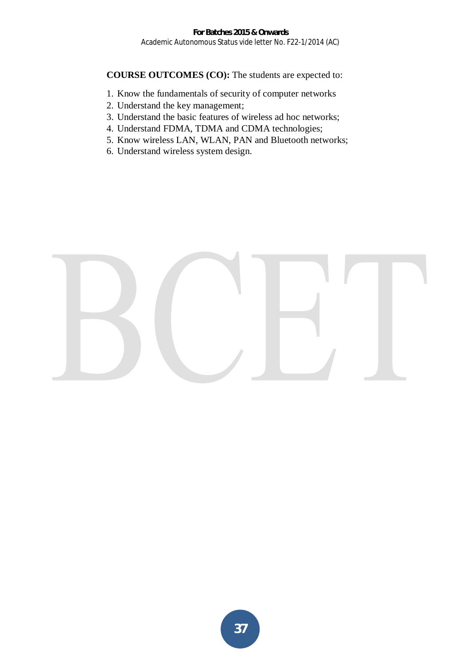- 1. Know the fundamentals of security of computer networks
- 2. Understand the key management;
- 3. Understand the basic features of wireless ad hoc networks;
- 4. Understand FDMA, TDMA and CDMA technologies;
- 5. Know wireless LAN, WLAN, PAN and Bluetooth networks;
- 6. Understand wireless system design.

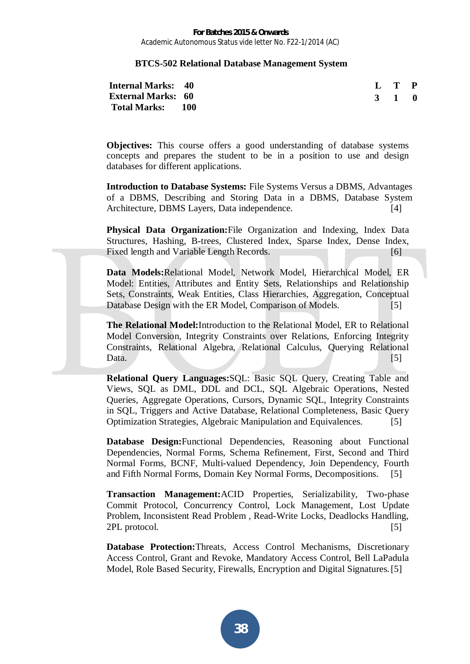## **BTCS-502 Relational Database Management System**

| <b>Internal Marks: 40</b> |  | L T P |  |
|---------------------------|--|-------|--|
| <b>External Marks: 60</b> |  | 3 1 0 |  |
| Total Marks: 100          |  |       |  |

**Objectives:** This course offers a good understanding of database systems concepts and prepares the student to be in a position to use and design databases for different applications.

**Introduction to Database Systems:** File Systems Versus a DBMS, Advantages of a DBMS, Describing and Storing Data in a DBMS, Database System Architecture, DBMS Layers, Data independence. [4]

**Physical Data Organization:**File Organization and Indexing, Index Data Structures, Hashing, B-trees, Clustered Index, Sparse Index, Dense Index, Fixed length and Variable Length Records. [6]

**Data Models:**Relational Model, Network Model, Hierarchical Model, ER Model: Entities, Attributes and Entity Sets, Relationships and Relationship Sets, Constraints, Weak Entities, Class Hierarchies, Aggregation, Conceptual Database Design with the ER Model, Comparison of Models. [5]

**The Relational Model:**Introduction to the Relational Model, ER to Relational Model Conversion, Integrity Constraints over Relations, Enforcing Integrity Constraints, Relational Algebra, Relational Calculus, Querying Relational Data.  $[5]$ 

**Relational Query Languages:**SQL: Basic SQL Query, Creating Table and Views, SQL as DML, DDL and DCL, SQL Algebraic Operations, Nested Queries, Aggregate Operations, Cursors, Dynamic SQL, Integrity Constraints in SQL, Triggers and Active Database, Relational Completeness, Basic Query Optimization Strategies, Algebraic Manipulation and Equivalences. [5]

**Database Design:**Functional Dependencies, Reasoning about Functional Dependencies, Normal Forms, Schema Refinement, First, Second and Third Normal Forms, BCNF, Multi-valued Dependency, Join Dependency, Fourth and Fifth Normal Forms, Domain Key Normal Forms, Decompositions. [5]

**Transaction Management:**ACID Properties, Serializability, Two-phase Commit Protocol, Concurrency Control, Lock Management, Lost Update Problem, Inconsistent Read Problem , Read-Write Locks, Deadlocks Handling, 2PL protocol. [5]

**Database Protection:**Threats, Access Control Mechanisms, Discretionary Access Control, Grant and Revoke, Mandatory Access Control, Bell LaPadula Model, Role Based Security, Firewalls, Encryption and Digital Signatures. [5]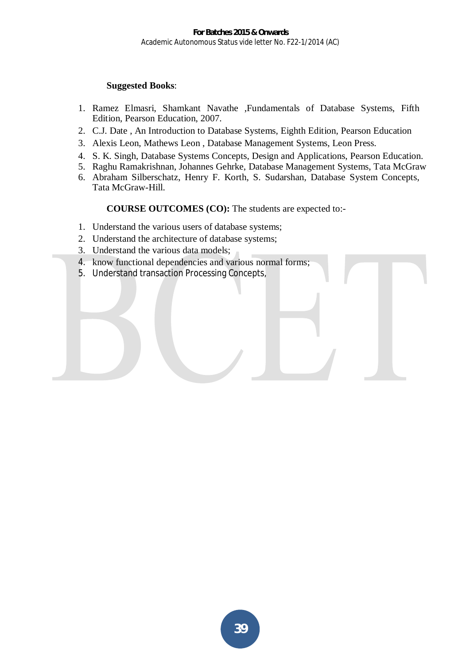## **Suggested Books**:

- 1. Ramez Elmasri, Shamkant Navathe ,Fundamentals of Database Systems, Fifth Edition, Pearson Education, 2007.
- 2. C.J. Date , An Introduction to Database Systems, Eighth Edition, Pearson Education
- 3. Alexis Leon, Mathews Leon , Database Management Systems, Leon Press.
- 4. S. K. Singh, Database Systems Concepts, Design and Applications, Pearson Education.
- 5. Raghu Ramakrishnan, Johannes Gehrke, Database Management Systems, Tata McGraw
- 6. Abraham Silberschatz, Henry F. Korth, S. Sudarshan, Database System Concepts, Tata McGraw-Hill.

- 1. Understand the various users of database systems;
- 2. Understand the architecture of database systems;
- 3. Understand the various data models;
- 4. know functional dependencies and various normal forms;
- 5. Understand transaction Processing Concepts,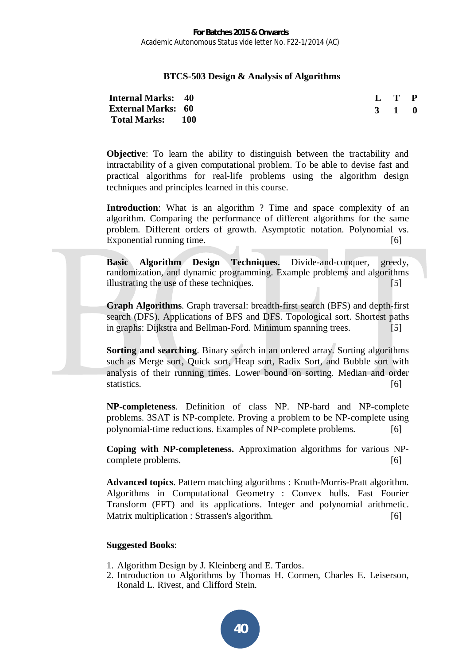## **BTCS-503 Design & Analysis of Algorithms**

| <b>Internal Marks:</b>    | 40  |
|---------------------------|-----|
| <b>External Marks: 60</b> |     |
| <b>Total Marks:</b>       | 100 |

**L T P 3 1 0**

**Objective**: To learn the ability to distinguish between the tractability and intractability of a given computational problem. To be able to devise fast and practical algorithms for real-life problems using the algorithm design techniques and principles learned in this course.

**Introduction:** What is an algorithm ? Time and space complexity of an algorithm. Comparing the performance of different algorithms for the same problem. Different orders of growth. Asymptotic notation. Polynomial vs. Exponential running time. [6]

**Basic Algorithm Design Techniques.** Divide-and-conquer, greedy, randomization, and dynamic programming. Example problems and algorithms illustrating the use of these techniques. [5]

**Graph Algorithms**. Graph traversal: breadth-first search (BFS) and depth-first search (DFS). Applications of BFS and DFS. Topological sort. Shortest paths in graphs: Dijkstra and Bellman-Ford. Minimum spanning trees. [5]

**Sorting and searching**. Binary search in an ordered array. Sorting algorithms such as Merge sort, Quick sort, Heap sort, Radix Sort, and Bubble sort with analysis of their running times. Lower bound on sorting. Median and order statistics. [6]

**NP-completeness**. Definition of class NP. NP-hard and NP-complete problems. 3SAT is NP-complete. Proving a problem to be NP-complete using polynomial-time reductions. Examples of NP-complete problems. [6]

**Coping with NP-completeness.** Approximation algorithms for various NPcomplete problems. [6]

**Advanced topics**. Pattern matching algorithms : Knuth-Morris-Pratt algorithm. Algorithms in Computational Geometry : Convex hulls. Fast Fourier Transform (FFT) and its applications. Integer and polynomial arithmetic. Matrix multiplication : Strassen's algorithm. [6]

## **Suggested Books**:

- 1. Algorithm Design by J. Kleinberg and E. Tardos.
- 2. Introduction to Algorithms by Thomas H. Cormen, Charles E. Leiserson, Ronald L. Rivest, and Clifford Stein.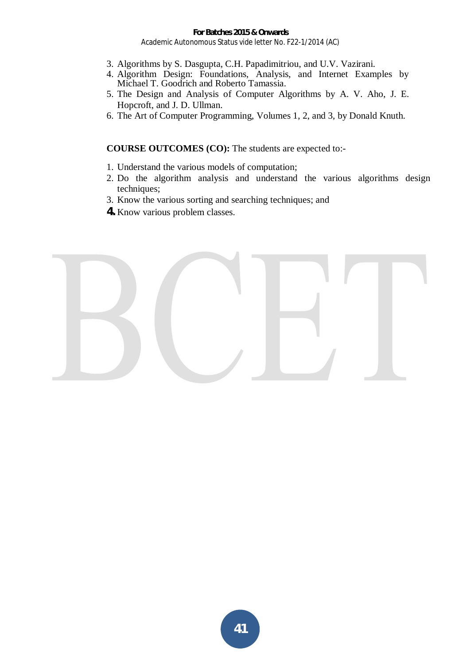- 3. Algorithms by S. Dasgupta, C.H. Papadimitriou, and U.V. Vazirani.
- 4. Algorithm Design: Foundations, Analysis, and Internet Examples by Michael T. Goodrich and Roberto Tamassia.
- 5. The Design and Analysis of Computer Algorithms by A. V. Aho, J. E. Hopcroft, and J. D. Ullman.
- 6. The Art of Computer Programming, Volumes 1, 2, and 3, by Donald Knuth.

- 1. Understand the various models of computation;
- 2. Do the algorithm analysis and understand the various algorithms design techniques;
- 3. Know the various sorting and searching techniques; and
- **4.** Know various problem classes.

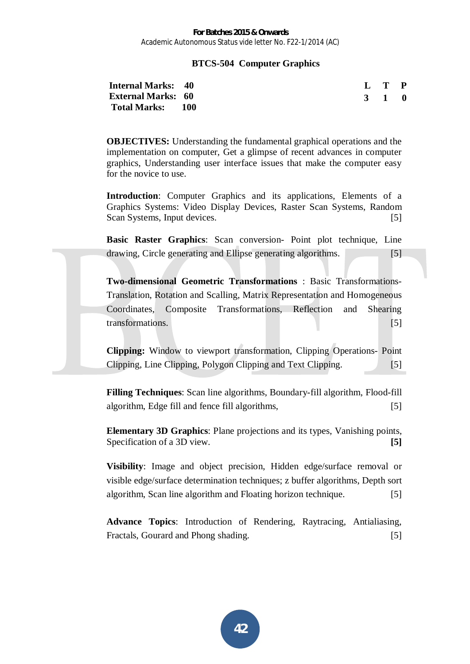## **BTCS-504 Computer Graphics**

| <b>Internal Marks: 40</b> |  | $\mathbf{L} \quad \mathbf{T} \quad \mathbf{P}$ |  |
|---------------------------|--|------------------------------------------------|--|
| <b>External Marks: 60</b> |  | 3 1 0                                          |  |
| Total Marks: 100          |  |                                                |  |

**OBJECTIVES:** Understanding the fundamental graphical operations and the implementation on computer, Get a glimpse of recent advances in computer graphics, Understanding user interface issues that make the computer easy for the novice to use.

**Introduction**: Computer Graphics and its applications, Elements of a Graphics Systems: Video Display Devices, Raster Scan Systems, Random Scan Systems, Input devices. [5]

**Basic Raster Graphics**: Scan conversion- Point plot technique, Line drawing, Circle generating and Ellipse generating algorithms. [5]

**Two-dimensional Geometric Transformations** : Basic Transformations-Translation, Rotation and Scalling, Matrix Representation and Homogeneous Coordinates, Composite Transformations, Reflection and Shearing transformations. [5]

**Clipping:** Window to viewport transformation, Clipping Operations- Point Clipping, Line Clipping, Polygon Clipping and Text Clipping. [5]

**Filling Techniques**: Scan line algorithms, Boundary-fill algorithm, Flood-fill algorithm, Edge fill and fence fill algorithms, [5]

**Elementary 3D Graphics**: Plane projections and its types, Vanishing points, Specification of a 3D view. **[5]** 

**Visibility**: Image and object precision, Hidden edge/surface removal or visible edge/surface determination techniques; z buffer algorithms, Depth sort algorithm, Scan line algorithm and Floating horizon technique. [5]

**Advance Topics**: Introduction of Rendering, Raytracing, Antialiasing, Fractals, Gourard and Phong shading. [5]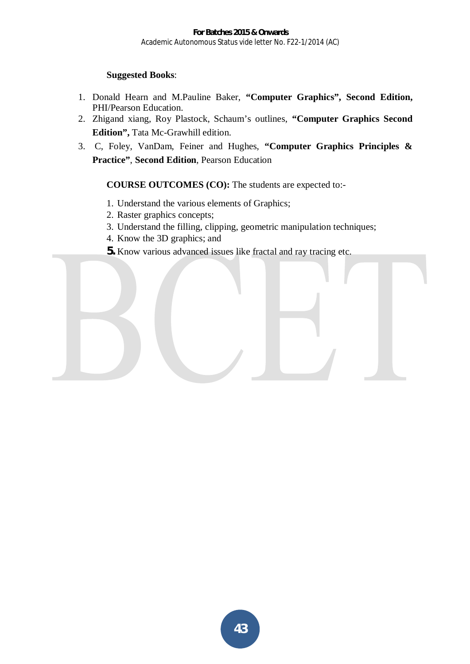## **Suggested Books**:

- 1. Donald Hearn and M.Pauline Baker, **"Computer Graphics", Second Edition,** PHI/Pearson Education.
- 2. Zhigand xiang, Roy Plastock, Schaum's outlines, **"Computer Graphics Second Edition",** Tata Mc-Grawhill edition.
- 3. C, Foley, VanDam, Feiner and Hughes, **"Computer Graphics Principles & Practice"**, **Second Edition**, Pearson Education

- 1. Understand the various elements of Graphics;
- 2. Raster graphics concepts;
- 3. Understand the filling, clipping, geometric manipulation techniques;
- 4. Know the 3D graphics; and
- **5.** Know various advanced issues like fractal and ray tracing etc.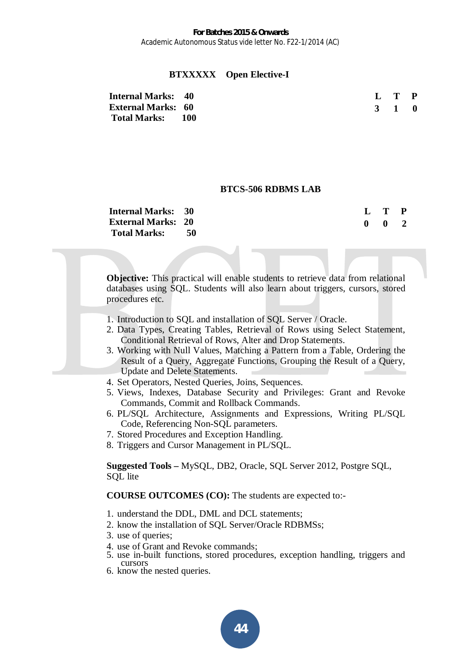## **BTXXXXX Open Elective-I**

| <b>Internal Marks: 40</b> | L T P |  |
|---------------------------|-------|--|
| <b>External Marks: 60</b> | 3 1 0 |  |
| Total Marks: 100          |       |  |

#### **BTCS-506 RDBMS LAB**

| <b>Internal Marks: 30</b> |    |
|---------------------------|----|
| <b>External Marks: 20</b> |    |
| <b>Total Marks:</b>       | 50 |

| $\mathbf{L}$ | T | P |
|--------------|---|---|
| 0            | 0 | 2 |

**Objective:** This practical will enable students to retrieve data from relational databases using SQL. Students will also learn about triggers, cursors, stored procedures etc.

- 1. Introduction to SQL and installation of SQL Server / Oracle.
- 2. Data Types, Creating Tables, Retrieval of Rows using Select Statement, Conditional Retrieval of Rows, Alter and Drop Statements.
- 3. Working with Null Values, Matching a Pattern from a Table, Ordering the Result of a Query, Aggregate Functions, Grouping the Result of a Query, Update and Delete Statements.
- 4. Set Operators, Nested Queries, Joins, Sequences.
- 5. Views, Indexes, Database Security and Privileges: Grant and Revoke Commands, Commit and Rollback Commands.
- 6. PL/SQL Architecture, Assignments and Expressions, Writing PL/SQL Code, Referencing Non-SQL parameters.
- 7. Stored Procedures and Exception Handling.
- 8. Triggers and Cursor Management in PL/SQL.

**Suggested Tools –** MySQL, DB2, Oracle, SQL Server 2012, Postgre SQL, SQL lite

- 1. understand the DDL, DML and DCL statements;
- 2. know the installation of SQL Server/Oracle RDBMSs;
- 3. use of queries;
- 4. use of Grant and Revoke commands;
- 5. use in-built functions, stored procedures, exception handling, triggers and cursors
- 6. know the nested queries.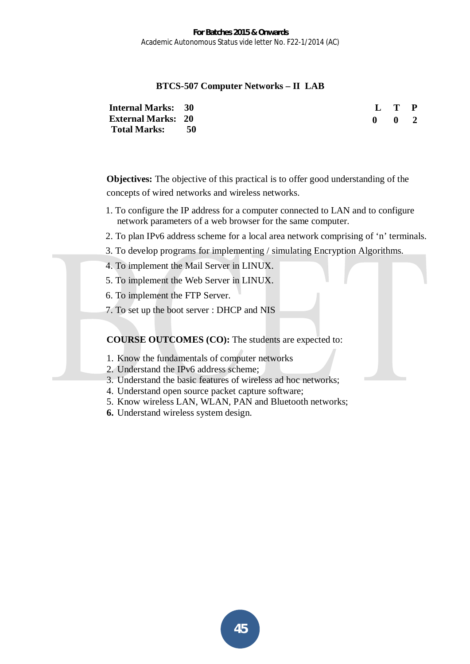## **BTCS-507 Computer Networks – II LAB**

**Internal Marks: 30 External Marks: 20 Total Marks: 50** 

**L T P 0 0 2**

**Objectives:** The objective of this practical is to offer good understanding of the concepts of wired networks and wireless networks.

- 1. To configure the IP address for a computer connected to LAN and to configure network parameters of a web browser for the same computer.
- 2. To plan IPv6 address scheme for a local area network comprising of 'n' terminals.
- 3. To develop programs for implementing / simulating Encryption Algorithms.
- 4. To implement the Mail Server in LINUX.
- 5. To implement the Web Server in LINUX.
- 6. To implement the FTP Server.
- 7. To set up the boot server : DHCP and NIS

- 1. Know the fundamentals of computer networks
- 2. Understand the IPv6 address scheme;
- 3. Understand the basic features of wireless ad hoc networks;
- 4. Understand open source packet capture software;
- 5. Know wireless LAN, WLAN, PAN and Bluetooth networks;
- **6.** Understand wireless system design.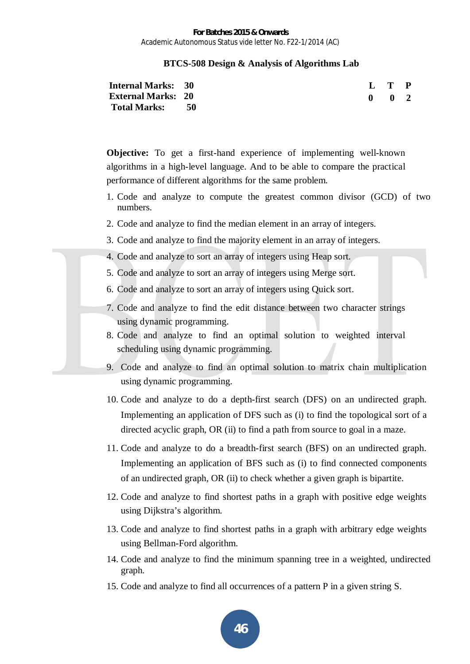## **BTCS-508 Design & Analysis of Algorithms Lab**

| <b>Internal Marks: 30</b> |  | L T P         |  |
|---------------------------|--|---------------|--|
| <b>External Marks: 20</b> |  | $0 \t 0 \t 2$ |  |
| Total Marks: 50           |  |               |  |

**Objective:** To get a first-hand experience of implementing well-known algorithms in a high-level language. And to be able to compare the practical performance of different algorithms for the same problem.

- 1. Code and analyze to compute the greatest common divisor (GCD) of two numbers.
- 2. Code and analyze to find the median element in an array of integers.
- 3. Code and analyze to find the majority element in an array of integers.
- 4. Code and analyze to sort an array of integers using Heap sort.
- 5. Code and analyze to sort an array of integers using Merge sort.
- 6. Code and analyze to sort an array of integers using Quick sort.
- 7. Code and analyze to find the edit distance between two character strings using dynamic programming.
- 8. Code and analyze to find an optimal solution to weighted interval scheduling using dynamic programming.
- 9. Code and analyze to find an optimal solution to matrix chain multiplication using dynamic programming.
- 10. Code and analyze to do a depth-first search (DFS) on an undirected graph. Implementing an application of DFS such as (i) to find the topological sort of a directed acyclic graph, OR (ii) to find a path from source to goal in a maze.
- 11. Code and analyze to do a breadth-first search (BFS) on an undirected graph. Implementing an application of BFS such as (i) to find connected components of an undirected graph, OR (ii) to check whether a given graph is bipartite.
- 12. Code and analyze to find shortest paths in a graph with positive edge weights using Dijkstra's algorithm.
- 13. Code and analyze to find shortest paths in a graph with arbitrary edge weights using Bellman-Ford algorithm.
- 14. Code and analyze to find the minimum spanning tree in a weighted, undirected graph.
- 15. Code and analyze to find all occurrences of a pattern P in a given string S.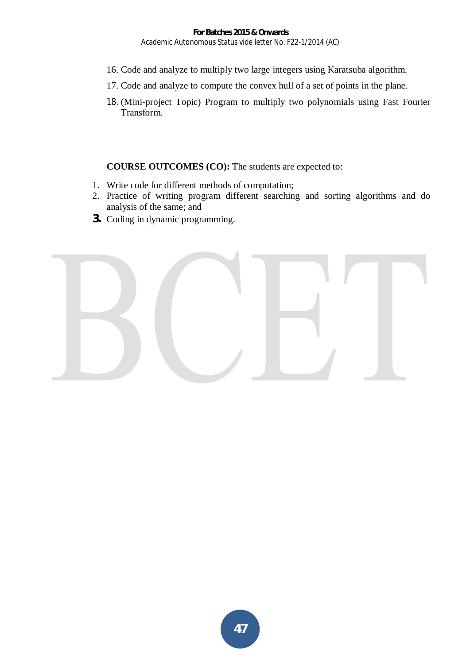- 16. Code and analyze to multiply two large integers using Karatsuba algorithm.
- 17. Code and analyze to compute the convex hull of a set of points in the plane.
- 18. (Mini-project Topic) Program to multiply two polynomials using Fast Fourier Transform.

- 1. Write code for different methods of computation;
- 2. Practice of writing program different searching and sorting algorithms and do analysis of the same; and
- **3.** Coding in dynamic programming.

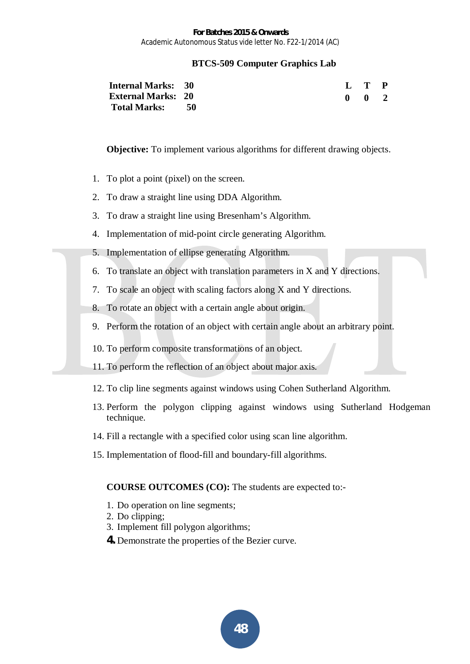## **BTCS-509 Computer Graphics Lab**

| <b>Internal Marks: 30</b> |  | L T P               |
|---------------------------|--|---------------------|
| <b>External Marks: 20</b> |  | $0 \quad 0 \quad 2$ |
| Total Marks: 50           |  |                     |

**Objective:** To implement various algorithms for different drawing objects.

- 1. To plot a point (pixel) on the screen.
- 2. To draw a straight line using DDA Algorithm.
- 3. To draw a straight line using Bresenham's Algorithm.
- 4. Implementation of mid-point circle generating Algorithm.
- 5. Implementation of ellipse generating Algorithm.
- 6. To translate an object with translation parameters in X and Y directions.
- 7. To scale an object with scaling factors along X and Y directions.
- 8. To rotate an object with a certain angle about origin.
- 9. Perform the rotation of an object with certain angle about an arbitrary point.
- 10. To perform composite transformations of an object.
- 11. To perform the reflection of an object about major axis.
- 12. To clip line segments against windows using Cohen Sutherland Algorithm.
- 13. Perform the polygon clipping against windows using Sutherland Hodgeman technique.
- 14. Fill a rectangle with a specified color using scan line algorithm.
- 15. Implementation of flood-fill and boundary-fill algorithms.

- 1. Do operation on line segments;
- 2. Do clipping;
- 3. Implement fill polygon algorithms;
- **4.** Demonstrate the properties of the Bezier curve.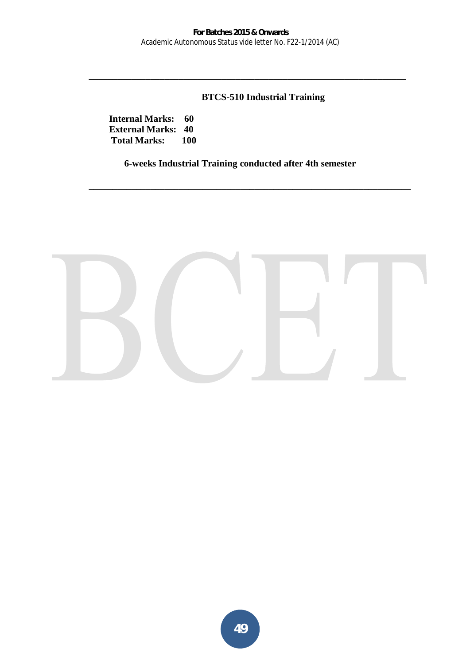**\_\_\_\_\_\_\_\_\_\_\_\_\_\_\_\_\_\_\_\_\_\_\_\_\_\_\_\_\_\_\_\_\_\_\_\_\_\_\_\_\_\_\_\_\_\_\_\_\_\_\_\_\_\_\_\_\_\_\_\_\_\_\_\_\_\_\_** 

# **BTCS-510 Industrial Training**

**Internal Marks: 60 External Marks: 40 Total Marks: 100** 

**6-weeks Industrial Training conducted after 4th semester** 

**\_\_\_\_\_\_\_\_\_\_\_\_\_\_\_\_\_\_\_\_\_\_\_\_\_\_\_\_\_\_\_\_\_\_\_\_\_\_\_\_\_\_\_\_\_\_\_\_\_\_\_\_\_\_\_\_\_\_\_\_\_\_\_\_\_\_\_\_**

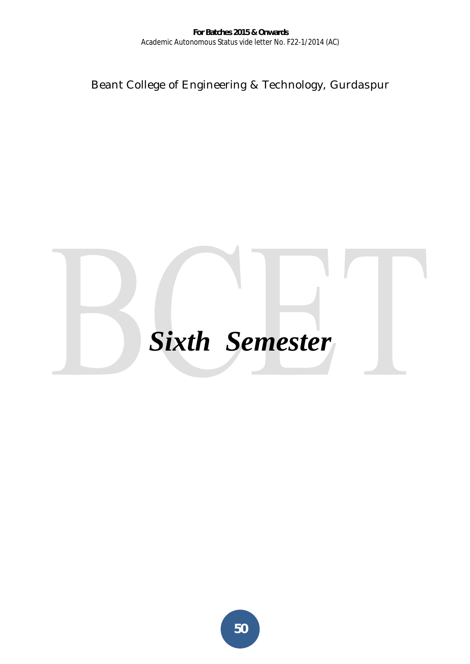Beant College of Engineering & Technology, Gurdaspur

# *Sixth Semester*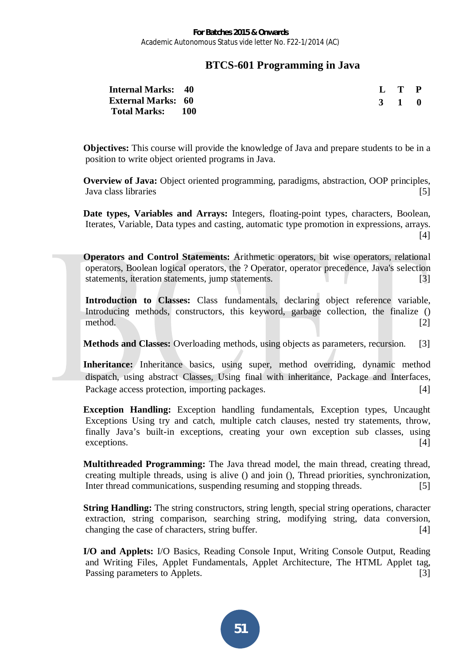# **BTCS-601 Programming in Java**

| <b>Internal Marks: 40</b> |  | L T P |  |
|---------------------------|--|-------|--|
| <b>External Marks: 60</b> |  | 3 1 0 |  |
| Total Marks: 100          |  |       |  |

**Objectives:** This course will provide the knowledge of Java and prepare students to be in a position to write object oriented programs in Java.

**Overview of Java:** Object oriented programming, paradigms, abstraction, OOP principles, Java class libraries [5]

**Date types, Variables and Arrays:** Integers, floating-point types, characters, Boolean, Iterates, Variable, Data types and casting, automatic type promotion in expressions, arrays.  $[4]$ 

**Operators and Control Statements:** Arithmetic operators, bit wise operators, relational operators, Boolean logical operators, the ? Operator, operator precedence, Java's selection statements, iteration statements, jump statements. [3]

Introduction to Classes: Class fundamentals, declaring object reference variable, Introducing methods, constructors, this keyword, garbage collection, the finalize () method. [2]

**Methods and Classes:** Overloading methods, using objects as parameters, recursion. [3]

**Inheritance:** Inheritance basics, using super, method overriding, dynamic method dispatch, using abstract Classes, Using final with inheritance, Package and Interfaces, Package access protection, importing packages. [4]

**Exception Handling:** Exception handling fundamentals, Exception types, Uncaught Exceptions Using try and catch, multiple catch clauses, nested try statements, throw, finally Java's built-in exceptions, creating your own exception sub classes, using exceptions. [4]

**Multithreaded Programming:** The Java thread model, the main thread, creating thread, creating multiple threads, using is alive () and join (), Thread priorities, synchronization, Inter thread communications, suspending resuming and stopping threads. [5]

**String Handling:** The string constructors, string length, special string operations, character extraction, string comparison, searching string, modifying string, data conversion, changing the case of characters, string buffer. [4]

**I/O and Applets:** I/O Basics, Reading Console Input, Writing Console Output, Reading and Writing Files, Applet Fundamentals, Applet Architecture, The HTML Applet tag, Passing parameters to Applets. [3]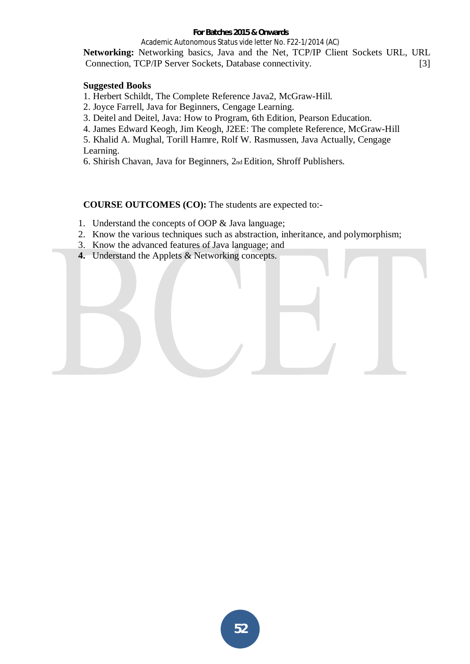## **For Batches 2015 & Onwards**

Academic Autonomous Status vide letter No. F22-1/2014 (AC)

**Networking:** Networking basics, Java and the Net, TCP/IP Client Sockets URL, URL Connection, TCP/IP Server Sockets, Database connectivity. [3]

## **Suggested Books**

1. Herbert Schildt, The Complete Reference Java2, McGraw-Hill.

2. Joyce Farrell, Java for Beginners, Cengage Learning.

3. Deitel and Deitel, Java: How to Program, 6th Edition, Pearson Education.

4. James Edward Keogh, Jim Keogh, J2EE: The complete Reference, McGraw-Hill

5. Khalid A. Mughal, Torill Hamre, Rolf W. Rasmussen, Java Actually, Cengage Learning.

6. Shirish Chavan, Java for Beginners, 2nd Edition, Shroff Publishers.

- 1. Understand the concepts of OOP & Java language;
- 2. Know the various techniques such as abstraction, inheritance, and polymorphism;
- 3. Know the advanced features of Java language; and
- **4.** Understand the Applets & Networking concepts.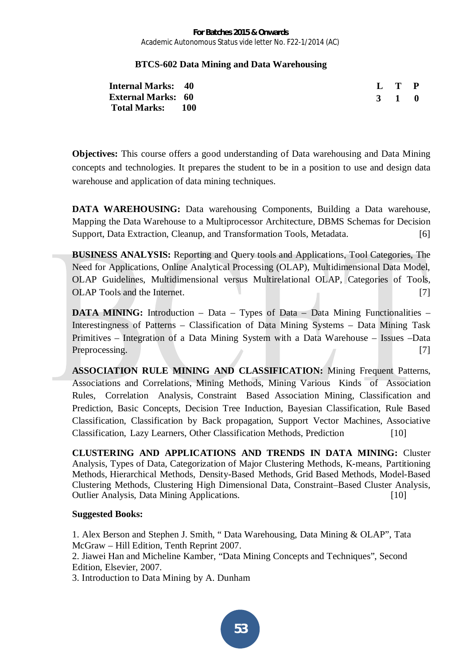## **BTCS-602 Data Mining and Data Warehousing**

| <b>Internal Marks: 40</b> |  | L T P |  |
|---------------------------|--|-------|--|
| <b>External Marks: 60</b> |  | 3 1 0 |  |
| <b>Total Marks: 100</b>   |  |       |  |

**Objectives:** This course offers a good understanding of Data warehousing and Data Mining concepts and technologies. It prepares the student to be in a position to use and design data warehouse and application of data mining techniques.

**DATA WAREHOUSING:** Data warehousing Components, Building a Data warehouse, Mapping the Data Warehouse to a Multiprocessor Architecture, DBMS Schemas for Decision Support, Data Extraction, Cleanup, and Transformation Tools, Metadata. [6]

**BUSINESS ANALYSIS:** Reporting and Query tools and Applications, Tool Categories, The Need for Applications, Online Analytical Processing (OLAP), Multidimensional Data Model, OLAP Guidelines, Multidimensional versus Multirelational OLAP, Categories of Tools, OLAP Tools and the Internet. [7]

**DATA MINING:** Introduction – Data – Types of Data – Data Mining Functionalities – Interestingness of Patterns – Classification of Data Mining Systems – Data Mining Task Primitives – Integration of a Data Mining System with a Data Warehouse – Issues –Data Preprocessing. [7]

**ASSOCIATION RULE MINING AND CLASSIFICATION:** Mining Frequent Patterns, Associations and Correlations, Mining Methods, Mining Various Kinds of Association Rules, Correlation Analysis, Constraint Based Association Mining, Classification and Prediction, Basic Concepts, Decision Tree Induction, Bayesian Classification, Rule Based Classification, Classification by Back propagation, Support Vector Machines, Associative Classification, Lazy Learners, Other Classification Methods, Prediction [10]

**CLUSTERING AND APPLICATIONS AND TRENDS IN DATA MINING:** Cluster Analysis, Types of Data, Categorization of Major Clustering Methods, K-means, Partitioning Methods, Hierarchical Methods, Density-Based Methods, Grid Based Methods, Model-Based Clustering Methods, Clustering High Dimensional Data, Constraint–Based Cluster Analysis, Outlier Analysis, Data Mining Applications. [10]

## **Suggested Books:**

1. Alex Berson and Stephen J. Smith, " Data Warehousing, Data Mining & OLAP", Tata McGraw – Hill Edition, Tenth Reprint 2007.

2. Jiawei Han and Micheline Kamber, "Data Mining Concepts and Techniques", Second Edition, Elsevier, 2007.

3. Introduction to Data Mining by A. Dunham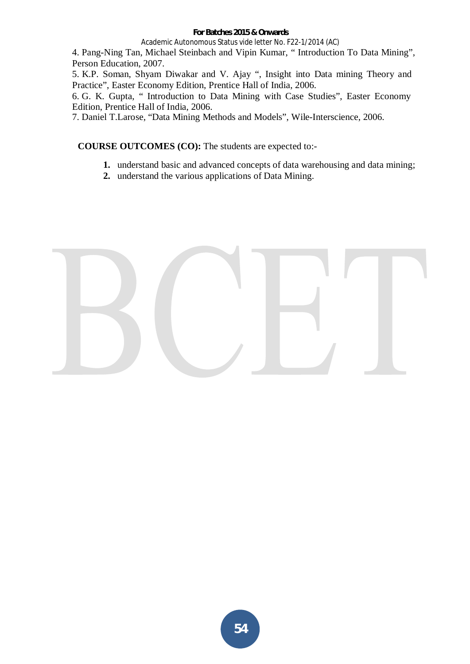### **For Batches 2015 & Onwards**

Academic Autonomous Status vide letter No. F22-1/2014 (AC)

4. Pang-Ning Tan, Michael Steinbach and Vipin Kumar, " Introduction To Data Mining", Person Education, 2007.

5. K.P. Soman, Shyam Diwakar and V. Ajay ", Insight into Data mining Theory and Practice", Easter Economy Edition, Prentice Hall of India, 2006.

6. G. K. Gupta, " Introduction to Data Mining with Case Studies", Easter Economy Edition, Prentice Hall of India, 2006.

7. Daniel T.Larose, "Data Mining Methods and Models", Wile-Interscience, 2006.

- **1.** understand basic and advanced concepts of data warehousing and data mining;
- **2.** understand the various applications of Data Mining.

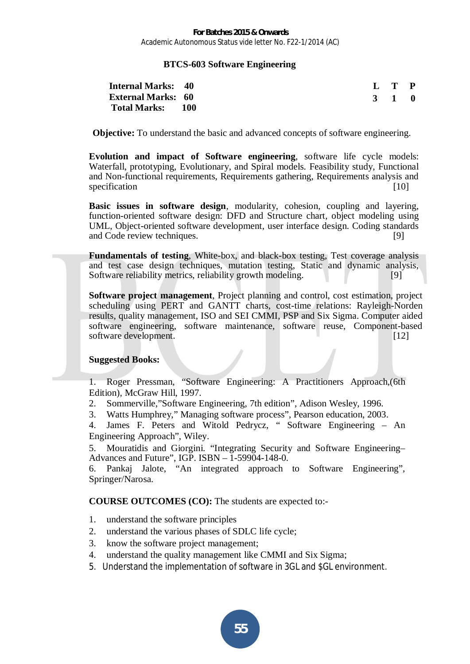## **BTCS-603 Software Engineering**

| <b>Internal Marks: 40</b> |  | L T P |  |
|---------------------------|--|-------|--|
| <b>External Marks: 60</b> |  | 3 1 0 |  |
| Total Marks: 100          |  |       |  |

**Objective:** To understand the basic and advanced concepts of software engineering.

**Evolution and impact of Software engineering**, software life cycle models: Waterfall, prototyping, Evolutionary, and Spiral models. Feasibility study, Functional and Non-functional requirements, Requirements gathering, Requirements analysis and specification [10] **Specification** [10]

**Basic issues in software design**, modularity, cohesion, coupling and layering, function-oriented software design: DFD and Structure chart, object modeling using UML, Object-oriented software development, user interface design. Coding standards and Code review techniques. [9]

**Fundamentals of testing**, White-box, and black-box testing, Test coverage analysis and test case design techniques, mutation testing, Static and dynamic analysis, Software reliability metrics, reliability growth modeling. [9]

**Software project management**, Project planning and control, cost estimation, project scheduling using PERT and GANTT charts, cost-time relations: Rayleigh-Norden results, quality management, ISO and SEI CMMI, PSP and Six Sigma. Computer aided software engineering, software maintenance, software reuse, Component-based software development. [12]

## **Suggested Books:**

1. Roger Pressman, "Software Engineering: A Practitioners Approach,(6th Edition), McGraw Hill, 1997.

2. Sommerville,"Software Engineering, 7th edition", Adison Wesley, 1996.

3. Watts Humphrey," Managing software process", Pearson education, 2003.

4. James F. Peters and Witold Pedrycz, " Software Engineering – An Engineering Approach", Wiley.

5. Mouratidis and Giorgini. "Integrating Security and Software Engineering– Advances and Future",  $IGP$ .  $ISBN - 1-59904-148-0$ .

6. Pankaj Jalote, "An integrated approach to Software Engineering", Springer/Narosa.

- 1. understand the software principles
- 2. understand the various phases of SDLC life cycle;
- 3. know the software project management;
- 4. understand the quality management like CMMI and Six Sigma;
- 5. Understand the implementation of software in 3GL and \$GL environment.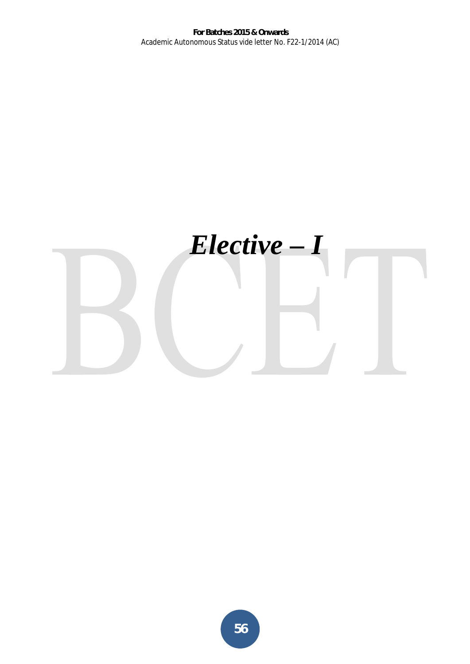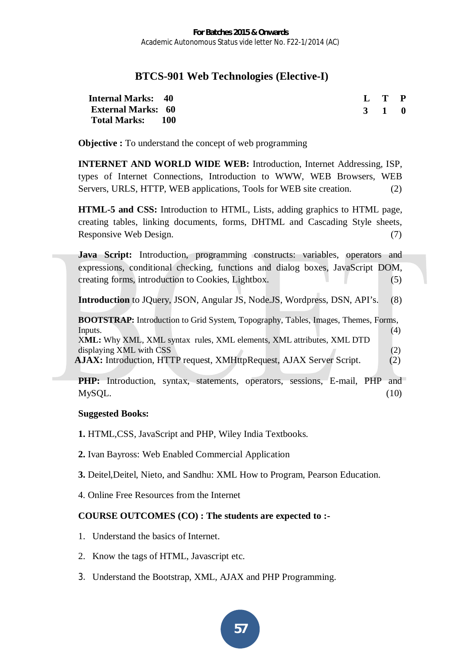# **BTCS-901 Web Technologies (Elective-I)**

| <b>Internal Marks: 40</b> |  | L T P |  |
|---------------------------|--|-------|--|
| <b>External Marks: 60</b> |  | 3 1 0 |  |
| Total Marks: 100          |  |       |  |

**Objective :** To understand the concept of web programming

**INTERNET AND WORLD WIDE WEB:** Introduction, Internet Addressing, ISP, types of Internet Connections, Introduction to WWW, WEB Browsers, WEB Servers, URLS, HTTP, WEB applications, Tools for WEB site creation. (2)

**HTML-5 and CSS:** Introduction to HTML, Lists, adding graphics to HTML page, creating tables, linking documents, forms, DHTML and Cascading Style sheets, Responsive Web Design. (7)

**Java Script:** Introduction, programming constructs: variables, operators and expressions, conditional checking, functions and dialog boxes, JavaScript DOM, creating forms, introduction to Cookies, Lightbox. (5)

**Introduction** to JQuery, JSON, Angular JS, Node.JS, Wordpress, DSN, API's. (8)

**BOOTSTRAP:** Introduction to Grid System, Topography, Tables, Images, Themes, Forms,  $\mathbf{I}$  Inputs. (4) X**ML:** Why XML, XML syntax rules, XML elements, XML attributes, XML DTD displaying XML with CSS (2) **AJAX:** Introduction, HTTP request, XMHttpRequest, AJAX Server Script. (2)

**PHP:** Introduction, syntax, statements, operators, sessions, E-mail, PHP and  $M<sub>y</sub>SQL.$  (10)

# **Suggested Books:**

**1.** HTML,CSS, JavaScript and PHP, Wiley India Textbooks.

- **2.** Ivan Bayross: Web Enabled Commercial Application
- **3.** Deitel,Deitel, Nieto, and Sandhu: XML How to Program, Pearson Education.
- 4. Online Free Resources from the Internet

- 1. Understand the basics of Internet.
- 2. Know the tags of HTML, Javascript etc.
- 3. Understand the Bootstrap, XML, AJAX and PHP Programming.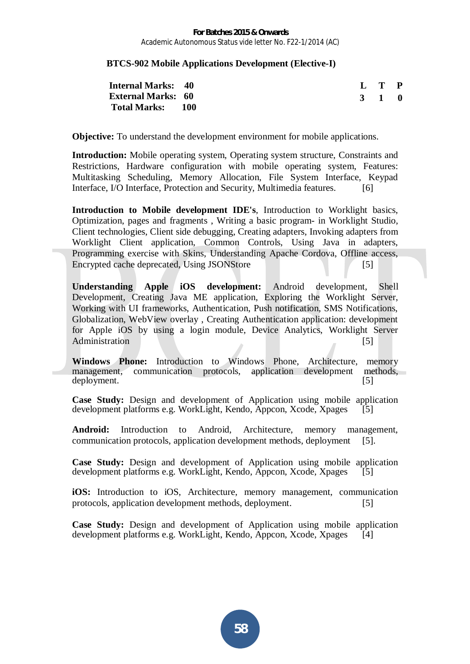## **BTCS-902 Mobile Applications Development (Elective-I)**

| <b>Internal Marks: 40</b> |  | $\mathbf{L} \quad \mathbf{T} \quad \mathbf{P}$ |  |
|---------------------------|--|------------------------------------------------|--|
| <b>External Marks: 60</b> |  | 3 1 0                                          |  |
| Total Marks: 100          |  |                                                |  |

**Objective:** To understand the development environment for mobile applications.

**Introduction:** Mobile operating system, Operating system structure, Constraints and Restrictions, Hardware configuration with mobile operating system, Features: Multitasking Scheduling, Memory Allocation, File System Interface, Keypad Interface, I/O Interface, Protection and Security, Multimedia features. [6]

**Introduction to Mobile development IDE's**, Introduction to Worklight basics, Optimization, pages and fragments , Writing a basic program- in Worklight Studio, Client technologies, Client side debugging, Creating adapters, Invoking adapters from Worklight Client application, Common Controls, Using Java in adapters, Programming exercise with Skins, Understanding Apache Cordova, Offline access, Encrypted cache deprecated, Using JSONStore [5]

**Understanding Apple iOS development:** Android development, Shell Development, Creating Java ME application, Exploring the Worklight Server, Working with UI frameworks, Authentication, Push notification, SMS Notifications, Globalization, WebView overlay , Creating Authentication application: development for Apple iOS by using a login module, Device Analytics, Worklight Server Administration [5]

**Windows Phone:** Introduction to Windows Phone, Architecture, memory management, communication protocols, application development methods, deployment. [5]

**Case Study:** Design and development of Application using mobile application development platforms e.g. WorkLight, Kendo, Appcon, Xcode, Xpages [5]

**Android:** Introduction to Android, Architecture, memory management, communication protocols, application development methods, deployment [5].

**Case Study:** Design and development of Application using mobile application development platforms e.g. WorkLight, Kendo, Appcon, Xcode, Xpages [5]

**iOS:** Introduction to iOS, Architecture, memory management, communication protocols, application development methods, deployment. [5]

**Case Study:** Design and development of Application using mobile application development platforms e.g. WorkLight, Kendo, Appcon, Xcode, Xpages [4]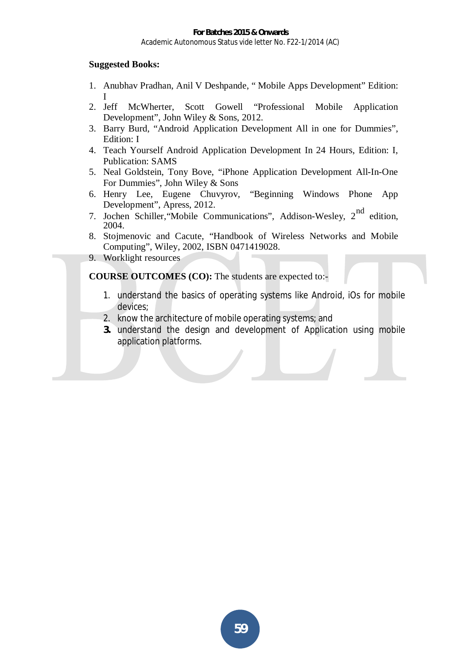# **Suggested Books:**

- 1. Anubhav Pradhan, Anil V Deshpande, " Mobile Apps Development" Edition: I
- 2. Jeff McWherter, Scott Gowell "Professional Mobile Application Development", John Wiley & Sons, 2012.
- 3. Barry Burd, "Android Application Development All in one for Dummies", Edition: I
- 4. Teach Yourself Android Application Development In 24 Hours, Edition: I, Publication: SAMS
- 5. Neal Goldstein, Tony Bove, "iPhone Application Development All-In-One For Dummies", John Wiley & Sons
- 6. Henry Lee, Eugene Chuvyrov, "Beginning Windows Phone App Development", Apress, 2012.
- 7. Jochen Schiller, Mobile Communications", Addison-Wesley, 2<sup>nd</sup> edition, 2004.
- 8. Stojmenovic and Cacute, "Handbook of Wireless Networks and Mobile Computing", Wiley, 2002, ISBN 0471419028.
- 9. Worklight resources

- 1. understand the basics of operating systems like Android, iOs for mobile devices;
- 2. know the architecture of mobile operating systems; and
- **3.** understand the design and development of Application using mobile application platforms.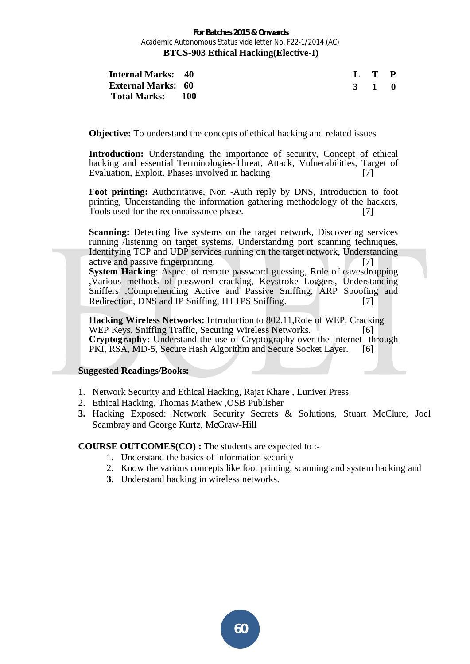| <b>Internal Marks: 40</b> |  | L T P |  |
|---------------------------|--|-------|--|
| <b>External Marks: 60</b> |  | 3 1 0 |  |
| Total Marks: 100          |  |       |  |

**Objective:** To understand the concepts of ethical hacking and related issues

**Introduction:** Understanding the importance of security, Concept of ethical hacking and essential Terminologies-Threat, Attack, Vulnerabilities, Target of Evaluation, Exploit. Phases involved in hacking [7]

**Foot printing:** Authoritative, Non -Auth reply by DNS, Introduction to foot printing, Understanding the information gathering methodology of the hackers, Tools used for the reconnaissance phase. [7]

**Scanning:** Detecting live systems on the target network, Discovering services running /listening on target systems, Understanding port scanning techniques, Identifying TCP and UDP services running on the target network, Understanding active and passive fingerprinting. [7]

**System Hacking:** Aspect of remote password guessing, Role of eavesdropping ,Various methods of password cracking, Keystroke Loggers, Understanding Sniffers ,Comprehending Active and Passive Sniffing, ARP Spoofing and Redirection, DNS and IP Sniffing, HTTPS Sniffing. [7]

**Hacking Wireless Networks:** Introduction to 802.11,Role of WEP, Cracking WEP Keys, Sniffing Traffic, Securing Wireless Networks. **Cryptography:** Understand the use of Cryptography over the Internet through PKI, RSA, MD-5, Secure Hash Algorithm and Secure Socket Layer. [6]

#### **Suggested Readings/Books:**

- 1. Network Security and Ethical Hacking, Rajat Khare , Luniver Press
- 2. Ethical Hacking, Thomas Mathew ,OSB Publisher
- **3.** Hacking Exposed: Network Security Secrets & Solutions, Stuart McClure, Joel Scambray and George Kurtz, McGraw-Hill

- 1. Understand the basics of information security
- 2. Know the various concepts like foot printing, scanning and system hacking and
- **3.** Understand hacking in wireless networks.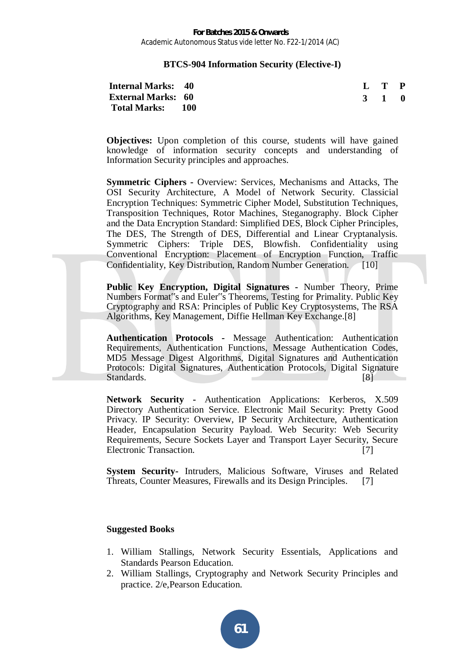#### **BTCS-904 Information Security (Elective-I)**

| <b>Internal Marks: 40</b> |  |  |  | $\mathbf{L} \quad \mathbf{T} \quad \mathbf{P}$ |  |
|---------------------------|--|--|--|------------------------------------------------|--|
| <b>External Marks: 60</b> |  |  |  | 3 1 0                                          |  |
| Total Marks: 100          |  |  |  |                                                |  |

**Objectives:** Upon completion of this course, students will have gained knowledge of information security concepts and understanding of Information Security principles and approaches.

**Symmetric Ciphers -** Overview: Services, Mechanisms and Attacks, The OSI Security Architecture, A Model of Network Security. Classicial Encryption Techniques: Symmetric Cipher Model, Substitution Techniques, Transposition Techniques, Rotor Machines, Steganography. Block Cipher and the Data Encryption Standard: Simplified DES, Block Cipher Principles, The DES, The Strength of DES, Differential and Linear Cryptanalysis. Symmetric Ciphers: Triple DES, Blowfish. Confidentiality using Conventional Encryption: Placement of Encryption Function, Traffic Confidentiality, Key Distribution, Random Number Generation. [10]

**Public Key Encryption, Digital Signatures -** Number Theory, Prime Numbers Format"s and Euler''s Theorems, Testing for Primality. Public Key Cryptography and RSA: Principles of Public Key Cryptosystems, The RSA Algorithms, Key Management, Diffie Hellman Key Exchange.[8]

**Authentication Protocols -** Message Authentication: Authentication Requirements, Authentication Functions, Message Authentication Codes, MD5 Message Digest Algorithms, Digital Signatures and Authentication Protocols: Digital Signatures, Authentication Protocols, Digital Signature Standards. [8]

**Network Security -** Authentication Applications: Kerberos, X.509 Directory Authentication Service. Electronic Mail Security: Pretty Good Privacy. IP Security: Overview, IP Security Architecture, Authentication Header, Encapsulation Security Payload. Web Security: Web Security Requirements, Secure Sockets Layer and Transport Layer Security, Secure Electronic Transaction. [7]

**System Security-** Intruders, Malicious Software, Viruses and Related Threats, Counter Measures, Firewalls and its Design Principles. [7]

#### **Suggested Books**

- 1. William Stallings, Network Security Essentials, Applications and Standards Pearson Education.
- 2. William Stallings, Cryptography and Network Security Principles and practice. 2/e,Pearson Education.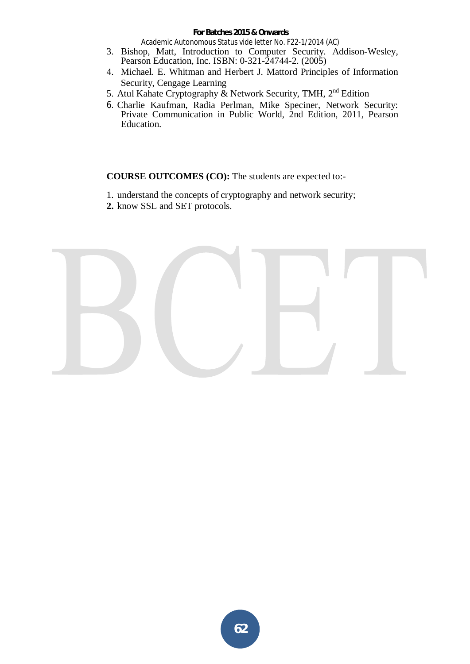#### **For Batches 2015 & Onwards**

Academic Autonomous Status vide letter No. F22-1/2014 (AC)

- 3. Bishop, Matt, Introduction to Computer Security*.* Addison-Wesley, Pearson Education, Inc. ISBN: 0-321-24744-2. (2005)
- 4. Michael. E. Whitman and Herbert J. Mattord Principles of Information Security, Cengage Learning
- 5. Atul Kahate Cryptography & Network Security, TMH,  $2^{nd}$  Edition
- 6. Charlie Kaufman, Radia Perlman, Mike Speciner, Network Security: Private Communication in Public World, 2nd Edition, 2011, Pearson Education.

- 1. understand the concepts of cryptography and network security;
- **2.** know SSL and SET protocols.

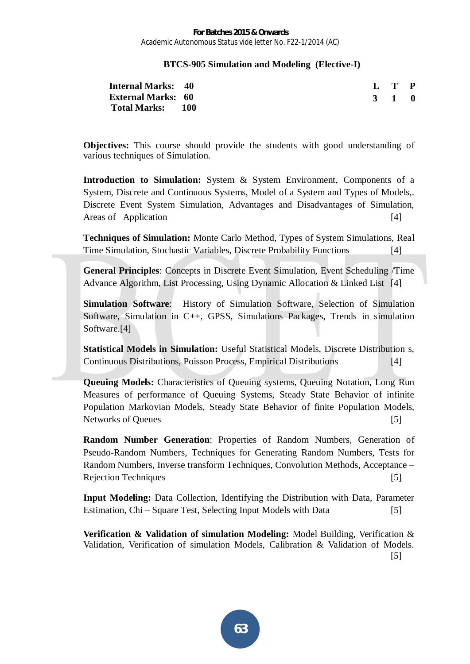## **BTCS-905 Simulation and Modeling (Elective-I)**

| <b>Internal Marks: 40</b> |  |  | L T P |
|---------------------------|--|--|-------|
| <b>External Marks: 60</b> |  |  | 3 1 0 |
| Total Marks: 100          |  |  |       |

**Objectives:** This course should provide the students with good understanding of various techniques of Simulation.

Introduction to Simulation: System & System Environment, Components of a System, Discrete and Continuous Systems, Model of a System and Types of Models,. Discrete Event System Simulation, Advantages and Disadvantages of Simulation, Areas of Application [4]

**Techniques of Simulation:** Monte Carlo Method, Types of System Simulations, Real Time Simulation, Stochastic Variables, Discrete Probability Functions [4]

**General Principles**: Concepts in Discrete Event Simulation, Event Scheduling /Time Advance Algorithm, List Processing, Using Dynamic Allocation & Linked List [4]

**Simulation Software**:History of Simulation Software, Selection of Simulation Software, Simulation in C++, GPSS, Simulations Packages, Trends in simulation Software.<sup>[4]</sup>

**Statistical Models in Simulation:** Useful Statistical Models, Discrete Distribution s, Continuous Distributions, Poisson Process, Empirical Distributions [4]

**Queuing Models:** Characteristics of Queuing systems, Queuing Notation, Long Run Measures of performance of Queuing Systems, Steady State Behavior of infinite Population Markovian Models, Steady State Behavior of finite Population Models, Networks of Queues [5]

**Random Number Generation**: Properties of Random Numbers, Generation of Pseudo-Random Numbers, Techniques for Generating Random Numbers, Tests for Random Numbers, Inverse transform Techniques, Convolution Methods, Acceptance – Rejection Techniques [5]

**Input Modeling:** Data Collection, Identifying the Distribution with Data, Parameter Estimation, Chi – Square Test, Selecting Input Models with Data [5]

**Verification & Validation of simulation Modeling:** Model Building, Verification & Validation, Verification of simulation Models, Calibration & Validation of Models.

[5]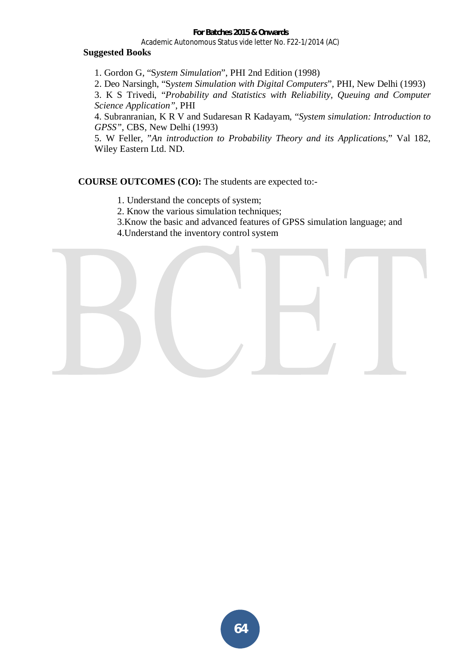## **Suggested Books**

1. Gordon G, "S*ystem Simulation*", PHI 2nd Edition (1998)

2. Deo Narsingh, "S*ystem Simulation with Digital Computers*", PHI, New Delhi (1993)

3. K S Trivedi, "*Probability and Statistics with Reliability, Queuing and Computer Science Application"*, PHI

4. Subranranian, K R V and Sudaresan R Kadayam, "*System simulation: Introduction to GPSS"*, CBS, New Delhi (1993)

5. W Feller, "*An introduction to Probability Theory and its Applications*," Val 182, Wiley Eastern Ltd. ND.

- 1. Understand the concepts of system;
- 2. Know the various simulation techniques;
- 3.Know the basic and advanced features of GPSS simulation language; and
- 4.Understand the inventory control system

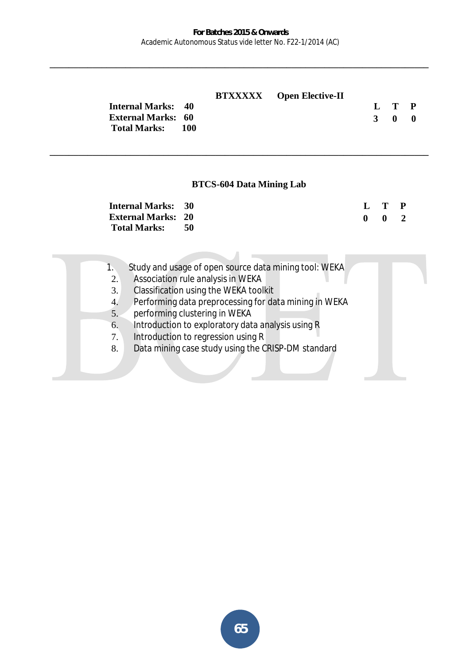**\_\_\_\_\_\_\_\_\_\_\_\_\_\_\_\_\_\_\_\_\_\_\_\_\_\_\_\_\_\_\_\_\_\_\_\_\_\_\_\_\_\_\_\_\_\_\_\_\_\_\_\_\_\_\_\_\_\_\_\_\_\_\_\_\_\_\_\_\_\_\_\_\_\_\_\_\_\_\_\_** 

|                           |  | <b>BTXXXXX</b> Open Elective-II |       |  |
|---------------------------|--|---------------------------------|-------|--|
| <b>Internal Marks: 40</b> |  |                                 | L T P |  |
| <b>External Marks: 60</b> |  |                                 | 3 0 0 |  |
| Total Marks: 100          |  |                                 |       |  |

## **BTCS-604 Data Mining Lab**

**\_\_\_\_\_\_\_\_\_\_\_\_\_\_\_\_\_\_\_\_\_\_\_\_\_\_\_\_\_\_\_\_\_\_\_\_\_\_\_\_\_\_\_\_\_\_\_\_\_\_\_\_\_\_\_\_\_\_\_\_\_\_\_\_\_\_\_\_\_\_\_\_\_\_\_\_\_\_\_\_**

| <b>Internal Marks: 30</b> |  | L T P               |  |
|---------------------------|--|---------------------|--|
| <b>External Marks: 20</b> |  | $0 \quad 0 \quad 2$ |  |
| Total Marks: 50           |  |                     |  |

| Study and usage of open source data mining tool: WEKA |  |
|-------------------------------------------------------|--|
|-------------------------------------------------------|--|

- 2. Association rule analysis in WEKA
- 3. Classification using the WEKA toolkit
- 4. Performing data preprocessing for data mining in WEKA
- 5. performing clustering in WEKA
- 6. Introduction to exploratory data analysis using R
- 7. Introduction to regression using R
- 8. Data mining case study using the CRISP-DM standard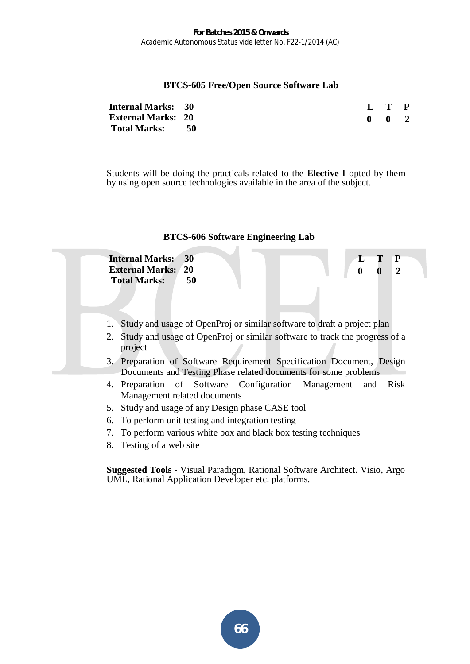## **BTCS-605 Free/Open Source Software Lab**

| <b>Internal Marks: 30</b> |      | L T P               |  |
|---------------------------|------|---------------------|--|
| <b>External Marks: 20</b> |      | $0 \quad 0 \quad 2$ |  |
| <b>Total Marks:</b>       | - 50 |                     |  |

Students will be doing the practicals related to the **Elective-I** opted by them by using open source technologies available in the area of the subject.



- 6. To perform unit testing and integration testing
- 7. To perform various white box and black box testing techniques
- 8. Testing of a web site

**Suggested Tools -** Visual Paradigm, Rational Software Architect. Visio, Argo UML, Rational Application Developer etc. platforms.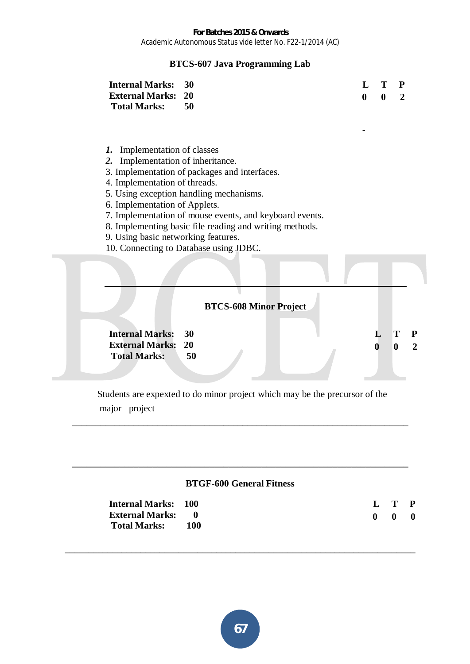# **BTCS-607 Java Programming Lab**

| <b>Internal Marks: 30</b> |  | L T P       |  |
|---------------------------|--|-------------|--|
| <b>External Marks: 20</b> |  | $\bullet$ 2 |  |
| Total Marks: 50           |  |             |  |

-

- *1.* Implementation of classes
- *2.* Implementation of inheritance.
- 3. Implementation of packages and interfaces.
- 4. Implementation of threads.
- 5. Using exception handling mechanisms.
- 6. Implementation of Applets.
- 7. Implementation of mouse events, and keyboard events.
- 8. Implementing basic file reading and writing methods.
- 9. Using basic networking features.
- 10. Connecting to Database using JDBC.



 Students are expexted to do minor project which may be the precursor of the major project

**\_\_\_\_\_\_\_\_\_\_\_\_\_\_\_\_\_\_\_\_\_\_\_\_\_\_\_\_\_\_\_\_\_\_\_\_\_\_\_\_\_\_\_\_\_\_\_\_\_\_\_\_\_\_\_\_\_\_\_\_\_\_\_\_\_\_\_\_\_\_\_** 

### **BTGF-600 General Fitness**

**\_\_\_\_\_\_\_\_\_\_\_\_\_\_\_\_\_\_\_\_\_\_\_\_\_\_\_\_\_\_\_\_\_\_\_\_\_\_\_\_\_\_\_\_\_\_\_\_\_\_\_\_\_\_\_\_\_\_\_\_\_\_\_\_\_\_\_\_\_\_\_\_\_\_** 

**\_\_\_\_\_\_\_\_\_\_\_\_\_\_\_\_\_\_\_\_\_\_\_\_\_\_\_\_\_\_\_\_\_\_\_\_\_\_\_\_\_\_\_\_\_\_\_\_\_\_\_\_\_\_\_\_\_\_\_\_\_\_\_\_\_\_\_\_\_\_\_** 

| <b>Internal Marks: 100</b> |     |                           | L T P          |  |
|----------------------------|-----|---------------------------|----------------|--|
| <b>External Marks:</b> 0   |     | $\mathbf{0}$ $\mathbf{0}$ | $\blacksquare$ |  |
| <b>Total Marks:</b>        | 100 |                           |                |  |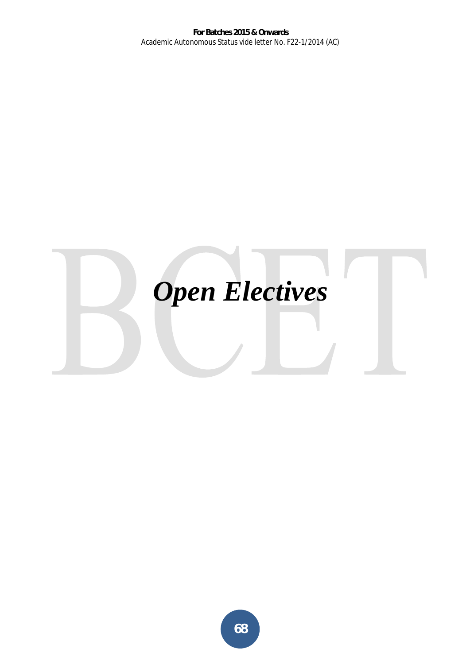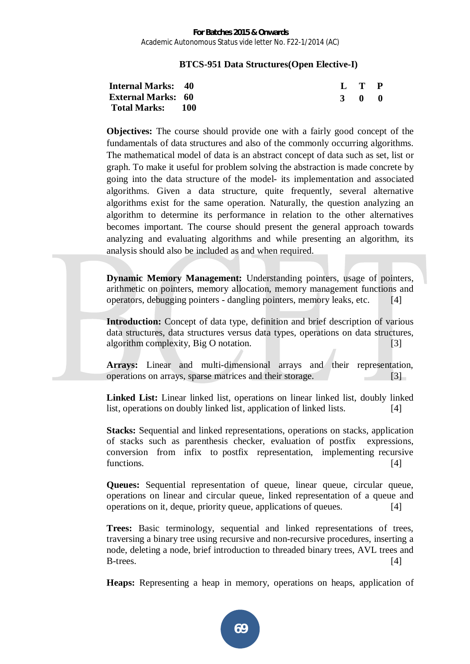## **BTCS-951 Data Structures(Open Elective-I)**

| <b>Internal Marks: 40</b> |  |  | L T P |  |
|---------------------------|--|--|-------|--|
| <b>External Marks: 60</b> |  |  | 3 0 0 |  |
| <b>Total Marks: 100</b>   |  |  |       |  |

**Objectives:** The course should provide one with a fairly good concept of the fundamentals of data structures and also of the commonly occurring algorithms. The mathematical model of data is an abstract concept of data such as set, list or graph. To make it useful for problem solving the abstraction is made concrete by going into the data structure of the model- its implementation and associated algorithms. Given a data structure, quite frequently, several alternative algorithms exist for the same operation. Naturally, the question analyzing an algorithm to determine its performance in relation to the other alternatives becomes important. The course should present the general approach towards analyzing and evaluating algorithms and while presenting an algorithm, its analysis should also be included as and when required.

**Dynamic Memory Management:** Understanding pointers, usage of pointers, arithmetic on pointers, memory allocation, memory management functions and operators, debugging pointers - dangling pointers, memory leaks, etc. [4]

**Introduction:** Concept of data type, definition and brief description of various data structures, data structures versus data types, operations on data structures, algorithm complexity, Big O notation. [3]

**Arrays:** Linear and multi-dimensional arrays and their representation, operations on arrays, sparse matrices and their storage. [3]

**Linked List:** Linear linked list, operations on linear linked list, doubly linked list, operations on doubly linked list, application of linked lists. [4]

**Stacks:** Sequential and linked representations, operations on stacks, application of stacks such as parenthesis checker, evaluation of postfix expressions, conversion from infix to postfix representation, implementing recursive functions. [4]

**Queues:** Sequential representation of queue, linear queue, circular queue, operations on linear and circular queue, linked representation of a queue and operations on it, deque, priority queue, applications of queues. [4]

**Trees:** Basic terminology, sequential and linked representations of trees, traversing a binary tree using recursive and non-recursive procedures, inserting a node, deleting a node, brief introduction to threaded binary trees, AVL trees and  $B$ -trees.  $[4]$ 

Heaps: Representing a heap in memory, operations on heaps, application of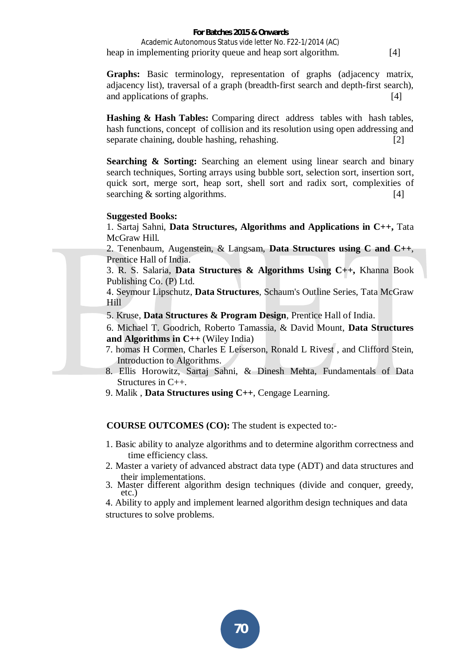#### **For Batches 2015 & Onwards**  Academic Autonomous Status vide letter No. F22-1/2014 (AC) heap in implementing priority queue and heap sort algorithm. [4]

**Graphs:** Basic terminology, representation of graphs (adjacency matrix, adjacency list), traversal of a graph (breadth-first search and depth-first search), and applications of graphs. [4]

**Hashing & Hash Tables:** Comparing direct address tables with hash tables, hash functions, concept of collision and its resolution using open addressing and separate chaining, double hashing, rehashing. **[2]** [2]

**Searching & Sorting:** Searching an element using linear search and binary search techniques, Sorting arrays using bubble sort, selection sort, insertion sort, quick sort, merge sort, heap sort, shell sort and radix sort, complexities of searching & sorting algorithms. [4]

#### **Suggested Books:**

1. Sartaj Sahni, **Data Structures, Algorithms and Applications in C++,** Tata McGraw Hill.

2. Tenenbaum, Augenstein, & Langsam, **Data Structures using C and C++**, Prentice Hall of India.

3. R. S. Salaria, **Data Structures & Algorithms Using C++,** Khanna Book Publishing Co. (P) Ltd.

4. Seymour Lipschutz, **Data Structures**, Schaum's Outline Series, Tata McGraw Hill

5. Kruse, **Data Structures & Program Design**, Prentice Hall of India.

6. Michael T. Goodrich, Roberto Tamassia, & David Mount, **Data Structures and Algorithms in C++** (Wiley India)

- 7. homas H Cormen, Charles E Leiserson, Ronald L Rivest , and Clifford Stein, Introduction to Algorithms.
- 8. Ellis Horowitz, Sartaj Sahni, & Dinesh Mehta, Fundamentals of Data Structures in C++.
- 9. Malik , **Data Structures using C++**, Cengage Learning.

**COURSE OUTCOMES (CO):** The student is expected to:-

- 1. Basic ability to analyze algorithms and to determine algorithm correctness and time efficiency class.
- 2. Master a variety of advanced abstract data type (ADT) and data structures and their implementations.
- 3. Master different algorithm design techniques (divide and conquer, greedy, etc.)

4. Ability to apply and implement learned algorithm design techniques and data structures to solve problems.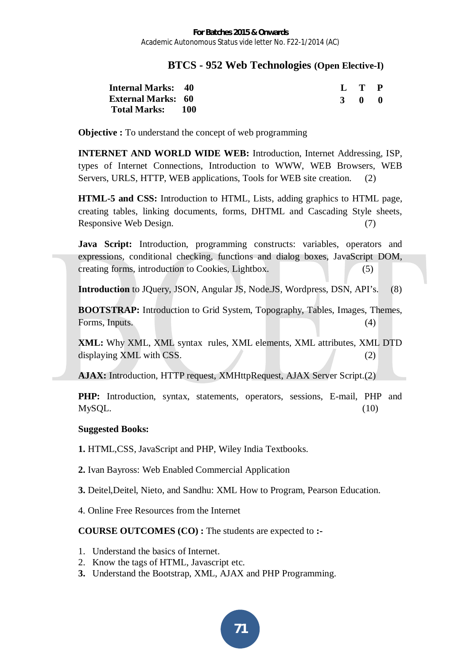# **BTCS - 952 Web Technologies (Open Elective-I)**

| <b>Internal Marks: 40</b> |  |  | L T P |     |
|---------------------------|--|--|-------|-----|
| <b>External Marks: 60</b> |  |  | 3 O   | - 0 |
| Total Marks: 100          |  |  |       |     |

**Objective :** To understand the concept of web programming

**INTERNET AND WORLD WIDE WEB:** Introduction, Internet Addressing, ISP, types of Internet Connections, Introduction to WWW, WEB Browsers, WEB Servers, URLS, HTTP, WEB applications, Tools for WEB site creation. (2)

**HTML-5 and CSS:** Introduction to HTML, Lists, adding graphics to HTML page, creating tables, linking documents, forms, DHTML and Cascading Style sheets, Responsive Web Design. (7)

**Java Script:** Introduction, programming constructs: variables, operators and expressions, conditional checking, functions and dialog boxes, JavaScript DOM, creating forms, introduction to Cookies, Lightbox. (5)

**Introduction** to JQuery, JSON, Angular JS, Node.JS, Wordpress, DSN, API's. (8)

**BOOTSTRAP:** Introduction to Grid System, Topography, Tables, Images, Themes, Forms, Inputs. (4)

**XML:** Why XML, XML syntax rules, XML elements, XML attributes, XML DTD displaying XML with CSS. (2)

**AJAX:** Introduction, HTTP request, XMHttpRequest, AJAX Server Script.(2)

**PHP:** Introduction, syntax, statements, operators, sessions, E-mail, PHP and  $MySQL.$  (10)

# **Suggested Books:**

**1.** HTML,CSS, JavaScript and PHP, Wiley India Textbooks.

**2.** Ivan Bayross: Web Enabled Commercial Application

**3.** Deitel,Deitel, Nieto, and Sandhu: XML How to Program, Pearson Education.

4. Online Free Resources from the Internet

- 1. Understand the basics of Internet.
- 2. Know the tags of HTML, Javascript etc.
- **3.** Understand the Bootstrap, XML, AJAX and PHP Programming.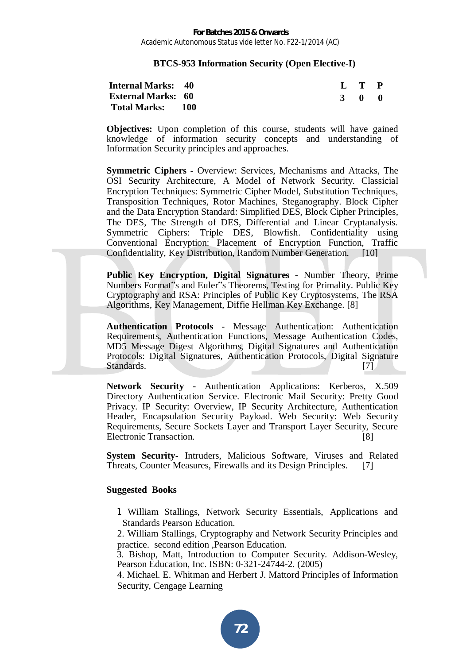#### **BTCS-953 Information Security (Open Elective-I)**

| <b>Internal Marks: 40</b> |  |  | L T P |     |
|---------------------------|--|--|-------|-----|
| <b>External Marks: 60</b> |  |  | 3 O   | - 0 |
| Total Marks: 100          |  |  |       |     |

**Objectives:** Upon completion of this course, students will have gained knowledge of information security concepts and understanding of Information Security principles and approaches.

**Symmetric Ciphers -** Overview: Services, Mechanisms and Attacks, The OSI Security Architecture, A Model of Network Security. Classicial Encryption Techniques: Symmetric Cipher Model, Substitution Techniques, Transposition Techniques, Rotor Machines, Steganography. Block Cipher and the Data Encryption Standard: Simplified DES, Block Cipher Principles, The DES, The Strength of DES, Differential and Linear Cryptanalysis. Symmetric Ciphers: Triple DES, Blowfish. Confidentiality using Conventional Encryption: Placement of Encryption Function, Traffic Confidentiality, Key Distribution, Random Number Generation. [10]

**Public Key Encryption, Digital Signatures -** Number Theory, Prime Numbers Format"s and Eulerts Theorems, Testing for Primality. Public Key Cryptography and RSA: Principles of Public Key Cryptosystems, The RSA Algorithms, Key Management, Diffie Hellman Key Exchange. [8]

**Authentication Protocols -** Message Authentication: Authentication Requirements, Authentication Functions, Message Authentication Codes, MD5 Message Digest Algorithms, Digital Signatures and Authentication Protocols: Digital Signatures, Authentication Protocols, Digital Signature Standards. [7]

**Network Security -** Authentication Applications: Kerberos, X.509 Directory Authentication Service. Electronic Mail Security: Pretty Good Privacy. IP Security: Overview, IP Security Architecture, Authentication Header, Encapsulation Security Payload. Web Security: Web Security Requirements, Secure Sockets Layer and Transport Layer Security, Secure Electronic Transaction. [8]

**System Security-** Intruders, Malicious Software, Viruses and Related Threats, Counter Measures, Firewalls and its Design Principles. [7]

#### **Suggested Books**

- 1 William Stallings, Network Security Essentials, Applications and Standards Pearson Education.
- 2. William Stallings, Cryptography and Network Security Principles and practice. second edition ,Pearson Education.

3. Bishop, Matt, Introduction to Computer Security*.* Addison-Wesley, Pearson Education, Inc. ISBN: 0-321-24744-2. (2005)

4. Michael. E. Whitman and Herbert J. Mattord Principles of Information Security, Cengage Learning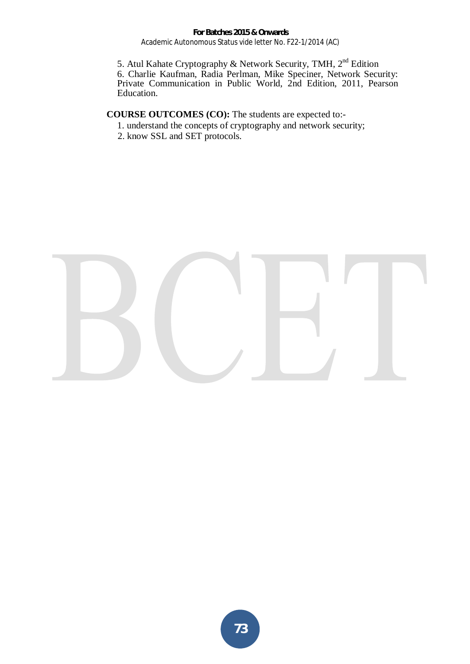**For Batches 2015 & Onwards**  Academic Autonomous Status vide letter No. F22-1/2014 (AC)

5. Atul Kahate Cryptography & Network Security, TMH, 2<sup>nd</sup> Edition 6. Charlie Kaufman, Radia Perlman, Mike Speciner, Network Security: Private Communication in Public World, 2nd Edition, 2011, Pearson Education.

- 1. understand the concepts of cryptography and network security;
- 2. know SSL and SET protocols.

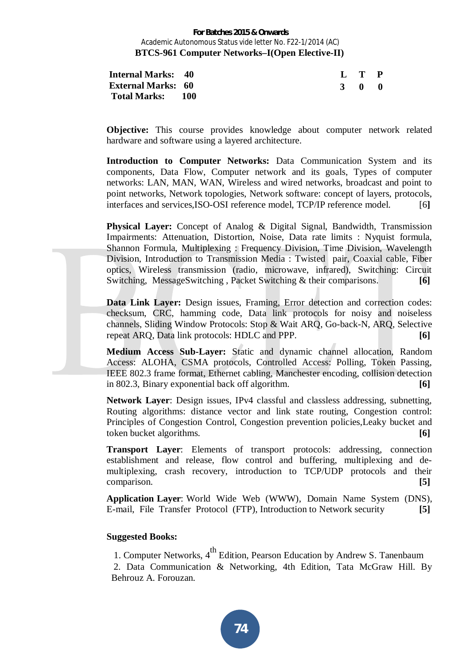#### **For Batches 2015 & Onwards**  Academic Autonomous Status vide letter No. F22-1/2014 (AC) **BTCS-961 Computer Networks–I(Open Elective-II)**

| <b>Internal Marks: 40</b> |  |  | $L$ T P     |     |
|---------------------------|--|--|-------------|-----|
| <b>External Marks: 60</b> |  |  | $3 \quad 0$ | - 0 |
| Total Marks: 100          |  |  |             |     |

**Objective:** This course provides knowledge about computer network related hardware and software using a layered architecture.

**Introduction to Computer Networks:** Data Communication System and its components, Data Flow, Computer network and its goals, Types of computer networks: LAN, MAN, WAN, Wireless and wired networks, broadcast and point to point networks, Network topologies, Network software: concept of layers, protocols, interfaces and services,ISO-OSI reference model, TCP/IP reference model. [6**]** 

**Physical Layer:** Concept of Analog & Digital Signal, Bandwidth, Transmission Impairments: Attenuation, Distortion, Noise, Data rate limits : Nyquist formula, Shannon Formula, Multiplexing : Frequency Division, Time Division, Wavelength Division, Introduction to Transmission Media : Twisted pair, Coaxial cable, Fiber optics, Wireless transmission (radio, microwave, infrared), Switching: Circuit Switching, MessageSwitching , Packet Switching & their comparisons. **[6]** 

**Data Link Layer:** Design issues, Framing, Error detection and correction codes: checksum, CRC, hamming code, Data link protocols for noisy and noiseless channels, Sliding Window Protocols: Stop & Wait ARQ, Go-back-N, ARQ, Selective repeat ARQ, Data link protocols: HDLC and PPP. **[6]**

**Medium Access Sub-Layer:** Static and dynamic channel allocation, Random Access: ALOHA, CSMA protocols, Controlled Access: Polling, Token Passing, IEEE 802.3 frame format, Ethernet cabling, Manchester encoding, collision detection in 802.3, Binary exponential back off algorithm. **[6]**

**Network Layer**: Design issues, IPv4 classful and classless addressing, subnetting, Routing algorithms: distance vector and link state routing, Congestion control: Principles of Congestion Control, Congestion prevention policies,Leaky bucket and token bucket algorithms. **[6]**

**Transport Layer**: Elements of transport protocols: addressing, connection establishment and release, flow control and buffering, multiplexing and demultiplexing, crash recovery, introduction to TCP/UDP protocols and their comparison. **[5]**

**Application Layer**: World Wide Web (WWW), Domain Name System (DNS), E-mail, File Transfer Protocol (FTP), Introduction to Network security **[5]**

#### **Suggested Books:**

1. Computer Networks, 4<sup>th</sup> Edition, Pearson Education by Andrew S. Tanenbaum 2. Data Communication & Networking, 4th Edition, Tata McGraw Hill. By Behrouz A. Forouzan.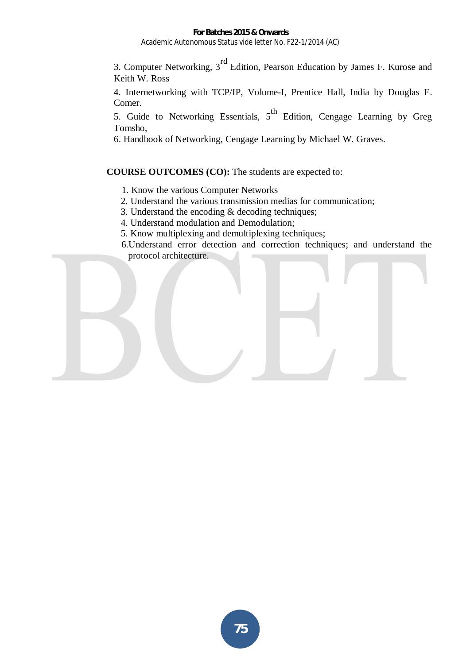#### **For Batches 2015 & Onwards**  Academic Autonomous Status vide letter No. F22-1/2014 (AC)

3. Computer Networking, 3<sup>rd</sup> Edition, Pearson Education by James F. Kurose and Keith W. Ross

4. Internetworking with TCP/IP, Volume-I, Prentice Hall, India by Douglas E. Comer.

5. Guide to Networking Essentials,  $5<sup>th</sup>$  Edition, Cengage Learning by Greg Tomsho,

6. Handbook of Networking, Cengage Learning by Michael W. Graves.

- 1. Know the various Computer Networks
- 2. Understand the various transmission medias for communication;
- 3. Understand the encoding & decoding techniques;
- 4. Understand modulation and Demodulation;
- 5. Know multiplexing and demultiplexing techniques;
- 6.Understand error detection and correction techniques; and understand the protocol architecture.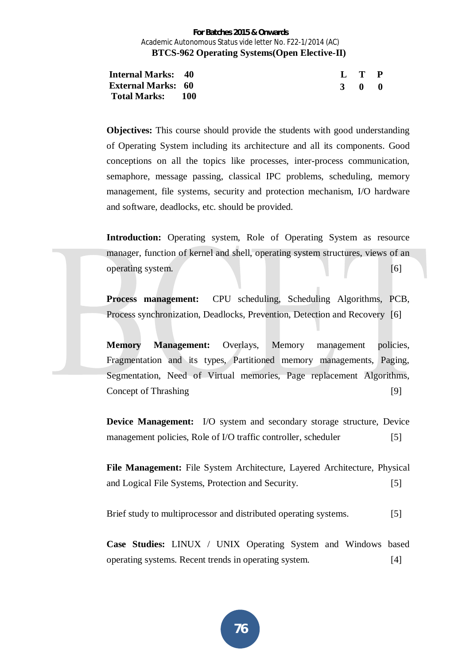#### **For Batches 2015 & Onwards**  Academic Autonomous Status vide letter No. F22-1/2014 (AC)  **BTCS-962 Operating Systems(Open Elective-II)**

| <b>Internal Marks: 40</b> |  |  | L T P |  |
|---------------------------|--|--|-------|--|
| <b>External Marks: 60</b> |  |  | 3 0 0 |  |
| Total Marks: 100          |  |  |       |  |

**Objectives:** This course should provide the students with good understanding of Operating System including its architecture and all its components. Good conceptions on all the topics like processes, inter-process communication, semaphore, message passing, classical IPC problems, scheduling, memory management, file systems, security and protection mechanism, I/O hardware and software, deadlocks, etc. should be provided.

**Introduction:** Operating system, Role of Operating System as resource manager, function of kernel and shell, operating system structures, views of an operating system. [6]

**Process management:** CPU scheduling, Scheduling Algorithms, PCB, Process synchronization, Deadlocks, Prevention, Detection and Recovery [6]

**Memory Management:** Overlays, Memory management policies, Fragmentation and its types, Partitioned memory managements, Paging, Segmentation, Need of Virtual memories, Page replacement Algorithms, Concept of Thrashing [9]

**Device Management:** I/O system and secondary storage structure, Device management policies, Role of I/O traffic controller, scheduler [5]

**File Management:** File System Architecture, Layered Architecture, Physical and Logical File Systems, Protection and Security. [5]

Brief study to multiprocessor and distributed operating systems. [5]

**Case Studies:** LINUX / UNIX Operating System and Windows based operating systems. Recent trends in operating system. [4]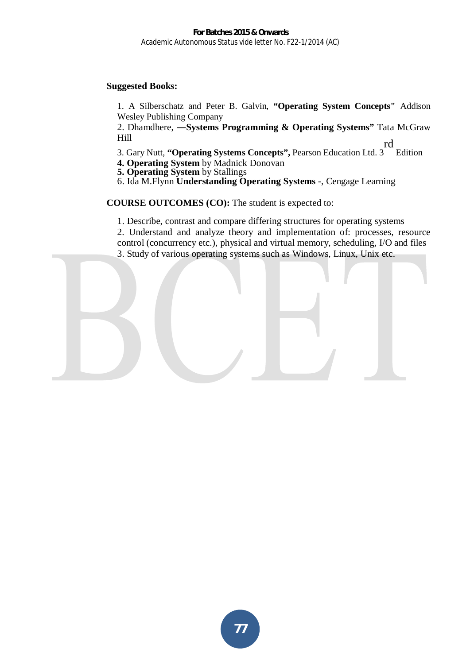#### **Suggested Books:**

1. A Silberschatz and Peter B. Galvin, **"Operating System Concepts"** Addison Wesley Publishing Company

2. Dhamdhere, **-Systems Programming & Operating Systems**" Tata McGraw Hill rd

3. Gary Nutt, **"Operating Systems Concepts",** Pearson Education Ltd. 3 Edition

**4. Operating System** by Madnick Donovan

**5. Operating System** by Stallings

6. Ida M.Flynn **Understanding Operating Systems** -, Cengage Learning

#### **COURSE OUTCOMES (CO):** The student is expected to:

1. Describe, contrast and compare differing structures for operating systems

2. Understand and analyze theory and implementation of: processes, resource control (concurrency etc.), physical and virtual memory, scheduling, I/O and files

3. Study of various operating systems such as Windows, Linux, Unix etc.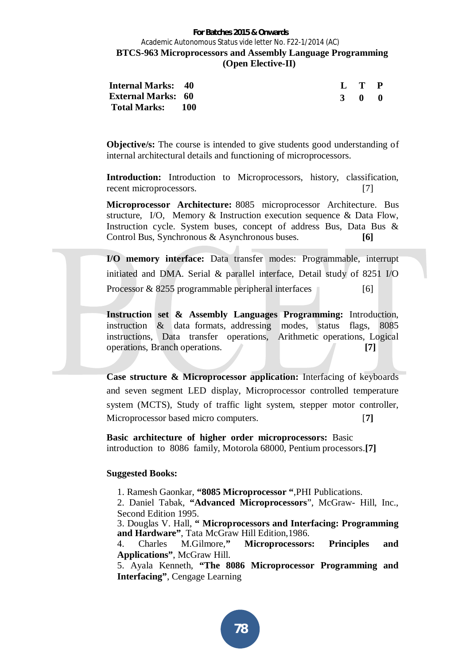#### **For Batches 2015 & Onwards**  Academic Autonomous Status vide letter No. F22-1/2014 (AC)  **BTCS-963 Microprocessors and Assembly Language Programming (Open Elective-II)**

| <b>Internal Marks: 40</b> |  | L T P |     |
|---------------------------|--|-------|-----|
| <b>External Marks: 60</b> |  | 3 O   | - 0 |
| Total Marks: 100          |  |       |     |

**Objective/s:** The course is intended to give students good understanding of internal architectural details and functioning of microprocessors.

**Introduction:** Introduction to Microprocessors, history, classification, recent microprocessors. [7]

**Microprocessor Architecture:** 8085 microprocessor Architecture. Bus structure, I/O, Memory & Instruction execution sequence & Data Flow, Instruction cycle. System buses, concept of address Bus, Data Bus & Control Bus, Synchronous & Asynchronous buses. **[6]** 

**I/O memory interface:** Data transfer modes: Programmable, interrupt initiated and DMA. Serial & parallel interface, Detail study of 8251 I/O Processor  $\&$  8255 programmable peripheral interfaces [6]

**Instruction set & Assembly Languages Programming:** Introduction, instruction & data formats, addressing modes, status flags, 8085 instructions, Data transfer operations, Arithmetic operations, Logical operations, Branch operations. **[7]**

**Case structure & Microprocessor application:** Interfacing of keyboards and seven segment LED display, Microprocessor controlled temperature system (MCTS), Study of traffic light system, stepper motor controller, Microprocessor based micro computers. [**7]**

**Basic architecture of higher order microprocessors:** Basic introduction to 8086 family, Motorola 68000, Pentium processors.**[7]**

#### **Suggested Books:**

1. Ramesh Gaonkar, **"8085 Microprocessor "**,PHI Publications.

2. Daniel Tabak, **"Advanced Microprocessors**", McGraw- Hill, Inc., Second Edition 1995.

3. Douglas V. Hall, **" Microprocessors and Interfacing: Programming and Hardware"**, Tata McGraw Hill Edition,1986.

4. Charles M.Gilmore,**" Microprocessors: Principles and Applications"**, McGraw Hill.

5. Ayala Kenneth, **"The 8086 Microprocessor Programming and Interfacing"**, Cengage Learning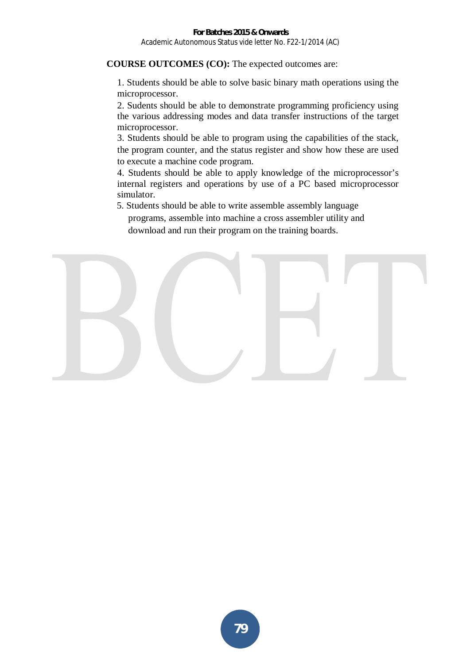#### **COURSE OUTCOMES (CO):** The expected outcomes are:

1. Students should be able to solve basic binary math operations using the microprocessor.

2. Sudents should be able to demonstrate programming proficiency using the various addressing modes and data transfer instructions of the target microprocessor.

3. Students should be able to program using the capabilities of the stack, the program counter, and the status register and show how these are used to execute a machine code program.

4. Students should be able to apply knowledge of the microprocessor's internal registers and operations by use of a PC based microprocessor simulator.

5. Students should be able to write assemble assembly language

programs, assemble into machine a cross assembler utility and download and run their program on the training boards.

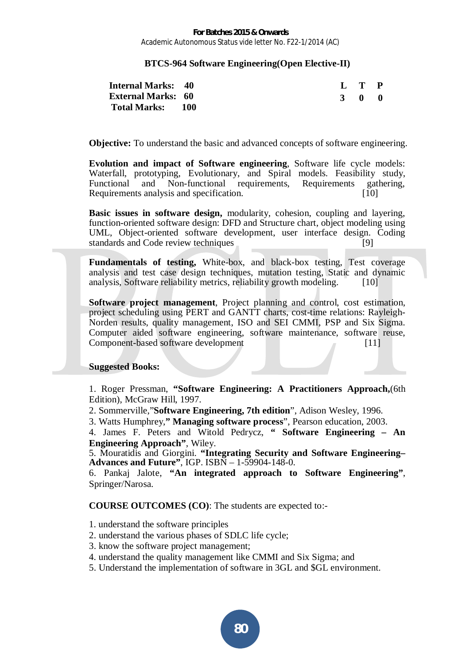**For Batches 2015 & Onwards**  Academic Autonomous Status vide letter No. F22-1/2014 (AC)

#### **BTCS-964 Software Engineering(Open Elective-II)**

| <b>Internal Marks: 40</b> |  |  | L T P |     |
|---------------------------|--|--|-------|-----|
| <b>External Marks: 60</b> |  |  | 3 O   | - 0 |
| Total Marks: 100          |  |  |       |     |

**Objective:** To understand the basic and advanced concepts of software engineering.

**Evolution and impact of Software engineering**, Software life cycle models: Waterfall, prototyping, Evolutionary, and Spiral models. Feasibility study, Functional and Non-functional requirements, Requirements gathering, Requirements analysis and specification. [10]

**Basic issues in software design,** modularity, cohesion, coupling and layering, function-oriented software design: DFD and Structure chart, object modeling using UML, Object-oriented software development, user interface design. Coding standards and Code review techniques [9]

**Fundamentals of testing,** White-box, and black-box testing, Test coverage analysis and test case design techniques, mutation testing, Static and dynamic analysis, Software reliability metrics, reliability growth modeling. [10]

**Software project management**, Project planning and control, cost estimation, project scheduling using PERT and GANTT charts, cost-time relations: Rayleigh-Norden results, quality management, ISO and SEI CMMI, PSP and Six Sigma. Computer aided software engineering, software maintenance, software reuse, Component-based software development [11]

#### **Suggested Books:**

1. Roger Pressman, **"Software Engineering: A Practitioners Approach,**(6th Edition), McGraw Hill, 1997.

2. Sommerville,"**Software Engineering, 7th edition**", Adison Wesley, 1996.

3. Watts Humphrey,**" Managing software process**", Pearson education, 2003.

4. James F. Peters and Witold Pedrycz, **" Software Engineering – An Engineering Approach"**, Wiley.

5. Mouratidis and Giorgini. **"Integrating Security and Software Engineering– Advances and Future"**, IGP. ISBN – 1-59904-148-0.

6. Pankaj Jalote, **"An integrated approach to Software Engineering"**, Springer/Narosa.

- 1. understand the software principles
- 2. understand the various phases of SDLC life cycle;
- 3. know the software project management;
- 4. understand the quality management like CMMI and Six Sigma; and
- 5. Understand the implementation of software in 3GL and \$GL environment.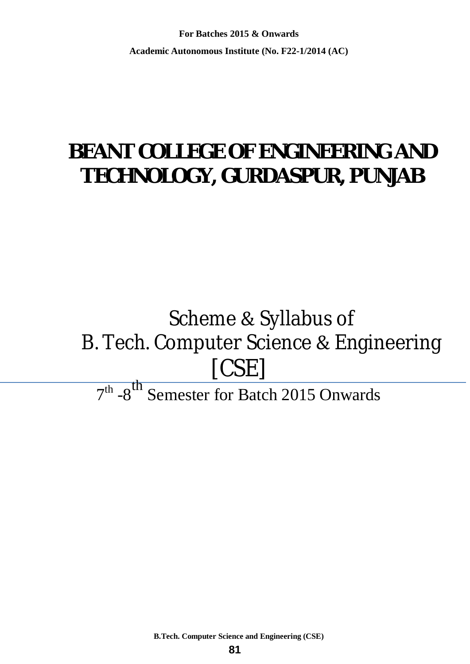**For Batches 2015 & Onwards Academic Autonomous Institute (No. F22-1/2014 (AC)** 

## **BEANT COLLEGE OF ENGINEERING AND TECHNOLOGY, GURDASPUR, PUNJAB**

## Scheme & Syllabus of B. Tech. Computer Science & Engineering [CSE]

## $7<sup>th</sup>$  -8<sup>th</sup> Semester for Batch 2015 Onwards

**B.Tech. Computer Science and Engineering (CSE)**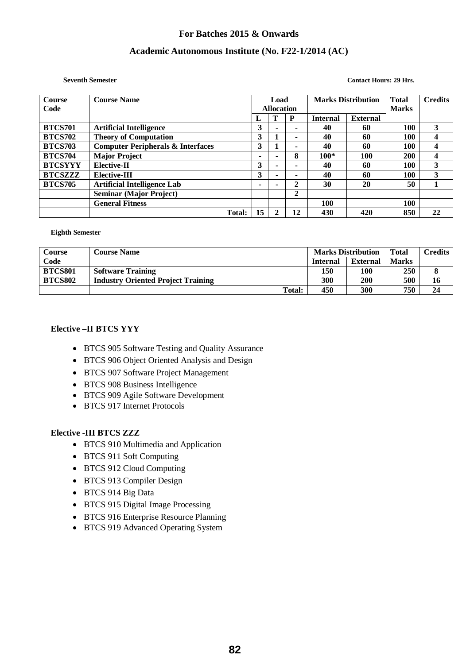#### **Academic Autonomous Institute (No. F22-1/2014 (AC)**

#### **Seventh Semester Contact Hours: 29 Hrs.**

| <b>Course</b>  | <b>Course Name</b>                           | <b>Marks Distribution</b><br>Load |                   |                |                 |                 | <b>Total</b> | <b>Credits</b> |
|----------------|----------------------------------------------|-----------------------------------|-------------------|----------------|-----------------|-----------------|--------------|----------------|
| Code           |                                              |                                   | <b>Allocation</b> |                |                 |                 | <b>Marks</b> |                |
|                |                                              |                                   |                   | P              | <b>Internal</b> | <b>External</b> |              |                |
| <b>BTCS701</b> | <b>Artificial Intelligence</b>               | 3                                 |                   |                | 40              | 60              | 100          | 3              |
| <b>BTCS702</b> | <b>Theory of Computation</b>                 | 3                                 |                   | $\blacksquare$ | 40              | 60              | 100          | 4              |
| <b>BTCS703</b> | <b>Computer Peripherals &amp; Interfaces</b> | 3                                 |                   | ۰              | 40              | 60              | 100          | 4              |
| <b>BTCS704</b> | <b>Major Project</b>                         | -                                 |                   | 8              | $100*$          | 100             | 200          | 4              |
| <b>BTCSYYY</b> | <b>Elective-II</b>                           | 3                                 |                   |                | 40              | 60              | 100          | 3              |
| <b>BTCSZZZ</b> | Elective-III                                 | 3                                 |                   |                | 40              | 60              | 100          | 3              |
| <b>BTCS705</b> | <b>Artificial Intelligence Lab</b>           |                                   |                   | 2              | 30              | 20              | 50           |                |
|                | <b>Seminar (Major Project)</b>               |                                   |                   | 2              |                 |                 |              |                |
|                | <b>General Fitness</b>                       |                                   |                   |                | 100             |                 | 100          |                |
|                | <b>Total:</b>                                | 15                                |                   | 12             | 430             | 420             | 850          | 22             |

#### **Eighth Semester**

| <b>Course</b>  | <b>Course Name</b>                        | <b>Marks Distribution</b> |                 | <b>Total</b> | Credits |
|----------------|-------------------------------------------|---------------------------|-----------------|--------------|---------|
| Code           |                                           | <b>Internal</b>           | <b>External</b> | Marks        |         |
| <b>BTCS801</b> | <b>Software Training</b>                  | 150                       | 100             | 250          |         |
| <b>BTCS802</b> | <b>Industry Oriented Project Training</b> | 300                       | 200             | 500          | 16      |
|                | <b>Total:</b>                             | 450                       | 300             | 750          | 24      |

#### **Elective –II BTCS YYY**

- BTCS 905 Software Testing and Quality Assurance
- BTCS 906 Object Oriented Analysis and Design
- BTCS 907 Software Project Management
- BTCS 908 Business Intelligence
- BTCS 909 Agile Software Development
- $\bullet$  BTCS 917 Internet Protocols

#### **Elective -III BTCS ZZZ**

- BTCS 910 Multimedia and Application
- BTCS 911 Soft Computing
- BTCS 912 Cloud Computing
- BTCS 913 Compiler Design
- BTCS 914 Big Data
- BTCS 915 Digital Image Processing
- BTCS 916 Enterprise Resource Planning
- BTCS 919 Advanced Operating System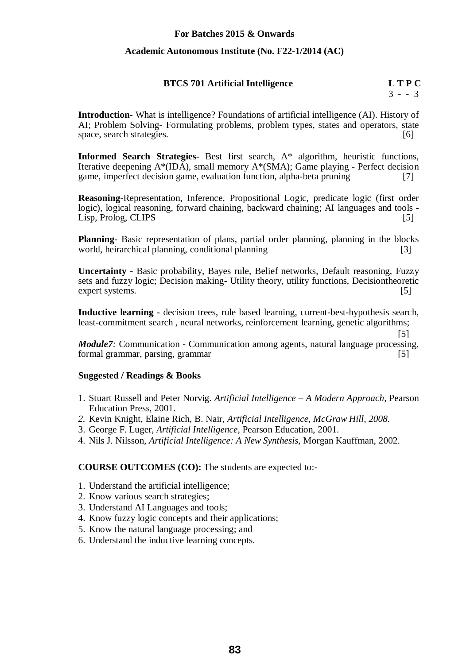#### **Academic Autonomous Institute (No. F22-1/2014 (AC)**

#### **BTCS 701 Artificial Intelligence L T P C**

 $3 - - 3$ 

[5]

**Introduction**- What is intelligence? Foundations of artificial intelligence (AI). History of AI; Problem Solving- Formulating problems, problem types, states and operators, state space, search strategies. [6]

**Informed Search Strategies**- Best first search, A\* algorithm, heuristic functions, Iterative deepening A\*(IDA), small memory A\*(SMA); Game playing - Perfect decision game, imperfect decision game, evaluation function, alpha-beta pruning [7]

**Reasoning**-Representation, Inference, Propositional Logic, predicate logic (first order logic), logical reasoning, forward chaining, backward chaining; AI languages and tools **-** Lisp, Prolog, CLIPS [5]

**Planning**- Basic representation of plans, partial order planning, planning in the blocks world, heirarchical planning, conditional planning [3]

**Uncertainty -** Basic probability, Bayes rule, Belief networks, Default reasoning, Fuzzy sets and fuzzy logic; Decision making**-** Utility theory, utility functions, Decisiontheoretic expert systems. [5]

**Inductive learning -** decision trees, rule based learning, current-best-hypothesis search, least-commitment search , neural networks, reinforcement learning, genetic algorithms;

*Module7:* Communication **-** Communication among agents, natural language processing, formal grammar, parsing, grammar [5]

#### **Suggested / Readings & Books**

- 1. Stuart Russell and Peter Norvig. *Artificial Intelligence – A Modern Approach,* Pearson Education Press, 2001.
- *2.* Kevin Knight, Elaine Rich, B. Nair, *Artificial Intelligence, McGraw Hill, 2008.*
- 3. George F. Luger, *Artificial Intelligence,* Pearson Education, 2001.
- 4. Nils J. Nilsson, *Artificial Intelligence: A New Synthesis,* Morgan Kauffman, 2002.

- 1. Understand the artificial intelligence;
- 2. Know various search strategies;
- 3. Understand AI Languages and tools;
- 4. Know fuzzy logic concepts and their applications;
- 5. Know the natural language processing; and
- 6. Understand the inductive learning concepts.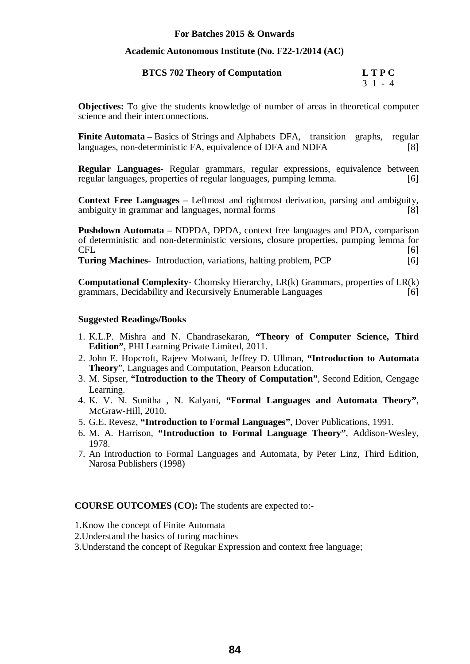#### **Academic Autonomous Institute (No. F22-1/2014 (AC)**

| <b>BTCS 702 Theory of Computation</b> | <b>LTPC</b> |
|---------------------------------------|-------------|
|                                       | $31 - 4$    |

**Objectives:** To give the students knowledge of number of areas in theoretical computer science and their interconnections.

**Finite Automata** – Basics of Strings and Alphabets DFA, transition graphs, regular languages, non-deterministic FA, equivalence of DFA and NDFA [8]

**Regular Languages**- Regular grammars, regular expressions, equivalence between regular languages, properties of regular languages, pumping lemma. [6]

**Context Free Languages** – Leftmost and rightmost derivation, parsing and ambiguity, ambiguity in grammar and languages, normal forms [8]

**Pushdown Automata** – NDPDA, DPDA, context free languages and PDA, comparison of deterministic and non-deterministic versions, closure properties, pumping lemma for  $CFL$  [6] **Turing Machines**- Introduction, variations, halting problem, PCP [6]

**Computational Complexity**- Chomsky Hierarchy, LR(k) Grammars, properties of LR(k) grammars, Decidability and Recursively Enumerable Languages [6]

#### **Suggested Readings/Books**

- 1. K.L.P. Mishra and N. Chandrasekaran, **"Theory of Computer Science, Third Edition"**, PHI Learning Private Limited, 2011.
- 2. John E. Hopcroft, Rajeev Motwani, Jeffrey D. Ullman, **"Introduction to Automata Theory**", Languages and Computation, Pearson Education.
- 3. M. Sipser, **"Introduction to the Theory of Computation"**, Second Edition, Cengage Learning.
- 4. K. V. N. Sunitha , N. Kalyani, **"Formal Languages and Automata Theory"**, McGraw-Hill, 2010.
- 5. G.E. Revesz, **"Introduction to Formal Languages"**, Dover Publications, 1991.
- 6. M. A. Harrison, **"Introduction to Formal Language Theory"**, Addison-Wesley, 1978.
- 7. An Introduction to Formal Languages and Automata, by Peter Linz, Third Edition, Narosa Publishers (1998)

- 1.Know the concept of Finite Automata
- 2.Understand the basics of turing machines
- 3.Understand the concept of Regukar Expression and context free language;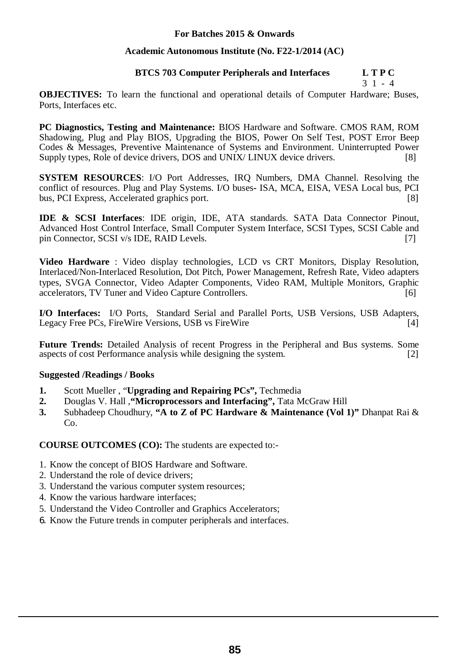#### **Academic Autonomous Institute (No. F22-1/2014 (AC)**

#### **BTCS 703 Computer Peripherals and Interfaces L T P C**

3 1 - 4

**OBJECTIVES:** To learn the functional and operational details of Computer Hardware; Buses, Ports, Interfaces etc.

**PC Diagnostics, Testing and Maintenance:** BIOS Hardware and Software. CMOS RAM, ROM Shadowing, Plug and Play BIOS, Upgrading the BIOS, Power On Self Test, POST Error Beep Codes & Messages, Preventive Maintenance of Systems and Environment. Uninterrupted Power Supply types, Role of device drivers, DOS and UNIX/ LINUX device drivers. [8]

**SYSTEM RESOURCES**: I/O Port Addresses, IRQ Numbers, DMA Channel. Resolving the conflict of resources. Plug and Play Systems. I/O buses**-** ISA, MCA, EISA, VESA Local bus, PCI bus, PCI Express, Accelerated graphics port. [8]

**IDE & SCSI Interfaces**: IDE origin, IDE, ATA standards. SATA Data Connector Pinout, Advanced Host Control Interface, Small Computer System Interface, SCSI Types, SCSI Cable and pin Connector, SCSI v/s IDE, RAID Levels. [7]

**Video Hardware** : Video display technologies, LCD vs CRT Monitors, Display Resolution, Interlaced/Non-Interlaced Resolution, Dot Pitch, Power Management, Refresh Rate, Video adapters types, SVGA Connector, Video Adapter Components, Video RAM, Multiple Monitors, Graphic accelerators, TV Tuner and Video Capture Controllers. [6]

**I/O Interfaces:** I/O Ports, Standard Serial and Parallel Ports, USB Versions, USB Adapters, Legacy Free PCs, FireWire Versions, USB vs FireWire [4]

**Future Trends:** Detailed Analysis of recent Progress in the Peripheral and Bus systems. Some aspects of cost Performance analysis while designing the system. [2]

#### **Suggested /Readings / Books**

- **1.** Scott Mueller , "**Upgrading and Repairing PCs",** Techmedia
- **2.** Douglas V. Hall ,**"Microprocessors and Interfacing",** Tata McGraw Hill
- **3.** Subhadeep Choudhury, **"A to Z of PC Hardware & Maintenance (Vol 1)"** Dhanpat Rai & Co.

- 1. Know the concept of BIOS Hardware and Software.
- 2. Understand the role of device drivers;
- 3. Understand the various computer system resources;
- 4. Know the various hardware interfaces;
- 5. Understand the Video Controller and Graphics Accelerators;
- 6. Know the Future trends in computer peripherals and interfaces.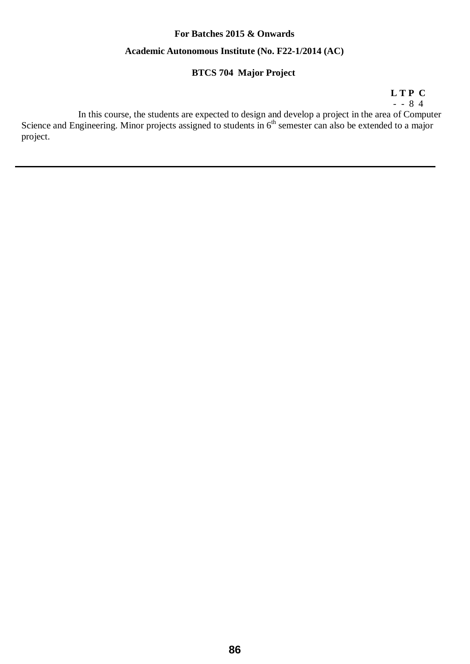### **For Batches 2015 & Onwards Academic Autonomous Institute (No. F22-1/2014 (AC)**

#### **BTCS 704 Major Project**

 **L T P C** 

- - 8 4

In this course, the students are expected to design and develop a project in the area of Computer Science and Engineering. Minor projects assigned to students in  $6<sup>th</sup>$  semester can also be extended to a major project.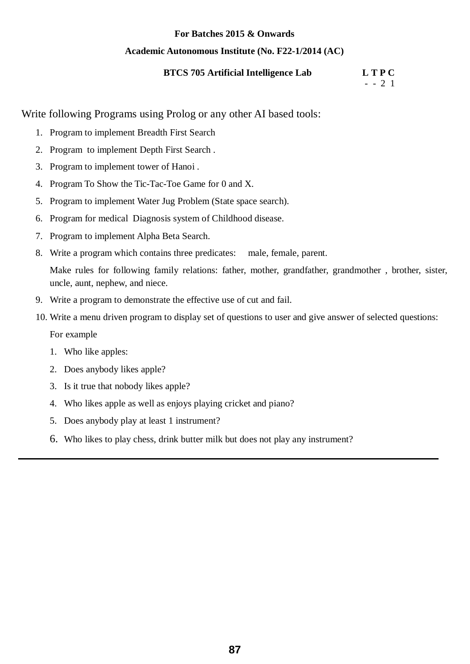#### **Academic Autonomous Institute (No. F22-1/2014 (AC)**

#### **BTCS 705 Artificial Intelligence Lab L T P C**

 $- 2 1$ 

Write following Programs using Prolog or any other AI based tools:

- 1. Program to implement Breadth First Search
- 2. Program to implement Depth First Search .
- 3. Program to implement tower of Hanoi .
- 4. Program To Show the Tic-Tac-Toe Game for 0 and X.
- 5. Program to implement Water Jug Problem (State space search).
- 6. Program for medical Diagnosis system of Childhood disease.
- 7. Program to implement Alpha Beta Search.
- 8. Write a program which contains three predicates: male, female, parent.

Make rules for following family relations: father, mother, grandfather, grandmother , brother, sister, uncle, aunt, nephew, and niece.

- 9. Write a program to demonstrate the effective use of cut and fail.
- 10. Write a menu driven program to display set of questions to user and give answer of selected questions:

For example

- 1. Who like apples:
- 2. Does anybody likes apple?
- 3. Is it true that nobody likes apple?
- 4. Who likes apple as well as enjoys playing cricket and piano?
- 5. Does anybody play at least 1 instrument?
- 6. Who likes to play chess, drink butter milk but does not play any instrument?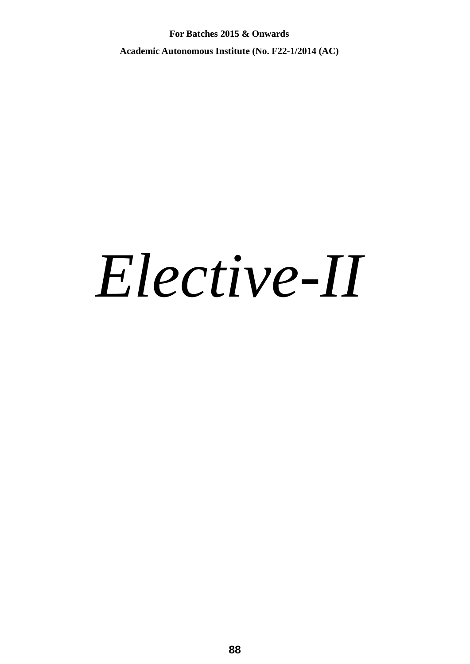**For Batches 2015 & Onwards Academic Autonomous Institute (No. F22-1/2014 (AC)** 

# *Elective-II*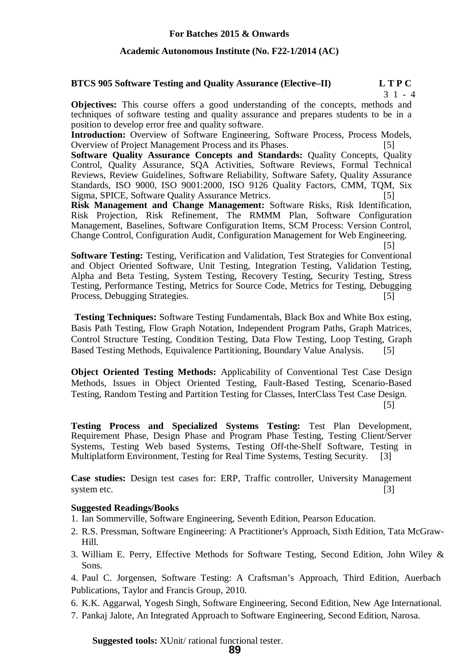#### **Academic Autonomous Institute (No. F22-1/2014 (AC)**

#### **BTCS 905 Software Testing and Quality Assurance (Elective–II) L T P C**

3 1 - 4

**Objectives:** This course offers a good understanding of the concepts, methods and techniques of software testing and quality assurance and prepares students to be in a position to develop error free and quality software.

**Introduction:** Overview of Software Engineering, Software Process, Process Models, Overview of Project Management Process and its Phases. [5]

**Software Quality Assurance Concepts and Standards: Quality Concepts, Quality** Control, Quality Assurance, SQA Activities, Software Reviews, Formal Technical Reviews, Review Guidelines, Software Reliability, Software Safety, Quality Assurance Standards, ISO 9000, ISO 9001:2000, ISO 9126 Quality Factors, CMM, TQM, Six Sigma, SPICE, Software Quality Assurance Metrics. [5]

**Risk Management and Change Management:** Software Risks, Risk Identification, Risk Projection, Risk Refinement, The RMMM Plan, Software Configuration Management, Baselines, Software Configuration Items, SCM Process: Version Control, Change Control, Configuration Audit, Configuration Management for Web Engineering.

[5]

**Software Testing:** Testing, Verification and Validation, Test Strategies for Conventional and Object Oriented Software, Unit Testing, Integration Testing, Validation Testing, Alpha and Beta Testing, System Testing, Recovery Testing, Security Testing, Stress Testing, Performance Testing, Metrics for Source Code, Metrics for Testing, Debugging Process, Debugging Strategies. [5]

**Testing Techniques:** Software Testing Fundamentals, Black Box and White Box esting, Basis Path Testing, Flow Graph Notation, Independent Program Paths, Graph Matrices, Control Structure Testing, Condition Testing, Data Flow Testing, Loop Testing, Graph Based Testing Methods, Equivalence Partitioning, Boundary Value Analysis. [5]

**Object Oriented Testing Methods:** Applicability of Conventional Test Case Design Methods, Issues in Object Oriented Testing, Fault-Based Testing, Scenario-Based Testing, Random Testing and Partition Testing for Classes, InterClass Test Case Design.

[5]

**Testing Process and Specialized Systems Testing:** Test Plan Development, Requirement Phase, Design Phase and Program Phase Testing, Testing Client/Server Systems, Testing Web based Systems, Testing Off-the-Shelf Software, Testing in Multiplatform Environment, Testing for Real Time Systems, Testing Security. [3]

**Case studies:** Design test cases for: ERP, Traffic controller, University Management system etc. [3]

#### **Suggested Readings/Books**

- 1. Ian Sommerville, Software Engineering, Seventh Edition, Pearson Education.
- 2. R.S. Pressman, Software Engineering: A Practitioner's Approach, Sixth Edition, Tata McGraw-Hill.
- 3. William E. Perry, Effective Methods for Software Testing, Second Edition, John Wiley & Sons.

4. Paul C. Jorgensen, Software Testing: A Craftsman's Approach, Third Edition, Auerbach Publications, Taylor and Francis Group, 2010.

- 6. K.K. Aggarwal, Yogesh Singh, Software Engineering, Second Edition, New Age International.
- 7. Pankaj Jalote, An Integrated Approach to Software Engineering, Second Edition, Narosa.

**Suggested tools:** XUnit/ rational functional tester.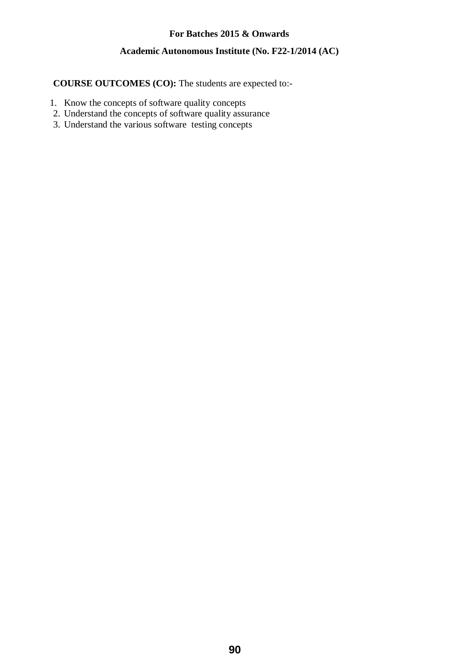#### **Academic Autonomous Institute (No. F22-1/2014 (AC)**

- 1. Know the concepts of software quality concepts
- 2. Understand the concepts of software quality assurance
- 3. Understand the various software testing concepts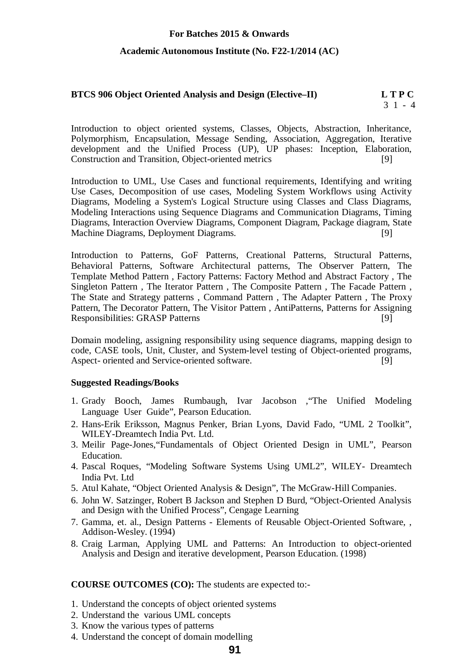#### **Academic Autonomous Institute (No. F22-1/2014 (AC)**

#### **BTCS 906 Object Oriented Analysis and Design (Elective–II)** L T P C 3 1 - 4

Introduction to object oriented systems, Classes, Objects, Abstraction, Inheritance, Polymorphism, Encapsulation, Message Sending, Association, Aggregation, Iterative development and the Unified Process (UP), UP phases: Inception, Elaboration, Construction and Transition, Object-oriented metrics [9]

Introduction to UML, Use Cases and functional requirements, Identifying and writing Use Cases, Decomposition of use cases, Modeling System Workflows using Activity Diagrams, Modeling a System's Logical Structure using Classes and Class Diagrams, Modeling Interactions using Sequence Diagrams and Communication Diagrams, Timing Diagrams, Interaction Overview Diagrams, Component Diagram, Package diagram, State Machine Diagrams, Deployment Diagrams. [9]

Introduction to Patterns, GoF Patterns, Creational Patterns, Structural Patterns, Behavioral Patterns, Software Architectural patterns, The Observer Pattern, The Template Method Pattern , Factory Patterns: Factory Method and Abstract Factory , The Singleton Pattern , The Iterator Pattern , The Composite Pattern , The Facade Pattern , The State and Strategy patterns , Command Pattern , The Adapter Pattern , The Proxy Pattern, The Decorator Pattern, The Visitor Pattern , AntiPatterns, Patterns for Assigning Responsibilities: GRASP Patterns [9]

Domain modeling, assigning responsibility using sequence diagrams, mapping design to code, CASE tools, Unit, Cluster, and System-level testing of Object-oriented programs, Aspect- oriented and Service-oriented software. [9]

#### **Suggested Readings/Books**

- 1. Grady Booch, James Rumbaugh, Ivar Jacobson ,"The Unified Modeling Language User Guide", Pearson Education.
- 2. Hans-Erik Eriksson, Magnus Penker, Brian Lyons, David Fado, "UML 2 Toolkit", WILEY-Dreamtech India Pvt. Ltd.
- 3. Meilir Page-Jones,"Fundamentals of Object Oriented Design in UML", Pearson Education.
- 4. Pascal Roques, "Modeling Software Systems Using UML2", WILEY- Dreamtech India Pvt. Ltd
- 5. Atul Kahate, "Object Oriented Analysis & Design", The McGraw-Hill Companies.
- 6. John W. Satzinger, Robert B Jackson and Stephen D Burd, "Object-Oriented Analysis and Design with the Unified Process", Cengage Learning
- 7. Gamma, et. al., Design Patterns Elements of Reusable Object-Oriented Software, , Addison-Wesley. (1994)
- 8. Craig Larman, Applying UML and Patterns: An Introduction to object-oriented Analysis and Design and iterative development, Pearson Education. (1998)

- 1. Understand the concepts of object oriented systems
- 2. Understand the various UML concepts
- 3. Know the various types of patterns
- 4. Understand the concept of domain modelling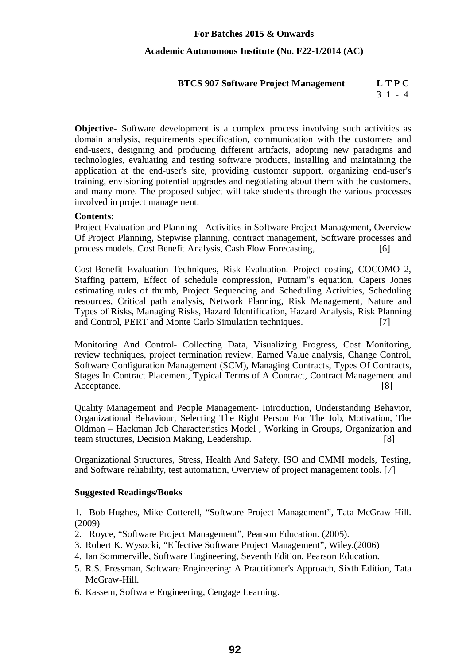#### **Academic Autonomous Institute (No. F22-1/2014 (AC)**

#### **BTCS 907 Software Project Management L T P C**

3 1 - 4

**Objective-** Software development is a complex process involving such activities as domain analysis, requirements specification, communication with the customers and end-users, designing and producing different artifacts, adopting new paradigms and technologies, evaluating and testing software products, installing and maintaining the application at the end-user's site, providing customer support, organizing end-user's training, envisioning potential upgrades and negotiating about them with the customers, and many more. The proposed subject will take students through the various processes involved in project management.

#### **Contents:**

Project Evaluation and Planning - Activities in Software Project Management, Overview Of Project Planning, Stepwise planning, contract management, Software processes and process models. Cost Benefit Analysis, Cash Flow Forecasting, [6]

Cost-Benefit Evaluation Techniques, Risk Evaluation. Project costing, COCOMO 2, Staffing pattern, Effect of schedule compression, Putnam<sup>"s</sup> equation, Capers Jones estimating rules of thumb, Project Sequencing and Scheduling Activities, Scheduling resources, Critical path analysis, Network Planning, Risk Management, Nature and Types of Risks, Managing Risks, Hazard Identification, Hazard Analysis, Risk Planning and Control, PERT and Monte Carlo Simulation techniques. [7]

Monitoring And Control- Collecting Data, Visualizing Progress, Cost Monitoring, review techniques, project termination review, Earned Value analysis, Change Control, Software Configuration Management (SCM), Managing Contracts, Types Of Contracts, Stages In Contract Placement, Typical Terms of A Contract, Contract Management and Acceptance. [8]

Quality Management and People Management- Introduction, Understanding Behavior, Organizational Behaviour, Selecting The Right Person For The Job, Motivation, The Oldman – Hackman Job Characteristics Model , Working in Groups, Organization and team structures, Decision Making, Leadership. [8]

Organizational Structures, Stress, Health And Safety. ISO and CMMI models, Testing, and Software reliability, test automation, Overview of project management tools. [7]

#### **Suggested Readings/Books**

1. Bob Hughes, Mike Cotterell, "Software Project Management", Tata McGraw Hill. (2009)

- 2. Royce, "Software Project Management", Pearson Education. (2005).
- 3. Robert K. Wysocki, "Effective Software Project Management", Wiley.(2006)
- 4. Ian Sommerville, Software Engineering, Seventh Edition, Pearson Education.
- 5. R.S. Pressman, Software Engineering: A Practitioner's Approach, Sixth Edition, Tata McGraw-Hill.
- 6. Kassem, Software Engineering, Cengage Learning.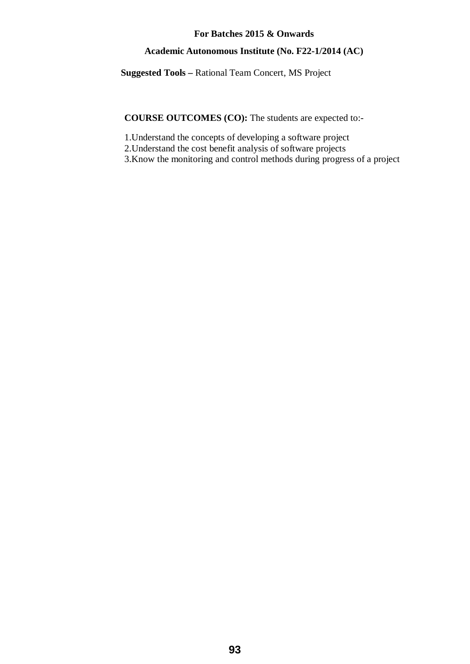#### **Academic Autonomous Institute (No. F22-1/2014 (AC)**

**Suggested Tools –** Rational Team Concert, MS Project

**COURSE OUTCOMES (CO):** The students are expected to:-

1.Understand the concepts of developing a software project

2.Understand the cost benefit analysis of software projects

3.Know the monitoring and control methods during progress of a project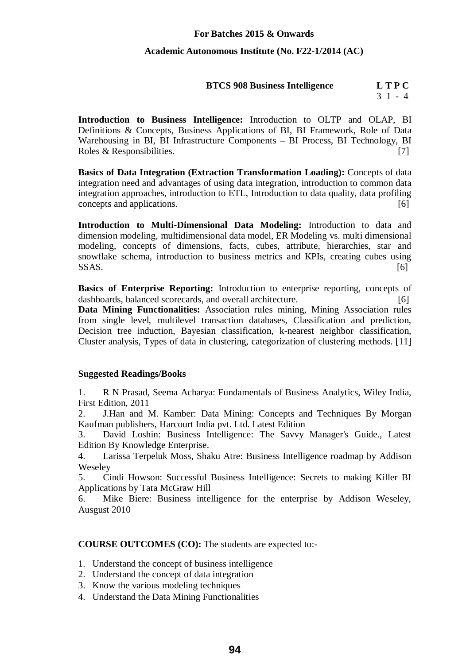#### **Academic Autonomous Institute (No. F22-1/2014 (AC)**

### **BTCS 908 Business Intelligence L T P C**

 $3 \; 1 \; - \; 4$ 

**Introduction to Business Intelligence:** Introduction to OLTP and OLAP, BI Definitions & Concepts, Business Applications of BI, BI Framework, Role of Data Warehousing in BI, BI Infrastructure Components – BI Process, BI Technology, BI Roles & Responsibilities.  $[7]$ 

**Basics of Data Integration (Extraction Transformation Loading):** Concepts of data integration need and advantages of using data integration, introduction to common data integration approaches, introduction to ETL, Introduction to data quality, data profiling concepts and applications. [6]

**Introduction to Multi-Dimensional Data Modeling:** Introduction to data and dimension modeling, multidimensional data model, ER Modeling vs. multi dimensional modeling, concepts of dimensions, facts, cubes, attribute, hierarchies, star and snowflake schema, introduction to business metrics and KPIs, creating cubes using  $SSAS.$  [6]

**Basics of Enterprise Reporting:** Introduction to enterprise reporting, concepts of dashboards, balanced scorecards, and overall architecture. [6]

**Data Mining Functionalities:** Association rules mining, Mining Association rules from single level, multilevel transaction databases, Classification and prediction, Decision tree induction, Bayesian classification, k-nearest neighbor classification, Cluster analysis, Types of data in clustering, categorization of clustering methods. [11]

#### **Suggested Readings/Books**

1. R N Prasad, Seema Acharya: Fundamentals of Business Analytics, Wiley India, First Edition, 2011

2. J.Han and M. Kamber: Data Mining: Concepts and Techniques By Morgan Kaufman publishers, Harcourt India pvt. Ltd. Latest Edition

3. David Loshin: Business Intelligence: The Savvy Manager's Guide., Latest Edition By Knowledge Enterprise.

4. Larissa Terpeluk Moss, Shaku Atre: Business Intelligence roadmap by Addison Weseley

5. Cindi Howson: Successful Business Intelligence: Secrets to making Killer BI Applications by Tata McGraw Hill

6. Mike Biere: Business intelligence for the enterprise by Addison Weseley, Ausgust 2010

- 1. Understand the concept of business intelligence
- 2. Understand the concept of data integration
- 3. Know the various modeling techniques
- 4. Understand the Data Mining Functionalities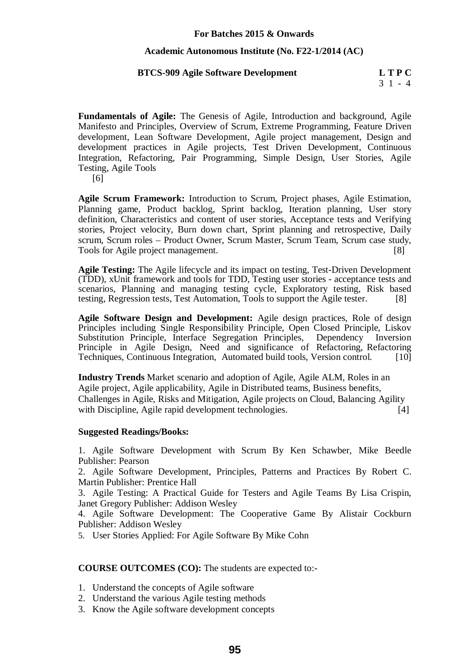#### **Academic Autonomous Institute (No. F22-1/2014 (AC)**

#### **BTCS-909 Agile Software Development L T P C**

**Fundamentals of Agile:** The Genesis of Agile, Introduction and background, Agile Manifesto and Principles, Overview of Scrum, Extreme Programming, Feature Driven development, Lean Software Development, Agile project management, Design and development practices in Agile projects, Test Driven Development, Continuous Integration, Refactoring, Pair Programming, Simple Design, User Stories, Agile Testing, Agile Tools

[6]

**Agile Scrum Framework:** Introduction to Scrum, Project phases, Agile Estimation, Planning game, Product backlog, Sprint backlog, Iteration planning, User story definition, Characteristics and content of user stories, Acceptance tests and Verifying stories, Project velocity, Burn down chart, Sprint planning and retrospective, Daily scrum, Scrum roles – Product Owner, Scrum Master, Scrum Team, Scrum case study, Tools for Agile project management. [8]

**Agile Testing:** The Agile lifecycle and its impact on testing, Test-Driven Development (TDD), xUnit framework and tools for TDD, Testing user stories - acceptance tests and scenarios, Planning and managing testing cycle, Exploratory testing, Risk based testing, Regression tests, Test Automation, Tools to support the Agile tester. [8]

**Agile Software Design and Development:** Agile design practices, Role of design Principles including Single Responsibility Principle, Open Closed Principle, Liskov Substitution Principle, Interface Segregation Principles, Dependency Inversion Principle in Agile Design, Need and significance of Refactoring, Refactoring Techniques, Continuous Integration, Automated build tools, Version control. [10]

**Industry Trends** Market scenario and adoption of Agile, Agile ALM, Roles in an Agile project, Agile applicability, Agile in Distributed teams, Business benefits, Challenges in Agile, Risks and Mitigation, Agile projects on Cloud, Balancing Agility with Discipline, Agile rapid development technologies. [4]

#### **Suggested Readings/Books:**

1. Agile Software Development with Scrum By Ken Schawber, Mike Beedle Publisher: Pearson

2. Agile Software Development, Principles, Patterns and Practices By Robert C. Martin Publisher: Prentice Hall

3. Agile Testing: A Practical Guide for Testers and Agile Teams By Lisa Crispin, Janet Gregory Publisher: Addison Wesley

4. Agile Software Development: The Cooperative Game By Alistair Cockburn Publisher: Addison Wesley

5. User Stories Applied: For Agile Software By Mike Cohn

- 1. Understand the concepts of Agile software
- 2. Understand the various Agile testing methods
- 3. Know the Agile software development concepts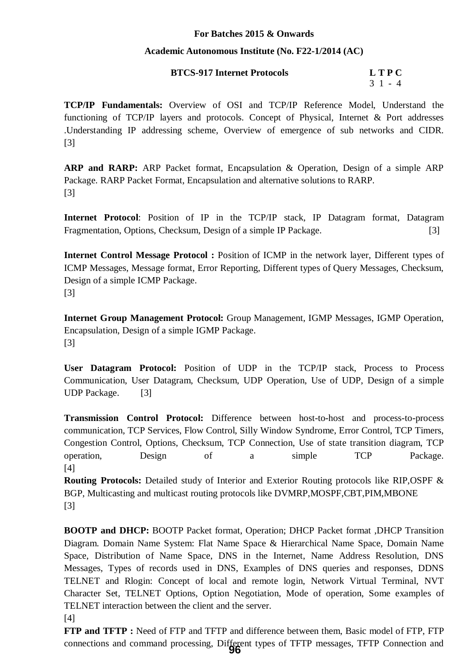#### **Academic Autonomous Institute (No. F22-1/2014 (AC)**

| <b>BTCS-917 Internet Protocols</b> | <b>LTPC</b> |
|------------------------------------|-------------|
|                                    |             |

3 1 - 4

**TCP/IP Fundamentals:** Overview of OSI and TCP/IP Reference Model, Understand the functioning of TCP/IP layers and protocols. Concept of Physical, Internet & Port addresses .Understanding IP addressing scheme, Overview of emergence of sub networks and CIDR. [3]

**ARP and RARP:** ARP Packet format, Encapsulation & Operation, Design of a simple ARP Package. RARP Packet Format, Encapsulation and alternative solutions to RARP. [3]

**Internet Protocol**: Position of IP in the TCP/IP stack, IP Datagram format, Datagram Fragmentation, Options, Checksum, Design of a simple IP Package. [3]

**Internet Control Message Protocol :** Position of ICMP in the network layer, Different types of ICMP Messages, Message format, Error Reporting, Different types of Query Messages, Checksum, Design of a simple ICMP Package. [3]

**Internet Group Management Protocol:** Group Management, IGMP Messages, IGMP Operation, Encapsulation, Design of a simple IGMP Package. [3]

**User Datagram Protocol:** Position of UDP in the TCP/IP stack, Process to Process Communication, User Datagram, Checksum, UDP Operation, Use of UDP, Design of a simple UDP Package. [3]

**Transmission Control Protocol:** Difference between host-to-host and process-to-process communication, TCP Services, Flow Control, Silly Window Syndrome, Error Control, TCP Timers, Congestion Control, Options, Checksum, TCP Connection, Use of state transition diagram, TCP operation, Design of a simple TCP Package. [4]

**Routing Protocols:** Detailed study of Interior and Exterior Routing protocols like RIP,OSPF & BGP, Multicasting and multicast routing protocols like DVMRP,MOSPF,CBT,PIM,MBONE [3]

**BOOTP and DHCP:** BOOTP Packet format, Operation; DHCP Packet format ,DHCP Transition Diagram. Domain Name System: Flat Name Space & Hierarchical Name Space, Domain Name Space, Distribution of Name Space, DNS in the Internet, Name Address Resolution, DNS Messages, Types of records used in DNS, Examples of DNS queries and responses, DDNS TELNET and Rlogin: Concept of local and remote login, Network Virtual Terminal, NVT Character Set, TELNET Options, Option Negotiation, Mode of operation, Some examples of TELNET interaction between the client and the server.

[4]

**FTP and TFTP :** Need of FTP and TFTP and difference between them, Basic model of FTP, FTP connections and command processing, Different types of TFTP messages, TFTP Connection and **96**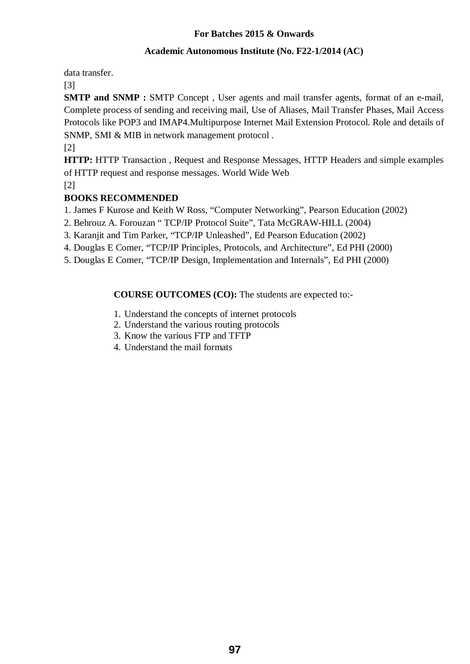#### **Academic Autonomous Institute (No. F22-1/2014 (AC)**

data transfer.

[3]

**SMTP and SNMP :** SMTP Concept , User agents and mail transfer agents, format of an e-mail, Complete process of sending and receiving mail, Use of Aliases, Mail Transfer Phases, Mail Access Protocols like POP3 and IMAP4.Multipurpose Internet Mail Extension Protocol. Role and details of SNMP, SMI & MIB in network management protocol .

[2]

**HTTP:** HTTP Transaction , Request and Response Messages, HTTP Headers and simple examples of HTTP request and response messages. World Wide Web

[2]

#### **BOOKS RECOMMENDED**

1. James F Kurose and Keith W Ross, "Computer Networking", Pearson Education (2002)

2. Behrouz A. Forouzan " TCP/IP Protocol Suite", Tata McGRAW-HILL (2004)

3. Karanjit and Tim Parker, "TCP/IP Unleashed", Ed Pearson Education (2002)

4. Douglas E Comer, "TCP/IP Principles, Protocols, and Architecture", Ed PHI (2000)

5. Douglas E Comer, "TCP/IP Design, Implementation and Internals", Ed PHI (2000)

- 1. Understand the concepts of internet protocols
- 2. Understand the various routing protocols
- 3. Know the various FTP and TFTP
- 4. Understand the mail formats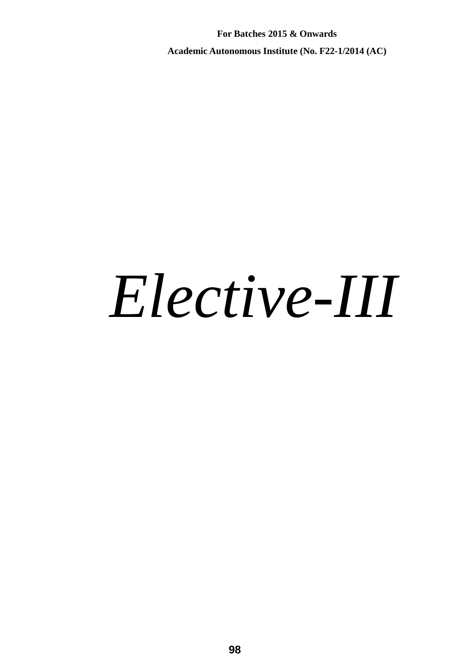**For Batches 2015 & Onwards Academic Autonomous Institute (No. F22-1/2014 (AC)** 

# *Elective-III*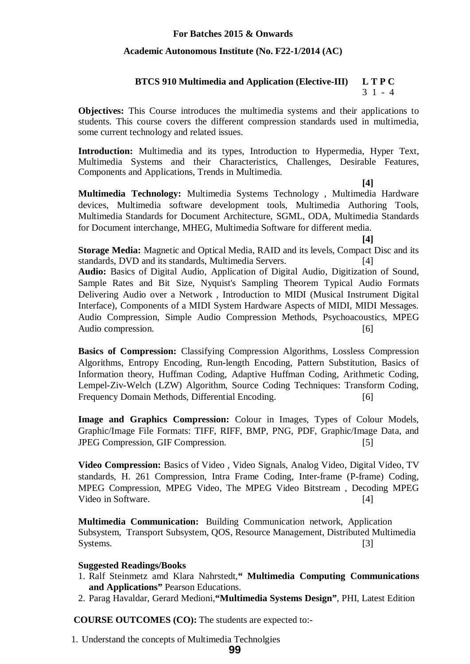#### **Academic Autonomous Institute (No. F22-1/2014 (AC)**

#### **BTCS 910 Multimedia and Application (Elective-III) L T P C**  3 1 - 4

**Objectives:** This Course introduces the multimedia systems and their applications to students. This course covers the different compression standards used in multimedia, some current technology and related issues.

**Introduction:** Multimedia and its types, Introduction to Hypermedia, Hyper Text, Multimedia Systems and their Characteristics, Challenges, Desirable Features, Components and Applications, Trends in Multimedia.

**[4]**

**Multimedia Technology:** Multimedia Systems Technology , Multimedia Hardware devices, Multimedia software development tools, Multimedia Authoring Tools, Multimedia Standards for Document Architecture, SGML, ODA, Multimedia Standards for Document interchange, MHEG, Multimedia Software for different media.

**[4]**

**Storage Media:** Magnetic and Optical Media, RAID and its levels, Compact Disc and its standards, DVD and its standards, Multimedia Servers. [4]

**Audio:** Basics of Digital Audio, Application of Digital Audio, Digitization of Sound, Sample Rates and Bit Size, Nyquist's Sampling Theorem Typical Audio Formats Delivering Audio over a Network , Introduction to MIDI (Musical Instrument Digital Interface), Components of a MIDI System Hardware Aspects of MIDI, MIDI Messages. Audio Compression, Simple Audio Compression Methods, Psychoacoustics, MPEG Audio compression. [6]

**Basics of Compression:** Classifying Compression Algorithms, Lossless Compression Algorithms, Entropy Encoding, Run-length Encoding, Pattern Substitution, Basics of Information theory, Huffman Coding, Adaptive Huffman Coding, Arithmetic Coding, Lempel-Ziv-Welch (LZW) Algorithm, Source Coding Techniques: Transform Coding, Frequency Domain Methods, Differential Encoding. [6]

**Image and Graphics Compression:** Colour in Images, Types of Colour Models, Graphic/Image File Formats: TIFF, RIFF, BMP, PNG, PDF, Graphic/Image Data, and JPEG Compression, GIF Compression. [5]

**Video Compression:** Basics of Video , Video Signals, Analog Video, Digital Video, TV standards, H. 261 Compression, Intra Frame Coding, Inter-frame (P-frame) Coding, MPEG Compression, MPEG Video, The MPEG Video Bitstream , Decoding MPEG Video in Software. [4]

**Multimedia Communication:** Building Communication network, Application Subsystem, Transport Subsystem, QOS, Resource Management, Distributed Multimedia Systems. [3]

#### **Suggested Readings/Books**

- 1. Ralf Steinmetz amd Klara Nahrstedt,**" Multimedia Computing Communications and Applications"** Pearson Educations.
- 2. Parag Havaldar, Gerard Medioni,**"Multimedia Systems Design"**, PHI, Latest Edition

 **COURSE OUTCOMES (CO):** The students are expected to:-

1. Understand the concepts of Multimedia Technolgies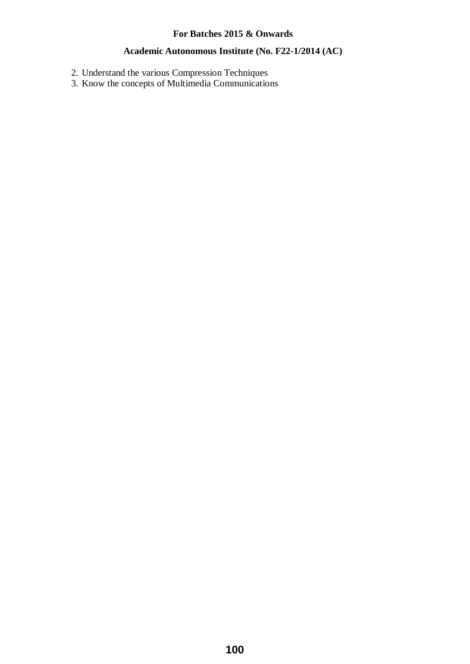#### **Academic Autonomous Institute (No. F22-1/2014 (AC)**

- 2. Understand the various Compression Techniques
- 3. Know the concepts of Multimedia Communications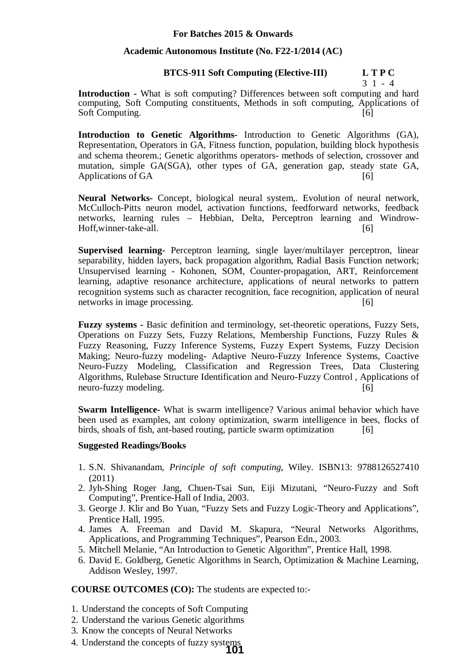#### **Academic Autonomous Institute (No. F22-1/2014 (AC)**

#### **BTCS-911 Soft Computing (Elective-III) L T P C**

3 1 - 4

**Introduction -** What is soft computing? Differences between soft computing and hard computing, Soft Computing constituents, Methods in soft computing, Applications of Soft Computing. [6]

**Introduction to Genetic Algorithms-** Introduction to Genetic Algorithms (GA), Representation, Operators in GA, Fitness function, population, building block hypothesis and schema theorem.; Genetic algorithms operators- methods of selection, crossover and mutation, simple GA(SGA), other types of GA, generation gap, steady state GA, Applications of GA  $[6]$ 

**Neural Networks-** Concept, biological neural system,. Evolution of neural network, McCulloch-Pitts neuron model, activation functions, feedforward networks, feedback networks, learning rules – Hebbian, Delta, Perceptron learning and Windrow-Hoff, winner-take-all. [6]

**Supervised learning-** Perceptron learning, single layer/multilayer perceptron, linear separability, hidden layers, back propagation algorithm, Radial Basis Function network; Unsupervised learning - Kohonen, SOM, Counter-propagation, ART, Reinforcement learning, adaptive resonance architecture, applications of neural networks to pattern recognition systems such as character recognition, face recognition, application of neural networks in image processing. [6]

**Fuzzy systems -** Basic definition and terminology, set-theoretic operations, Fuzzy Sets, Operations on Fuzzy Sets, Fuzzy Relations, Membership Functions, Fuzzy Rules & Fuzzy Reasoning, Fuzzy Inference Systems, Fuzzy Expert Systems, Fuzzy Decision Making; Neuro-fuzzy modeling- Adaptive Neuro-Fuzzy Inference Systems, Coactive Neuro-Fuzzy Modeling, Classification and Regression Trees, Data Clustering Algorithms, Rulebase Structure Identification and Neuro-Fuzzy Control , Applications of neuro-fuzzy modeling. [6]

**Swarm Intelligence-** What is swarm intelligence? Various animal behavior which have been used as examples, ant colony optimization, swarm intelligence in bees, flocks of birds, shoals of fish, ant-based routing, particle swarm optimization [6]

#### **Suggested Readings/Books**

- 1. S.N. Shivanandam, *Principle of soft computing*, Wiley. ISBN13: 9788126527410 (2011)
- 2. Jyh-Shing Roger Jang, Chuen-Tsai Sun, Eiji Mizutani, "Neuro-Fuzzy and Soft Computing", Prentice-Hall of India, 2003.
- 3. George J. Klir and Bo Yuan, "Fuzzy Sets and Fuzzy Logic-Theory and Applications", Prentice Hall, 1995.
- 4. James A. Freeman and David M. Skapura, "Neural Networks Algorithms, Applications, and Programming Techniques", Pearson Edn., 2003.
- 5. Mitchell Melanie, "An Introduction to Genetic Algorithm", Prentice Hall, 1998.
- 6. David E. Goldberg, Genetic Algorithms in Search, Optimization & Machine Learning, Addison Wesley, 1997.

- 1. Understand the concepts of Soft Computing
- 2. Understand the various Genetic algorithms
- 3. Know the concepts of Neural Networks
- 4. Understand the concepts of fuzzy systems **101**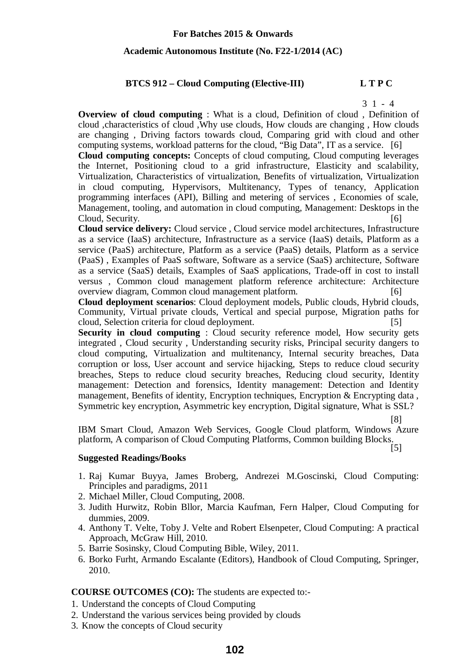#### **Academic Autonomous Institute (No. F22-1/2014 (AC)**

#### **BTCS 912 – Cloud Computing (Elective-III) L T P C**

#### 3 1 - 4

**Overview of cloud computing** : What is a cloud, Definition of cloud , Definition of cloud ,characteristics of cloud ,Why use clouds, How clouds are changing , How clouds are changing , Driving factors towards cloud, Comparing grid with cloud and other computing systems, workload patterns for the cloud, "Big Data", IT as a service. [6]

**Cloud computing concepts:** Concepts of cloud computing, Cloud computing leverages the Internet, Positioning cloud to a grid infrastructure, Elasticity and scalability, Virtualization, Characteristics of virtualization, Benefits of virtualization, Virtualization in cloud computing, Hypervisors, Multitenancy, Types of tenancy, Application programming interfaces (API), Billing and metering of services , Economies of scale, Management, tooling, and automation in cloud computing, Management: Desktops in the Cloud, Security. [6]

**Cloud service delivery:** Cloud service , Cloud service model architectures, Infrastructure as a service (IaaS) architecture, Infrastructure as a service (IaaS) details, Platform as a service (PaaS) architecture, Platform as a service (PaaS) details, Platform as a service (PaaS) , Examples of PaaS software, Software as a service (SaaS) architecture, Software as a service (SaaS) details, Examples of SaaS applications, Trade-off in cost to install versus , Common cloud management platform reference architecture: Architecture overview diagram, Common cloud management platform. [6]

**Cloud deployment scenarios**: Cloud deployment models, Public clouds, Hybrid clouds, Community, Virtual private clouds, Vertical and special purpose, Migration paths for cloud, Selection criteria for cloud deployment. [5]

**Security in cloud computing :** Cloud security reference model, How security gets integrated , Cloud security , Understanding security risks, Principal security dangers to cloud computing, Virtualization and multitenancy, Internal security breaches, Data corruption or loss, User account and service hijacking, Steps to reduce cloud security breaches, Steps to reduce cloud security breaches, Reducing cloud security, Identity management: Detection and forensics, Identity management: Detection and Identity management, Benefits of identity, Encryption techniques, Encryption & Encrypting data , Symmetric key encryption, Asymmetric key encryption, Digital signature, What is SSL?

[8]

IBM Smart Cloud, Amazon Web Services, Google Cloud platform, Windows Azure platform, A comparison of Cloud Computing Platforms, Common building Blocks. [5]

#### **Suggested Readings/Books**

- 1. Raj Kumar Buyya, James Broberg, Andrezei M.Goscinski, Cloud Computing: Principles and paradigms, 2011
- 2. Michael Miller, Cloud Computing, 2008.
- 3. Judith Hurwitz, Robin Bllor, Marcia Kaufman, Fern Halper, Cloud Computing for dummies, 2009.
- 4. Anthony T. Velte, Toby J. Velte and Robert Elsenpeter, Cloud Computing: A practical Approach, McGraw Hill, 2010.
- 5. Barrie Sosinsky, Cloud Computing Bible, Wiley, 2011.
- 6. Borko Furht, Armando Escalante (Editors), Handbook of Cloud Computing, Springer, 2010.

- 1. Understand the concepts of Cloud Computing
- 2. Understand the various services being provided by clouds
- 3. Know the concepts of Cloud security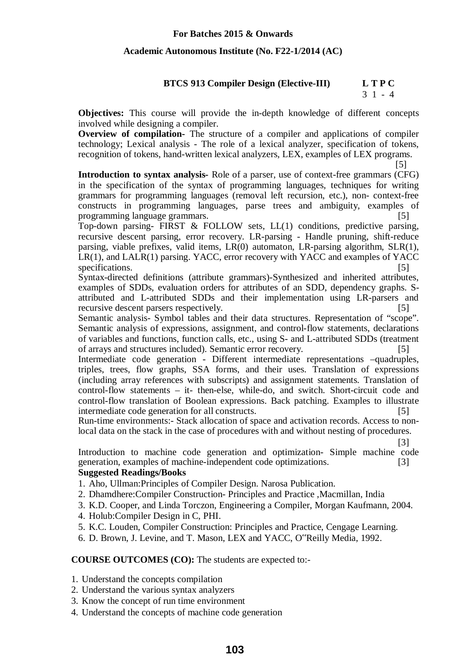#### **Academic Autonomous Institute (No. F22-1/2014 (AC)**

#### **BTCS 913 Compiler Design (Elective-III) L T P C**

#### $3 \; 1 \; - \; 4$

**Objectives:** This course will provide the in-depth knowledge of different concepts involved while designing a compiler.

**Overview of compilation-** The structure of a compiler and applications of compiler technology; Lexical analysis - The role of a lexical analyzer, specification of tokens, recognition of tokens, hand-written lexical analyzers, LEX, examples of LEX programs.

 [5] **Introduction to syntax analysis-** Role of a parser, use of context-free grammars (CFG) in the specification of the syntax of programming languages, techniques for writing grammars for programming languages (removal left recursion, etc.), non- context-free constructs in programming languages, parse trees and ambiguity, examples of programming language grammars. [5]

Top-down parsing- FIRST & FOLLOW sets, LL(1) conditions, predictive parsing, recursive descent parsing, error recovery. LR-parsing - Handle pruning, shift-reduce parsing, viable prefixes, valid items, LR(0) automaton, LR-parsing algorithm, SLR(1), LR(1), and LALR(1) parsing. YACC, error recovery with YACC and examples of YACC specifications. [5]

Syntax-directed definitions (attribute grammars)-Synthesized and inherited attributes, examples of SDDs, evaluation orders for attributes of an SDD, dependency graphs. Sattributed and L-attributed SDDs and their implementation using LR-parsers and recursive descent parsers respectively. [5]

Semantic analysis- Symbol tables and their data structures. Representation of "scope". Semantic analysis of expressions, assignment, and control-flow statements, declarations of variables and functions, function calls, etc., using S- and L-attributed SDDs (treatment of arrays and structures included). Semantic error recovery. [5]

Intermediate code generation - Different intermediate representations –quadruples, triples, trees, flow graphs, SSA forms, and their uses. Translation of expressions (including array references with subscripts) and assignment statements. Translation of control-flow statements – it- then-else, while-do, and switch. Short-circuit code and control-flow translation of Boolean expressions. Back patching. Examples to illustrate intermediate code generation for all constructs. [5]

Run-time environments:- Stack allocation of space and activation records. Access to nonlocal data on the stack in the case of procedures with and without nesting of procedures.

[3]

Introduction to machine code generation and optimization- Simple machine code generation, examples of machine-independent code optimizations. [3]

#### **Suggested Readings/Books**

- 1. Aho, Ullman:Principles of Compiler Design. Narosa Publication.
- 2. Dhamdhere:Compiler Construction- Principles and Practice ,Macmillan, India
- 3. K.D. Cooper, and Linda Torczon, Engineering a Compiler, Morgan Kaufmann, 2004.
- 4. Holub:Compiler Design in C, PHI.
- 5. K.C. Louden, Compiler Construction: Principles and Practice, Cengage Learning.
- 6. D. Brown, J. Levine, and T. Mason, LEX and YACC, O"Reilly Media, 1992.

- 1. Understand the concepts compilation
- 2. Understand the various syntax analyzers
- 3. Know the concept of run time environment
- 4. Understand the concepts of machine code generation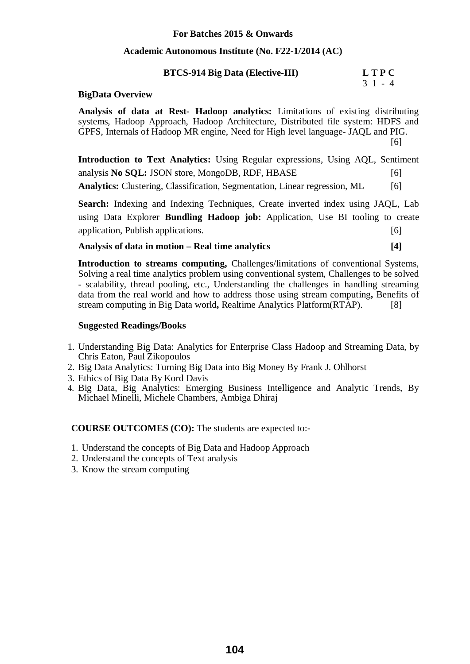#### **Academic Autonomous Institute (No. F22-1/2014 (AC)**

#### **BTCS-914 Big Data (Elective-III) L T P C**

#### 3 1 - 4

#### **BigData Overview**

**Analysis of data at Rest- Hadoop analytics:** Limitations of existing distributing systems, Hadoop Approach, Hadoop Architecture, Distributed file system: HDFS and GPFS, Internals of Hadoop MR engine, Need for High level language- JAQL and PIG. [6]

**Introduction to Text Analytics:** Using Regular expressions, Using AQL, Sentiment analysis **No SOL: JSON** store, MongoDB, RDF, HBASE [6] Analytics: Clustering, Classification, Segmentation, Linear regression, ML [6]

**Search:** Indexing and Indexing Techniques, Create inverted index using JAQL, Lab using Data Explorer **Bundling Hadoop job:** Application, Use BI tooling to create application, Publish applications. [6]

#### **Analysis of data in motion – Real time analytics [4]**

**Introduction to streams computing,** Challenges/limitations of conventional Systems, Solving a real time analytics problem using conventional system, Challenges to be solved - scalability, thread pooling, etc., Understanding the challenges in handling streaming data from the real world and how to address those using stream computing**,** Benefits of stream computing in Big Data world**,** Realtime Analytics Platform(RTAP). [8]

#### **Suggested Readings/Books**

- 1. Understanding Big Data: Analytics for Enterprise Class Hadoop and Streaming Data, by Chris Eaton, Paul Zikopoulos
- 2. Big Data Analytics: Turning Big Data into Big Money By Frank J. Ohlhorst
- 3. Ethics of Big Data By Kord Davis
- 4. Big Data, Big Analytics: Emerging Business Intelligence and Analytic Trends, By Michael Minelli, Michele Chambers, Ambiga Dhiraj

- 1. Understand the concepts of Big Data and Hadoop Approach
- 2. Understand the concepts of Text analysis
- 3. Know the stream computing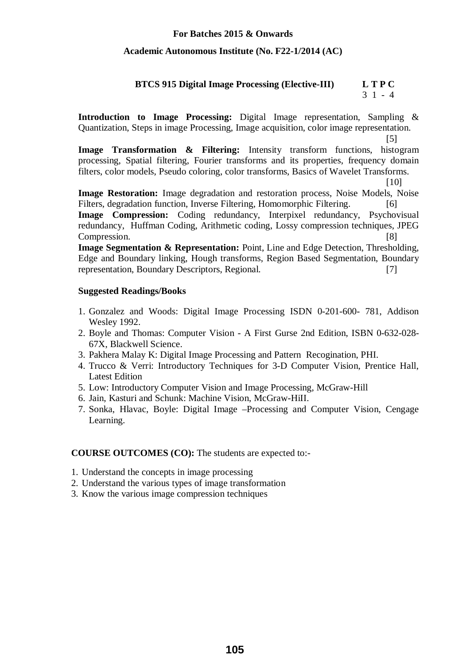#### **Academic Autonomous Institute (No. F22-1/2014 (AC)**

#### **BTCS 915 Digital Image Processing (Elective-III) L T P C**  3 1 - 4

**Introduction to Image Processing:** Digital Image representation, Sampling & Quantization, Steps in image Processing, Image acquisition, color image representation.

 [5] **Image Transformation & Filtering:** Intensity transform functions, histogram processing, Spatial filtering, Fourier transforms and its properties, frequency domain filters, color models, Pseudo coloring, color transforms, Basics of Wavelet Transforms.

[10]

**Image Restoration:** Image degradation and restoration process, Noise Models, Noise Filters, degradation function, Inverse Filtering, Homomorphic Filtering. [6] **Image Compression:** Coding redundancy, Interpixel redundancy, Psychovisual redundancy, Huffman Coding, Arithmetic coding, Lossy compression techniques, JPEG Compression. [8]

**Image Segmentation & Representation:** Point, Line and Edge Detection, Thresholding, Edge and Boundary linking, Hough transforms, Region Based Segmentation, Boundary representation, Boundary Descriptors, Regional. [7]

#### **Suggested Readings/Books**

- 1. Gonzalez and Woods: Digital Image Processing ISDN 0-201-600- 781, Addison Wesley 1992.
- 2. Boyle and Thomas: Computer Vision A First Gurse 2nd Edition, ISBN 0-632-028- 67X, Blackwell Science.
- 3. Pakhera Malay K: Digital Image Processing and Pattern Recogination, PHI.
- 4. Trucco & Verri: Introductory Techniques for 3-D Computer Vision, Prentice Hall, Latest Edition
- 5. Low: Introductory Computer Vision and Image Processing, McGraw-Hill
- 6. Jain, Kasturi and Schunk: Machine Vision, McGraw-HiII.
- 7. Sonka, Hlavac, Boyle: Digital Image –Processing and Computer Vision, Cengage Learning.

- 1. Understand the concepts in image processing
- 2. Understand the various types of image transformation
- 3. Know the various image compression techniques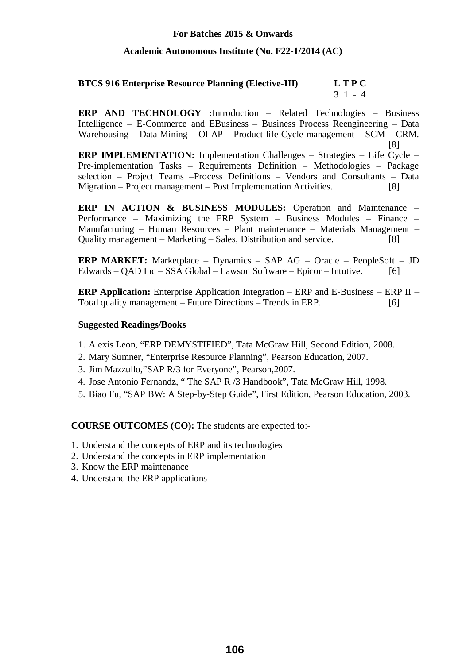#### **Academic Autonomous Institute (No. F22-1/2014 (AC)**

#### **BTCS 916 Enterprise Resource Planning (Elective-III) L T P C**  3 1 - 4

**ERP AND TECHNOLOGY :**Introduction – Related Technologies – Business Intelligence – E-Commerce and EBusiness – Business Process Reengineering – Data Warehousing – Data Mining – OLAP – Product life Cycle management – SCM – CRM. [8]

**ERP IMPLEMENTATION:** Implementation Challenges – Strategies – Life Cycle – Pre-implementation Tasks – Requirements Definition – Methodologies – Package selection – Project Teams –Process Definitions – Vendors and Consultants – Data Migration – Project management – Post Implementation Activities. [8]

**ERP IN ACTION & BUSINESS MODULES:** Operation and Maintenance – Performance – Maximizing the ERP System – Business Modules – Finance – Manufacturing – Human Resources – Plant maintenance – Materials Management – Quality management – Marketing – Sales, Distribution and service. [8]

**ERP MARKET:** Marketplace – Dynamics – SAP AG – Oracle – PeopleSoft – JD Edwards – QAD Inc – SSA Global – Lawson Software – Epicor – Intutive. [6]

**ERP Application:** Enterprise Application Integration – ERP and E-Business – ERP II – Total quality management – Future Directions – Trends in ERP. [6]

#### **Suggested Readings/Books**

- 1. Alexis Leon, "ERP DEMYSTIFIED", Tata McGraw Hill, Second Edition, 2008.
- 2. Mary Sumner, "Enterprise Resource Planning", Pearson Education, 2007.
- 3. Jim Mazzullo,"SAP R/3 for Everyone", Pearson,2007.
- 4. Jose Antonio Fernandz, " The SAP R /3 Handbook", Tata McGraw Hill, 1998.
- 5. Biao Fu, "SAP BW: A Step-by-Step Guide", First Edition, Pearson Education, 2003.

- 1. Understand the concepts of ERP and its technologies
- 2. Understand the concepts in ERP implementation
- 3. Know the ERP maintenance
- 4. Understand the ERP applications